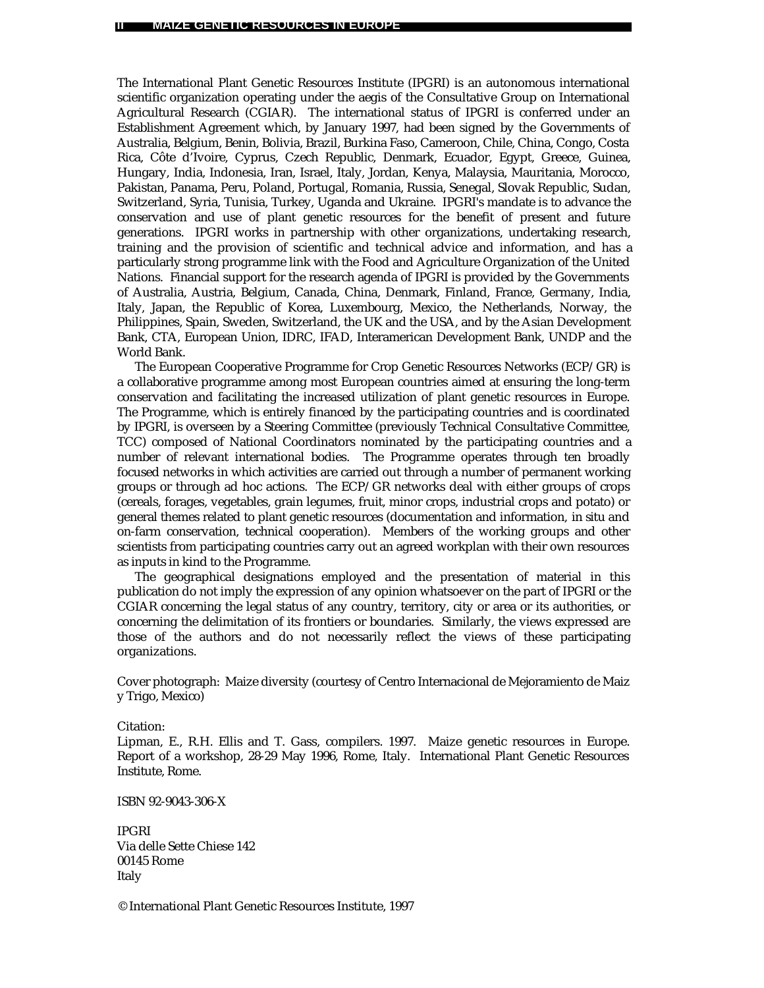The International Plant Genetic Resources Institute (IPGRI) is an autonomous international scientific organization operating under the aegis of the Consultative Group on International Agricultural Research (CGIAR). The international status of IPGRI is conferred under an Establishment Agreement which, by January 1997, had been signed by the Governments of Australia, Belgium, Benin, Bolivia, Brazil, Burkina Faso, Cameroon, Chile, China, Congo, Costa Rica, Côte d'Ivoire, Cyprus, Czech Republic, Denmark, Ecuador, Egypt, Greece, Guinea, Hungary, India, Indonesia, Iran, Israel, Italy, Jordan, Kenya, Malaysia, Mauritania, Morocco, Pakistan, Panama, Peru, Poland, Portugal, Romania, Russia, Senegal, Slovak Republic, Sudan, Switzerland, Syria, Tunisia, Turkey, Uganda and Ukraine. IPGRI's mandate is to advance the conservation and use of plant genetic resources for the benefit of present and future generations. IPGRI works in partnership with other organizations, undertaking research, training and the provision of scientific and technical advice and information, and has a particularly strong programme link with the Food and Agriculture Organization of the United Nations. Financial support for the research agenda of IPGRI is provided by the Governments of Australia, Austria, Belgium, Canada, China, Denmark, Finland, France, Germany, India, Italy, Japan, the Republic of Korea, Luxembourg, Mexico, the Netherlands, Norway, the Philippines, Spain, Sweden, Switzerland, the UK and the USA, and by the Asian Development Bank, CTA, European Union, IDRC, IFAD, Interamerican Development Bank, UNDP and the World Bank.

The European Cooperative Programme for Crop Genetic Resources Networks (ECP/GR) is a collaborative programme among most European countries aimed at ensuring the long-term conservation and facilitating the increased utilization of plant genetic resources in Europe. The Programme, which is entirely financed by the participating countries and is coordinated by IPGRI, is overseen by a Steering Committee (previously Technical Consultative Committee, TCC) composed of National Coordinators nominated by the participating countries and a number of relevant international bodies. The Programme operates through ten broadly focused networks in which activities are carried out through a number of permanent working groups or through ad hoc actions. The ECP/GR networks deal with either groups of crops (cereals, forages, vegetables, grain legumes, fruit, minor crops, industrial crops and potato) or general themes related to plant genetic resources (documentation and information, *in situ* and on-farm conservation, technical cooperation). Members of the working groups and other scientists from participating countries carry out an agreed workplan with their own resources as inputs in kind to the Programme.

The geographical designations employed and the presentation of material in this publication do not imply the expression of any opinion whatsoever on the part of IPGRI or the CGIAR concerning the legal status of any country, territory, city or area or its authorities, or concerning the delimitation of its frontiers or boundaries. Similarly, the views expressed are those of the authors and do not necessarily reflect the views of these participating organizations.

Cover photograph: Maize diversity (courtesy of Centro Internacional de Mejoramiento de Maiz y Trigo, Mexico)

#### Citation:

Lipman, E., R.H. Ellis and T. Gass, compilers. 1997. Maize genetic resources in Europe. Report of a workshop, 28-29 May 1996, Rome, Italy. International Plant Genetic Resources Institute, Rome.

ISBN 92-9043-306-X

IPGRI Via delle Sette Chiese 142 00145 Rome Italy

© International Plant Genetic Resources Institute, 1997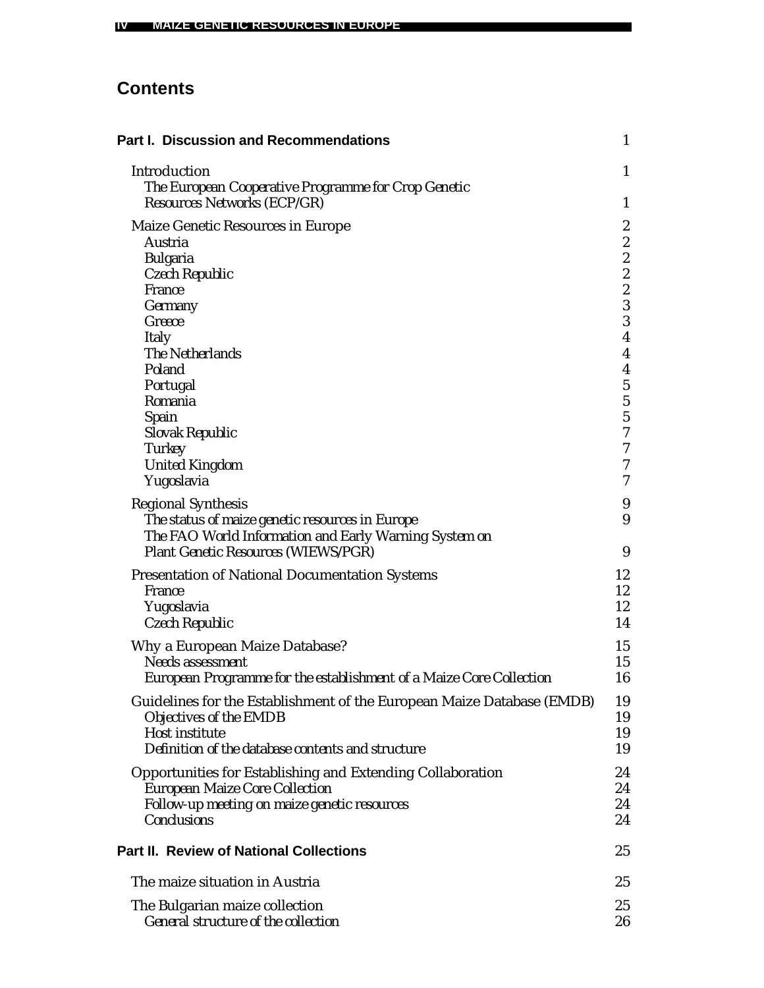# **Contents**

| <b>Part I. Discussion and Recommendations</b>                                                                                                                                                                                                              | $\mathbf{1}$                                                                                                                                                                                                                                                  |
|------------------------------------------------------------------------------------------------------------------------------------------------------------------------------------------------------------------------------------------------------------|---------------------------------------------------------------------------------------------------------------------------------------------------------------------------------------------------------------------------------------------------------------|
| Introduction<br>The European Cooperative Programme for Crop Genetic<br>Resources Networks (ECP/GR)                                                                                                                                                         | 1<br>$\mathbf{1}$                                                                                                                                                                                                                                             |
| Maize Genetic Resources in Europe<br>Austria<br><b>Bulgaria</b><br>Czech Republic<br>France<br>Germany<br>Greece<br><b>Italy</b><br>The Netherlands<br>Poland<br>Portugal<br>Romania<br>Spain<br>Slovak Republic<br><b>Turkey</b><br><b>United Kingdom</b> | $\boldsymbol{2}$<br>$\boldsymbol{2}$<br>$\overline{\mathbf{c}}$<br>$\overline{\mathbf{c}}$<br>$\overline{c}$<br>3<br>3<br>$\overline{\mathbf{4}}$<br>$\boldsymbol{4}$<br>$\boldsymbol{4}$<br>$\bf 5$<br>$\frac{5}{7}$<br>$\boldsymbol{7}$<br>$\boldsymbol{7}$ |
| Yugoslavia<br><b>Regional Synthesis</b><br>The status of maize genetic resources in Europe<br>The FAO World Information and Early Warning System on<br>Plant Genetic Resources (WIEWS/PGR)                                                                 | 7<br>9<br>9<br>9                                                                                                                                                                                                                                              |
| <b>Presentation of National Documentation Systems</b><br><i>France</i><br>Yugoslavia<br>Czech Republic                                                                                                                                                     | 12<br>12<br>12<br>14                                                                                                                                                                                                                                          |
| Why a European Maize Database?<br>Needs assessment<br>European Programme for the establishment of a Maize Core Collection                                                                                                                                  | 15<br>15<br>16                                                                                                                                                                                                                                                |
| Guidelines for the Establishment of the European Maize Database (EMDB)<br>Objectives of the EMDB<br>Host institute<br>Definition of the database contents and structure                                                                                    | 19<br>19<br>19<br>19                                                                                                                                                                                                                                          |
| <b>Opportunities for Establishing and Extending Collaboration</b><br><b>European Maize Core Collection</b><br>Follow-up meeting on maize genetic resources<br>Conclusions                                                                                  | 24<br>24<br>24<br>24                                                                                                                                                                                                                                          |
| <b>Part II. Review of National Collections</b>                                                                                                                                                                                                             | 25                                                                                                                                                                                                                                                            |
| The maize situation in Austria                                                                                                                                                                                                                             | 25                                                                                                                                                                                                                                                            |
| The Bulgarian maize collection<br>General structure of the collection                                                                                                                                                                                      | 25<br>26                                                                                                                                                                                                                                                      |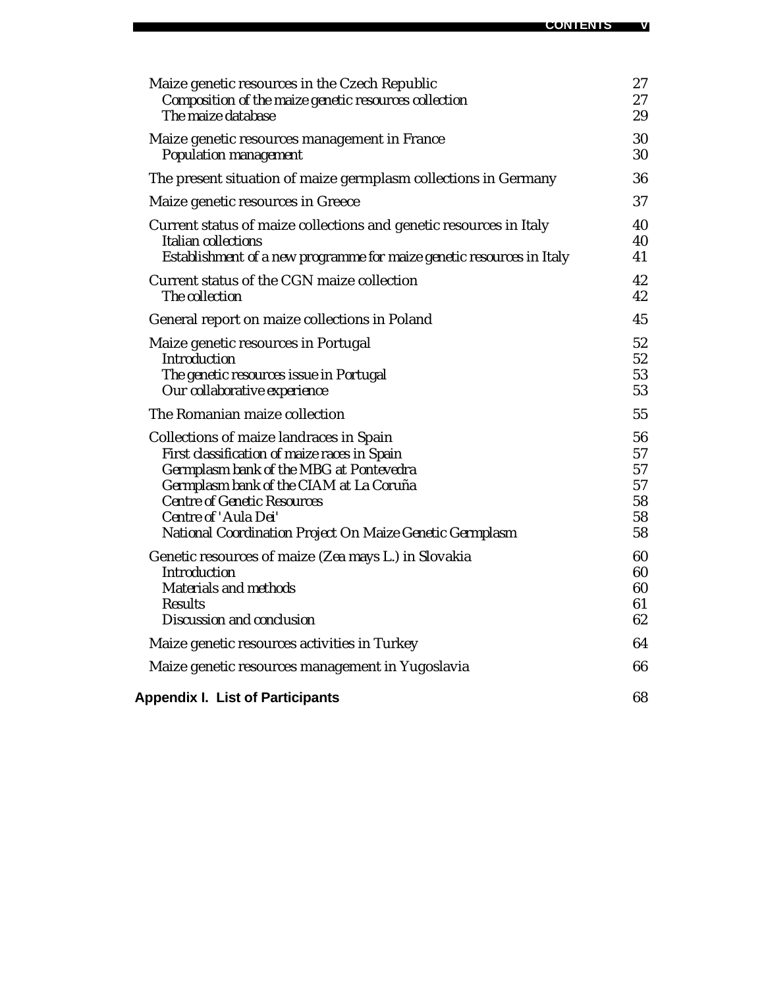| Maize genetic resources in the Czech Republic                         | 27 |
|-----------------------------------------------------------------------|----|
| Composition of the maize genetic resources collection                 | 27 |
| The maize database                                                    | 29 |
| Maize genetic resources management in France                          | 30 |
| Population management                                                 | 30 |
| The present situation of maize germplasm collections in Germany       | 36 |
| Maize genetic resources in Greece                                     | 37 |
| Current status of maize collections and genetic resources in Italy    | 40 |
| Italian collections                                                   | 40 |
| Establishment of a new programme for maize genetic resources in Italy | 41 |
| Current status of the CGN maize collection                            | 42 |
| The collection                                                        | 42 |
| General report on maize collections in Poland                         | 45 |
| Maize genetic resources in Portugal                                   | 52 |
| <b>Introduction</b>                                                   | 52 |
| The genetic resources issue in Portugal                               | 53 |
| Our collaborative experience                                          | 53 |
| The Romanian maize collection                                         | 55 |
| Collections of maize landraces in Spain                               | 56 |
| First classification of maize races in Spain                          | 57 |
| Germplasm bank of the MBG at Pontevedra                               | 57 |
| Germplasm bank of the CIAM at La Coruña                               | 57 |
| <b>Centre of Genetic Resources</b>                                    | 58 |
| Centre of 'Aula Dei'                                                  | 58 |
| National Coordination Project On Maize Genetic Germplasm              | 58 |
| Genetic resources of maize (Zea mays L.) in Slovakia                  | 60 |
| <b>Introduction</b>                                                   | 60 |
| <b>Materials and methods</b>                                          | 60 |
| <b>Results</b>                                                        | 61 |
| Discussion and conclusion                                             | 62 |
| Maize genetic resources activities in Turkey                          | 64 |
| Maize genetic resources management in Yugoslavia                      | 66 |
| <b>Appendix I. List of Participants</b>                               | 68 |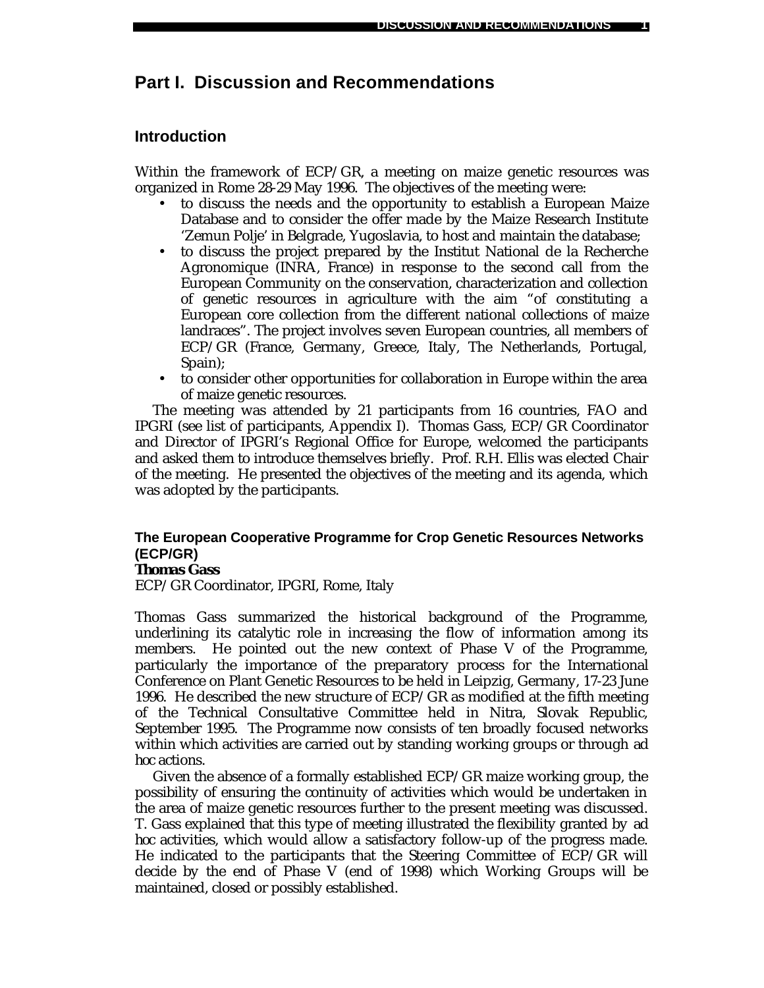# **Part I. Discussion and Recommendations**

# **Introduction**

Within the framework of ECP/GR, a meeting on maize genetic resources was organized in Rome 28-29 May 1996. The objectives of the meeting were:

- to discuss the needs and the opportunity to establish a European Maize Database and to consider the offer made by the Maize Research Institute 'Zemun Polje' in Belgrade, Yugoslavia, to host and maintain the database;
- to discuss the project prepared by the Institut National de la Recherche Agronomique (INRA, France) in response to the second call from the European Community on the conservation, characterization and collection of genetic resources in agriculture with the aim "of constituting a European core collection from the different national collections of maize landraces". The project involves seven European countries, all members of ECP/GR (France, Germany, Greece, Italy, The Netherlands, Portugal, Spain);
- to consider other opportunities for collaboration in Europe within the area of maize genetic resources.

The meeting was attended by 21 participants from 16 countries, FAO and IPGRI (see list of participants, Appendix I). Thomas Gass, ECP/GR Coordinator and Director of IPGRI's Regional Office for Europe, welcomed the participants and asked them to introduce themselves briefly. Prof. R.H. Ellis was elected Chair of the meeting. He presented the objectives of the meeting and its agenda, which was adopted by the participants.

# **The European Cooperative Programme for Crop Genetic Resources Networks (ECP/GR)**

*Thomas Gass*

ECP/GR Coordinator, IPGRI, Rome, Italy

Thomas Gass summarized the historical background of the Programme, underlining its catalytic role in increasing the flow of information among its members. He pointed out the new context of Phase V of the Programme, particularly the importance of the preparatory process for the International Conference on Plant Genetic Resources to be held in Leipzig, Germany, 17-23 June 1996. He described the new structure of ECP/GR as modified at the fifth meeting of the Technical Consultative Committee held in Nitra, Slovak Republic, September 1995. The Programme now consists of ten broadly focused networks within which activities are carried out by standing working groups or through *ad hoc* actions.

Given the absence of a formally established ECP/GR maize working group, the possibility of ensuring the continuity of activities which would be undertaken in the area of maize genetic resources further to the present meeting was discussed. T. Gass explained that this type of meeting illustrated the flexibility granted by *ad hoc* activities, which would allow a satisfactory follow-up of the progress made. He indicated to the participants that the Steering Committee of ECP/GR will decide by the end of Phase V (end of 1998) which Working Groups will be maintained, closed or possibly established.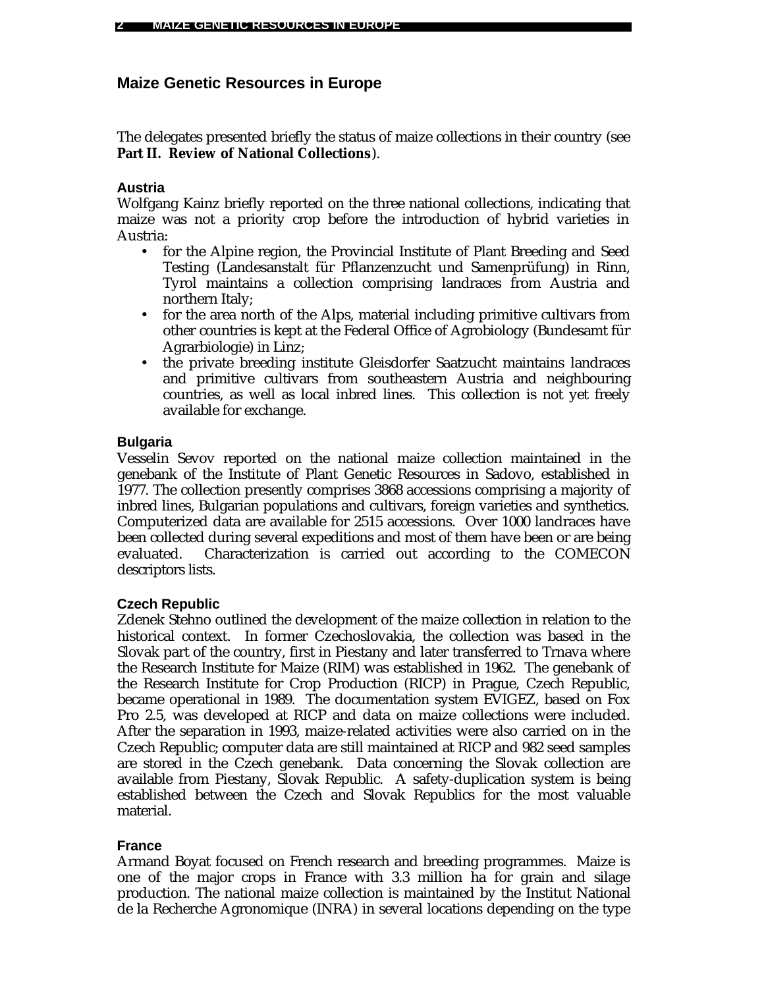# **Maize Genetic Resources in Europe**

The delegates presented briefly the status of maize collections in their country (see **Part II. Review of National Collections**).

# **Austria**

Wolfgang Kainz briefly reported on the three national collections, indicating that maize was not a priority crop before the introduction of hybrid varieties in Austria:

- for the Alpine region, the Provincial Institute of Plant Breeding and Seed Testing (Landesanstalt für Pflanzenzucht und Samenprüfung) in Rinn, Tyrol maintains a collection comprising landraces from Austria and northern Italy;
- for the area north of the Alps, material including primitive cultivars from other countries is kept at the Federal Office of Agrobiology (Bundesamt für Agrarbiologie) in Linz;
- the private breeding institute Gleisdorfer Saatzucht maintains landraces and primitive cultivars from southeastern Austria and neighbouring countries, as well as local inbred lines. This collection is not yet freely available for exchange.

# **Bulgaria**

Vesselin Sevov reported on the national maize collection maintained in the genebank of the Institute of Plant Genetic Resources in Sadovo, established in 1977. The collection presently comprises 3868 accessions comprising a majority of inbred lines, Bulgarian populations and cultivars, foreign varieties and synthetics. Computerized data are available for 2515 accessions. Over 1000 landraces have been collected during several expeditions and most of them have been or are being evaluated. Characterization is carried out according to the COMECON descriptors lists.

# **Czech Republic**

Zdenek Stehno outlined the development of the maize collection in relation to the historical context. In former Czechoslovakia, the collection was based in the Slovak part of the country, first in Piestany and later transferred to Trnava where the Research Institute for Maize (RIM) was established in 1962. The genebank of the Research Institute for Crop Production (RICP) in Prague, Czech Republic, became operational in 1989. The documentation system EVIGEZ, based on Fox Pro 2.5, was developed at RICP and data on maize collections were included. After the separation in 1993, maize-related activities were also carried on in the Czech Republic; computer data are still maintained at RICP and 982 seed samples are stored in the Czech genebank. Data concerning the Slovak collection are available from Piestany, Slovak Republic. A safety-duplication system is being established between the Czech and Slovak Republics for the most valuable material.

# **France**

Armand Boyat focused on French research and breeding programmes. Maize is one of the major crops in France with 3.3 million ha for grain and silage production. The national maize collection is maintained by the Institut National de la Recherche Agronomique (INRA) in several locations depending on the type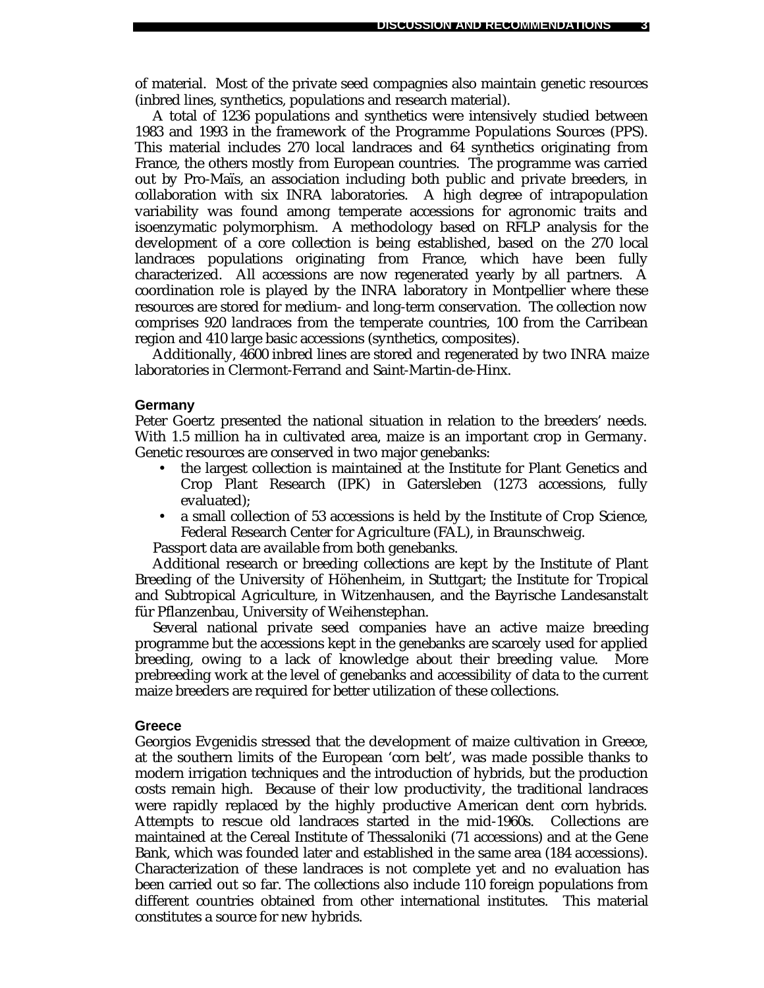of material. Most of the private seed compagnies also maintain genetic resources (inbred lines, synthetics, populations and research material).

A total of 1236 populations and synthetics were intensively studied between 1983 and 1993 in the framework of the Programme Populations Sources (PPS). This material includes 270 local landraces and 64 synthetics originating from France, the others mostly from European countries. The programme was carried out by Pro-Maïs, an association including both public and private breeders, in collaboration with six INRA laboratories. A high degree of intrapopulation variability was found among temperate accessions for agronomic traits and isoenzymatic polymorphism. A methodology based on RFLP analysis for the development of a core collection is being established, based on the 270 local landraces populations originating from France, which have been fully characterized. All accessions are now regenerated yearly by all partners. A coordination role is played by the INRA laboratory in Montpellier where these resources are stored for medium- and long-term conservation. The collection now comprises 920 landraces from the temperate countries, 100 from the Carribean region and 410 large basic accessions (synthetics, composites).

Additionally, 4600 inbred lines are stored and regenerated by two INRA maize laboratories in Clermont-Ferrand and Saint-Martin-de-Hinx.

#### **Germany**

Peter Goertz presented the national situation in relation to the breeders' needs. With 1.5 million ha in cultivated area, maize is an important crop in Germany. Genetic resources are conserved in two major genebanks:

- the largest collection is maintained at the Institute for Plant Genetics and Crop Plant Research (IPK) in Gatersleben (1273 accessions, fully evaluated);
- a small collection of 53 accessions is held by the Institute of Crop Science, Federal Research Center for Agriculture (FAL), in Braunschweig.

Passport data are available from both genebanks.

Additional research or breeding collections are kept by the Institute of Plant Breeding of the University of Höhenheim, in Stuttgart; the Institute for Tropical and Subtropical Agriculture, in Witzenhausen, and the Bayrische Landesanstalt für Pflanzenbau, University of Weihenstephan.

Several national private seed companies have an active maize breeding programme but the accessions kept in the genebanks are scarcely used for applied breeding, owing to a lack of knowledge about their breeding value. More prebreeding work at the level of genebanks and accessibility of data to the current maize breeders are required for better utilization of these collections.

#### **Greece**

Georgios Evgenidis stressed that the development of maize cultivation in Greece, at the southern limits of the European 'corn belt', was made possible thanks to modern irrigation techniques and the introduction of hybrids, but the production costs remain high. Because of their low productivity, the traditional landraces were rapidly replaced by the highly productive American dent corn hybrids. Attempts to rescue old landraces started in the mid-1960s. Collections are maintained at the Cereal Institute of Thessaloniki (71 accessions) and at the Gene Bank, which was founded later and established in the same area (184 accessions). Characterization of these landraces is not complete yet and no evaluation has been carried out so far. The collections also include 110 foreign populations from different countries obtained from other international institutes. This material constitutes a source for new hybrids.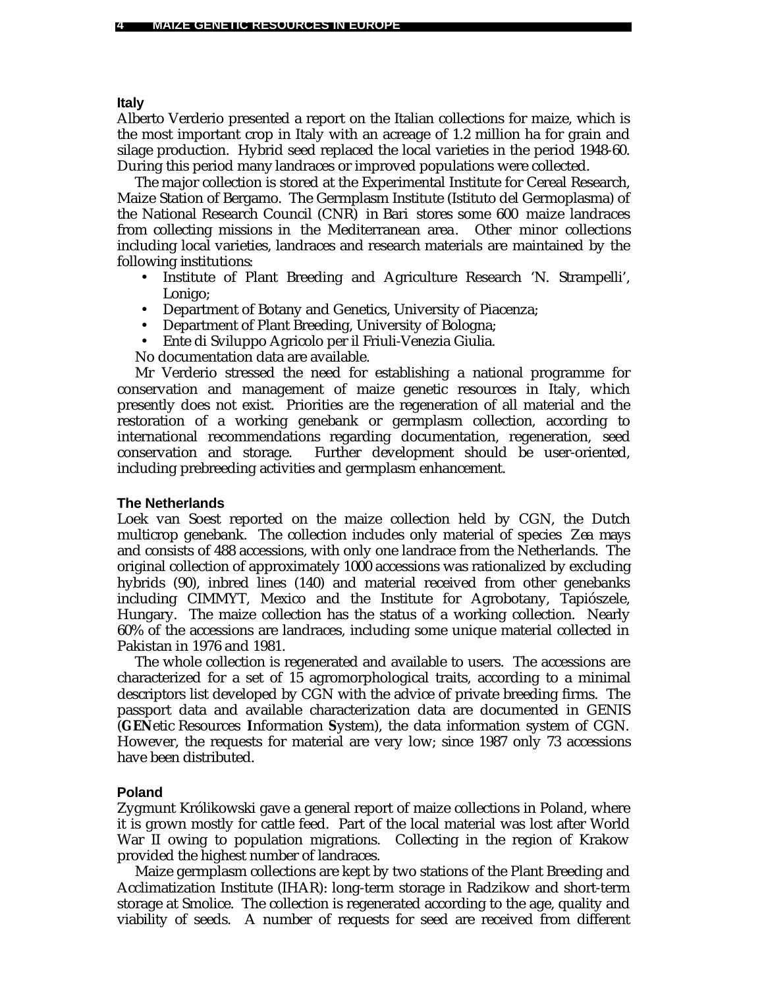#### **Italy**

Alberto Verderio presented a report on the Italian collections for maize, which is the most important crop in Italy with an acreage of 1.2 million ha for grain and silage production. Hybrid seed replaced the local varieties in the period 1948-60. During this period many landraces or improved populations were collected.

The major collection is stored at the Experimental Institute for Cereal Research, Maize Station of Bergamo. The Germplasm Institute (Istituto del Germoplasma) of the National Research Council (CNR) in Bari stores some 600 maize landraces from collecting missions in the Mediterranean area. Other minor collections including local varieties, landraces and research materials are maintained by the following institutions:

- Institute of Plant Breeding and Agriculture Research 'N. Strampelli', Lonigo;
- Department of Botany and Genetics, University of Piacenza;
- Department of Plant Breeding, University of Bologna;
- Ente di Sviluppo Agricolo per il Friuli-Venezia Giulia.

No documentation data are available.

Mr Verderio stressed the need for establishing a national programme for conservation and management of maize genetic resources in Italy, which presently does not exist. Priorities are the regeneration of all material and the restoration of a working genebank or germplasm collection, according to international recommendations regarding documentation, regeneration, seed conservation and storage. Further development should be user-oriented, including prebreeding activities and germplasm enhancement.

### **The Netherlands**

Loek van Soest reported on the maize collection held by CGN, the Dutch multicrop genebank. The collection includes only material of species *Zea mays* and consists of 488 accessions, with only one landrace from the Netherlands. The original collection of approximately 1000 accessions was rationalized by excluding hybrids (90), inbred lines (140) and material received from other genebanks including CIMMYT, Mexico and the Institute for Agrobotany, Tapiószele, Hungary. The maize collection has the status of a working collection. Nearly 60% of the accessions are landraces, including some unique material collected in Pakistan in 1976 and 1981.

The whole collection is regenerated and available to users. The accessions are characterized for a set of 15 agromorphological traits, according to a minimal descriptors list developed by CGN with the advice of private breeding firms. The passport data and available characterization data are documented in GENIS (**GEN**etic Resources **I**nformation **S**ystem), the data information system of CGN. However, the requests for material are very low; since 1987 only 73 accessions have been distributed.

### **Poland**

Zygmunt Królikowski gave a general report of maize collections in Poland, where it is grown mostly for cattle feed. Part of the local material was lost after World War II owing to population migrations. Collecting in the region of Krakow provided the highest number of landraces.

Maize germplasm collections are kept by two stations of the Plant Breeding and Acclimatization Institute (IHAR): long-term storage in Radzikow and short-term storage at Smolice. The collection is regenerated according to the age, quality and viability of seeds. A number of requests for seed are received from different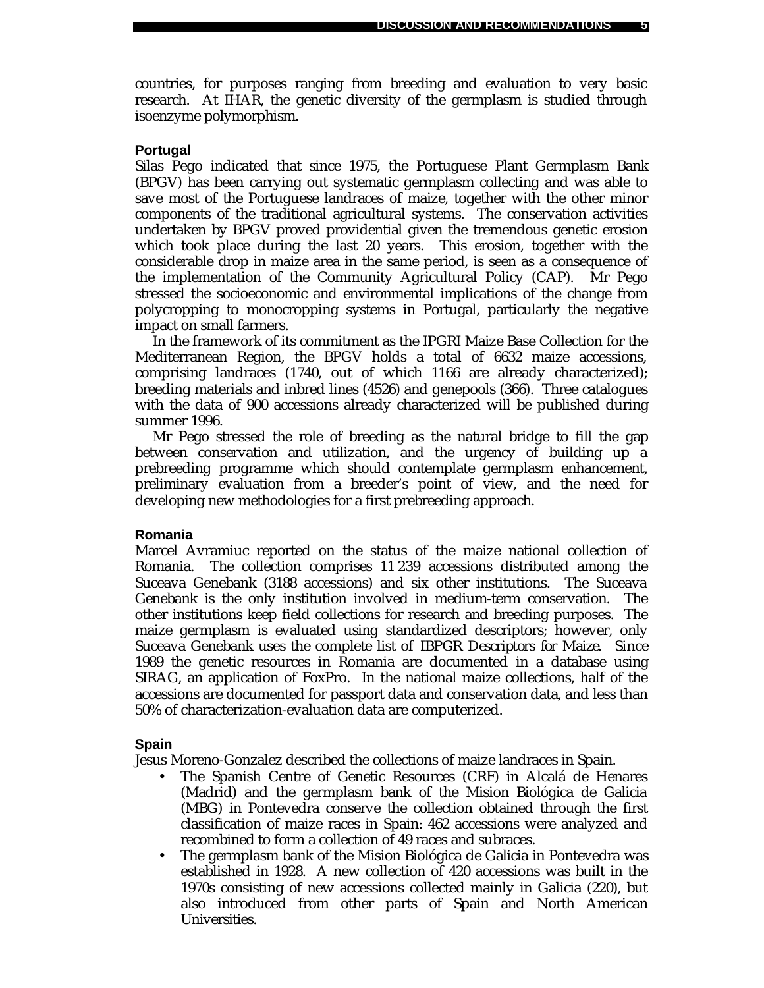countries, for purposes ranging from breeding and evaluation to very basic research. At IHAR, the genetic diversity of the germplasm is studied through isoenzyme polymorphism.

### **Portugal**

Silas Pego indicated that since 1975, the Portuguese Plant Germplasm Bank (BPGV) has been carrying out systematic germplasm collecting and was able to save most of the Portuguese landraces of maize, together with the other minor components of the traditional agricultural systems. The conservation activities undertaken by BPGV proved providential given the tremendous genetic erosion which took place during the last 20 years. This erosion, together with the considerable drop in maize area in the same period, is seen as a consequence of the implementation of the Community Agricultural Policy (CAP). Mr Pego stressed the socioeconomic and environmental implications of the change from polycropping to monocropping systems in Portugal, particularly the negative impact on small farmers.

In the framework of its commitment as the IPGRI Maize Base Collection for the Mediterranean Region, the BPGV holds a total of 6632 maize accessions, comprising landraces (1740, out of which 1166 are already characterized); breeding materials and inbred lines (4526) and genepools (366). Three catalogues with the data of 900 accessions already characterized will be published during summer 1996.

Mr Pego stressed the role of breeding as the natural bridge to fill the gap between conservation and utilization, and the urgency of building up a prebreeding programme which should contemplate germplasm enhancement, preliminary evaluation from a breeder's point of view, and the need for developing new methodologies for a first prebreeding approach.

#### **Romania**

Marcel Avramiuc reported on the status of the maize national collection of Romania. The collection comprises 11 239 accessions distributed among the Suceava Genebank (3188 accessions) and six other institutions. The Suceava Genebank is the only institution involved in medium-term conservation. The other institutions keep field collections for research and breeding purposes. The maize germplasm is evaluated using standardized descriptors; however, only Suceava Genebank uses the complete list of *IBPGR Descriptors for Maize*. Since 1989 the genetic resources in Romania are documented in a database using SIRAG, an application of FoxPro. In the national maize collections, half of the accessions are documented for passport data and conservation data, and less than 50% of characterization-evaluation data are computerized.

#### **Spain**

Jesus Moreno-Gonzalez described the collections of maize landraces in Spain.

- The Spanish Centre of Genetic Resources (CRF) in Alcalá de Henares (Madrid) and the germplasm bank of the Mision Biológica de Galicia (MBG) in Pontevedra conserve the collection obtained through the first classification of maize races in Spain: 462 accessions were analyzed and recombined to form a collection of 49 races and subraces.
- The germplasm bank of the Mision Biológica de Galicia in Pontevedra was established in 1928. A new collection of 420 accessions was built in the 1970s consisting of new accessions collected mainly in Galicia (220), but also introduced from other parts of Spain and North American Universities.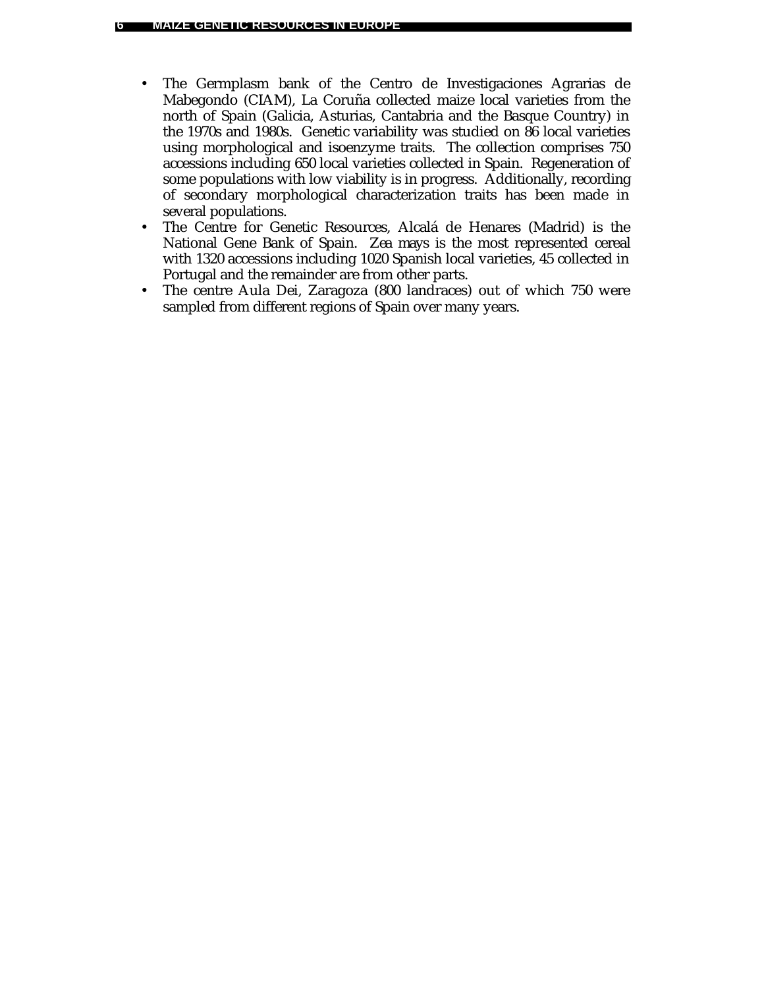- The Germplasm bank of the Centro de Investigaciones Agrarias de Mabegondo (CIAM), La Coruña collected maize local varieties from the north of Spain (Galicia, Asturias, Cantabria and the Basque Country) in the 1970s and 1980s. Genetic variability was studied on 86 local varieties using morphological and isoenzyme traits. The collection comprises 750 accessions including 650 local varieties collected in Spain. Regeneration of some populations with low viability is in progress. Additionally, recording of secondary morphological characterization traits has been made in several populations.
- The Centre for Genetic Resources, Alcalá de Henares (Madrid) is the National Gene Bank of Spain. *Zea mays* is the most represented cereal with 1320 accessions including 1020 Spanish local varieties, 45 collected in Portugal and the remainder are from other parts.
- The centre Aula Dei, Zaragoza (800 landraces) out of which 750 were sampled from different regions of Spain over many years.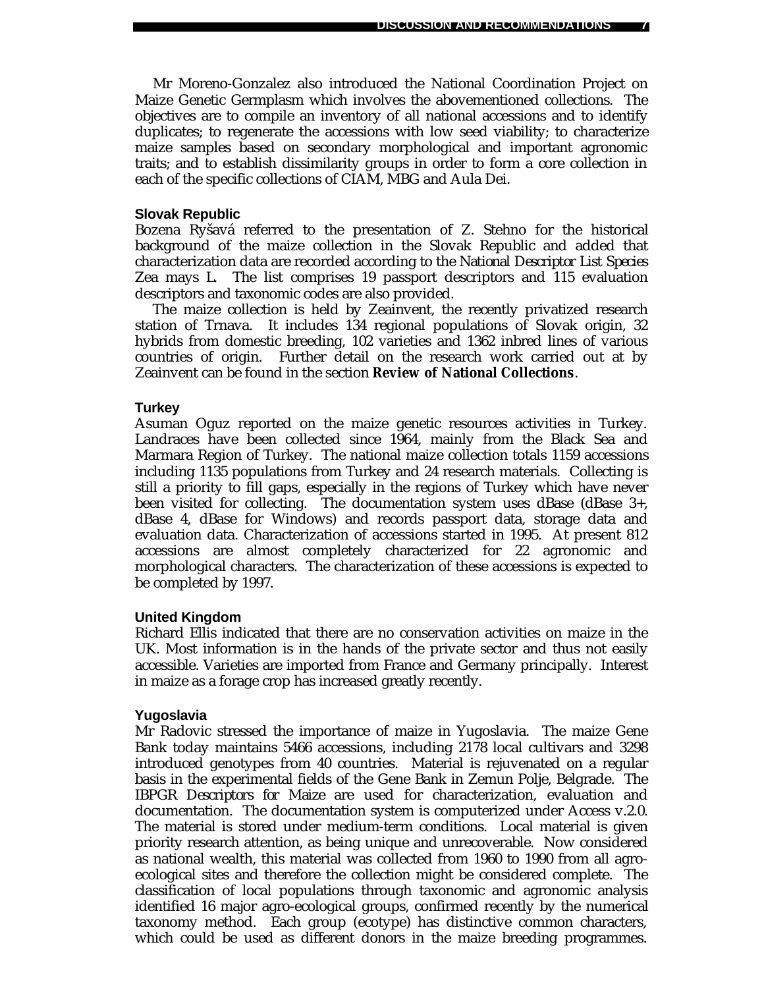Mr Moreno-Gonzalez also introduced the National Coordination Project on Maize Genetic Germplasm which involves the abovementioned collections. The objectives are to compile an inventory of all national accessions and to identify duplicates; to regenerate the accessions with low seed viability; to characterize maize samples based on secondary morphological and important agronomic traits; and to establish dissimilarity groups in order to form a core collection in each of the specific collections of CIAM, MBG and Aula Dei.

#### **Slovak Republic**

Bozena Ryšavá referred to the presentation of Z. Stehno for the historical background of the maize collection in the Slovak Republic and added that characterization data are recorded according to the *National Descriptor List Species* Zea mays *L*. The list comprises 19 passport descriptors and 115 evaluation descriptors and taxonomic codes are also provided.

The maize collection is held by Zeainvent, the recently privatized research station of Trnava. It includes 134 regional populations of Slovak origin, 32 hybrids from domestic breeding, 102 varieties and 1362 inbred lines of various countries of origin. Further detail on the research work carried out at by Zeainvent can be found in the section **Review of National Collections**.

#### **Turkey**

Asuman Oguz reported on the maize genetic resources activities in Turkey. Landraces have been collected since 1964, mainly from the Black Sea and Marmara Region of Turkey. The national maize collection totals 1159 accessions including 1135 populations from Turkey and 24 research materials. Collecting is still a priority to fill gaps, especially in the regions of Turkey which have never been visited for collecting. The documentation system uses dBase (dBase 3+, dBase 4, dBase for Windows) and records passport data, storage data and evaluation data. Characterization of accessions started in 1995. At present 812 accessions are almost completely characterized for 22 agronomic and morphological characters. The characterization of these accessions is expected to be completed by 1997.

#### **United Kingdom**

Richard Ellis indicated that there are no conservation activities on maize in the UK. Most information is in the hands of the private sector and thus not easily accessible. Varieties are imported from France and Germany principally. Interest in maize as a forage crop has increased greatly recently.

#### **Yugoslavia**

Mr Radovic stressed the importance of maize in Yugoslavia. The maize Gene Bank today maintains 5466 accessions, including 2178 local cultivars and 3298 introduced genotypes from 40 countries. Material is rejuvenated on a regular basis in the experimental fields of the Gene Bank in Zemun Polje, Belgrade. The *IBPGR Descriptors for Maize* are used for characterization, evaluation and documentation. The documentation system is computerized under Access v.2.0. The material is stored under medium-term conditions. Local material is given priority research attention, as being unique and unrecoverable. Now considered as national wealth, this material was collected from 1960 to 1990 from all agroecological sites and therefore the collection might be considered complete. The classification of local populations through taxonomic and agronomic analysis identified 16 major agro-ecological groups, confirmed recently by the numerical taxonomy method. Each group (ecotype) has distinctive common characters, which could be used as different donors in the maize breeding programmes.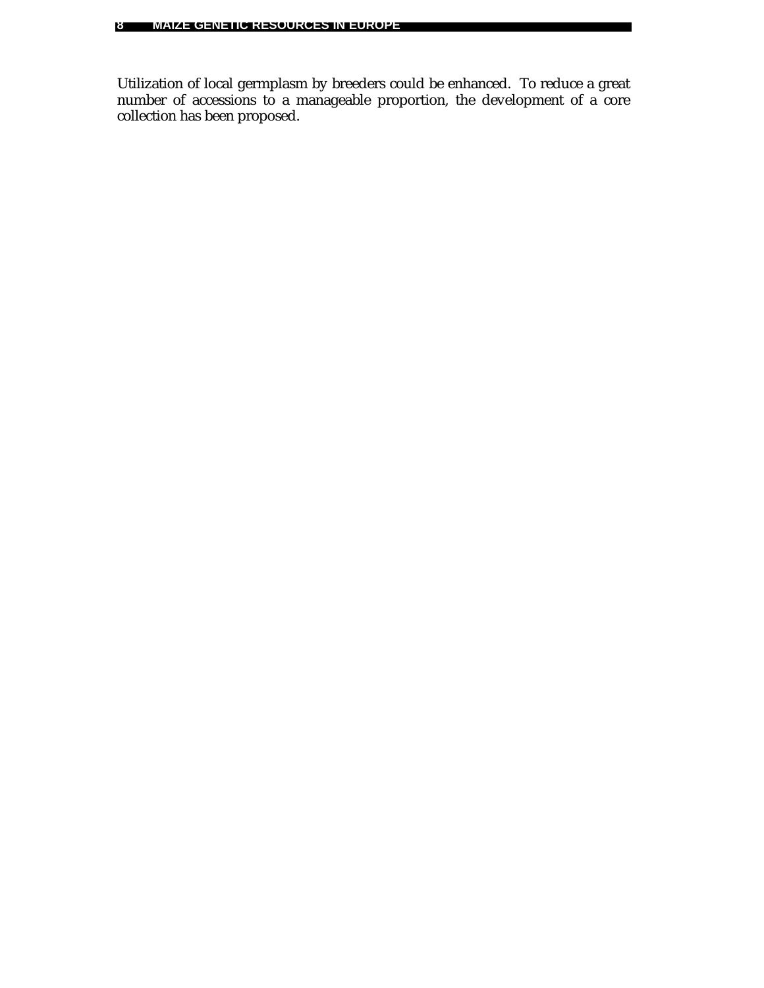Utilization of local germplasm by breeders could be enhanced. To reduce a great number of accessions to a manageable proportion, the development of a core collection has been proposed.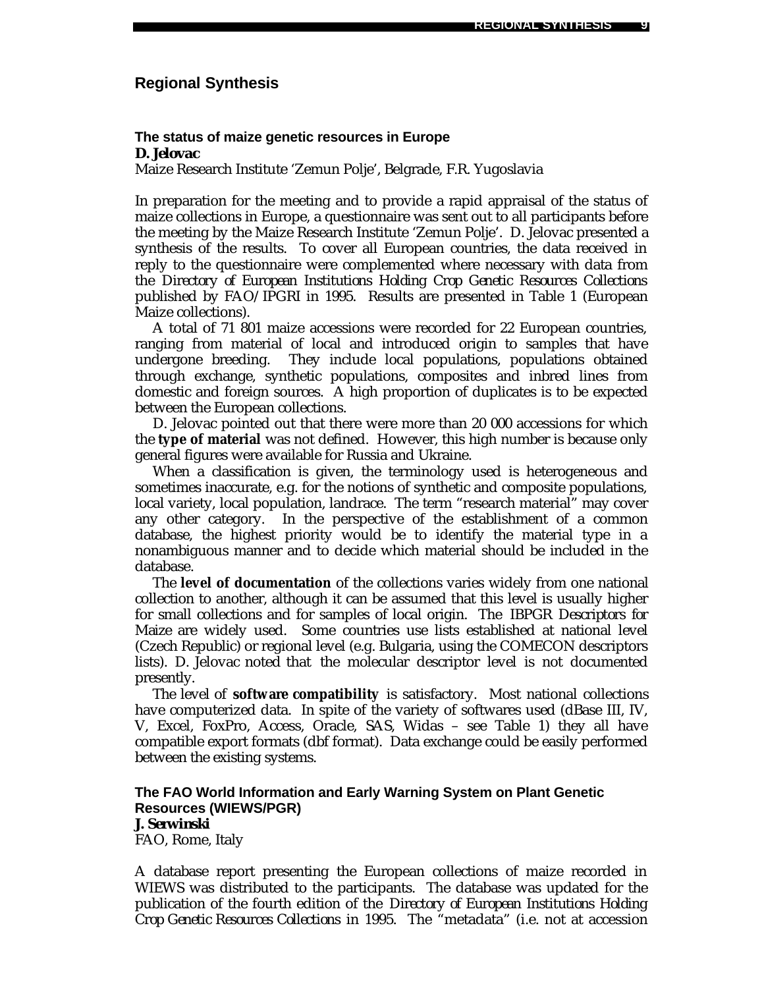# **Regional Synthesis**

#### **The status of maize genetic resources in Europe** *D. Jelovac*

Maize Research Institute 'Zemun Polje', Belgrade, F.R. Yugoslavia

In preparation for the meeting and to provide a rapid appraisal of the status of maize collections in Europe, a questionnaire was sent out to all participants before the meeting by the Maize Research Institute 'Zemun Polje'. D. Jelovac presented a synthesis of the results. To cover all European countries, the data received in reply to the questionnaire were complemented where necessary with data from the *Directory of European Institutions Holding Crop Genetic Resources Collections* published by FAO/IPGRI in 1995. Results are presented in Table 1 (European Maize collections).

A total of 71 801 maize accessions were recorded for 22 European countries, ranging from material of local and introduced origin to samples that have undergone breeding. They include local populations, populations obtained through exchange, synthetic populations, composites and inbred lines from domestic and foreign sources. A high proportion of duplicates is to be expected between the European collections.

D. Jelovac pointed out that there were more than 20 000 accessions for which the **type of material** was not defined. However, this high number is because only general figures were available for Russia and Ukraine.

When a classification is given, the terminology used is heterogeneous and sometimes inaccurate, e.g. for the notions of synthetic and composite populations, local variety, local population, landrace. The term "research material" may cover any other category. In the perspective of the establishment of a common database, the highest priority would be to identify the material type in a nonambiguous manner and to decide which material should be included in the database.

The **level of documentation** of the collections varies widely from one national collection to another, although it can be assumed that this level is usually higher for small collections and for samples of local origin. The *IBPGR Descriptors for Maize* are widely used. Some countries use lists established at national level (Czech Republic) or regional level (e.g. Bulgaria, using the COMECON descriptors lists). D. Jelovac noted that the molecular descriptor level is not documented presently.

The level of **software compatibility** is satisfactory. Most national collections have computerized data. In spite of the variety of softwares used (dBase III, IV, V, Excel, FoxPro, Access, Oracle, SAS, Widas – see Table 1) they all have compatible export formats (dbf format). Data exchange could be easily performed between the existing systems.

# **The FAO World Information and Early Warning System on Plant Genetic Resources (WIEWS/PGR)**

### *J. Serwinski*

FAO, Rome, Italy

A database report presenting the European collections of maize recorded in WIEWS was distributed to the participants. The database was updated for the publication of the fourth edition of the *Directory of European Institutions Holding Crop Genetic Resources Collections* in 1995. The "metadata" (i.e. not at accession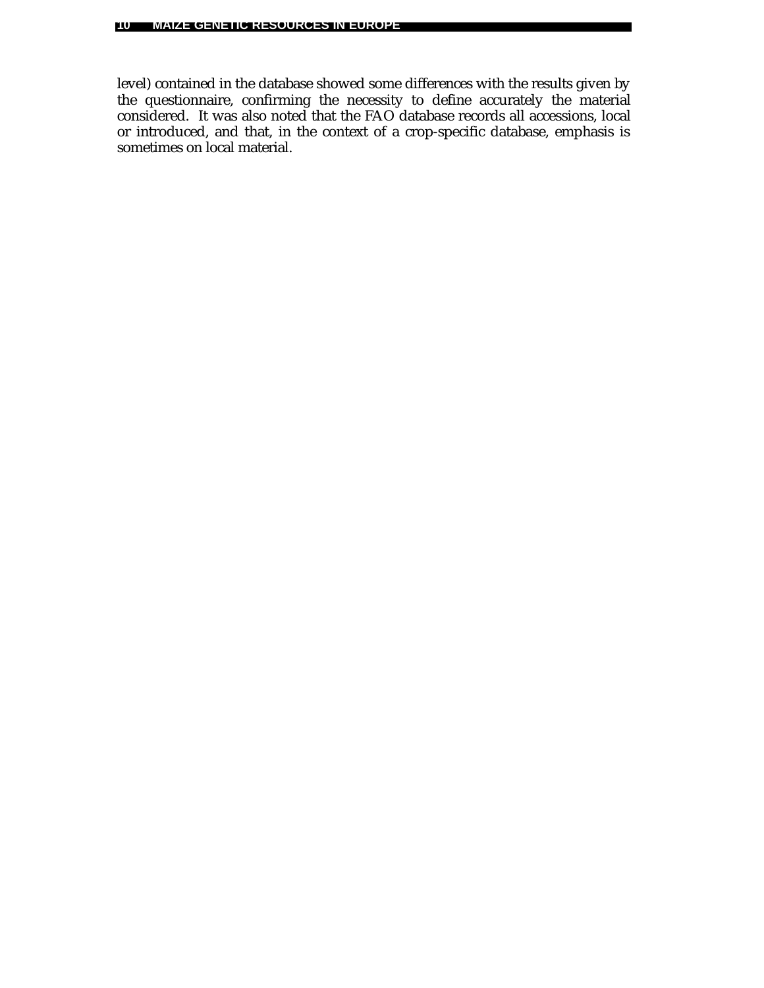level) contained in the database showed some differences with the results given by the questionnaire, confirming the necessity to define accurately the material considered. It was also noted that the FAO database records all accessions, local or introduced, and that, in the context of a crop-specific database, emphasis is sometimes on local material.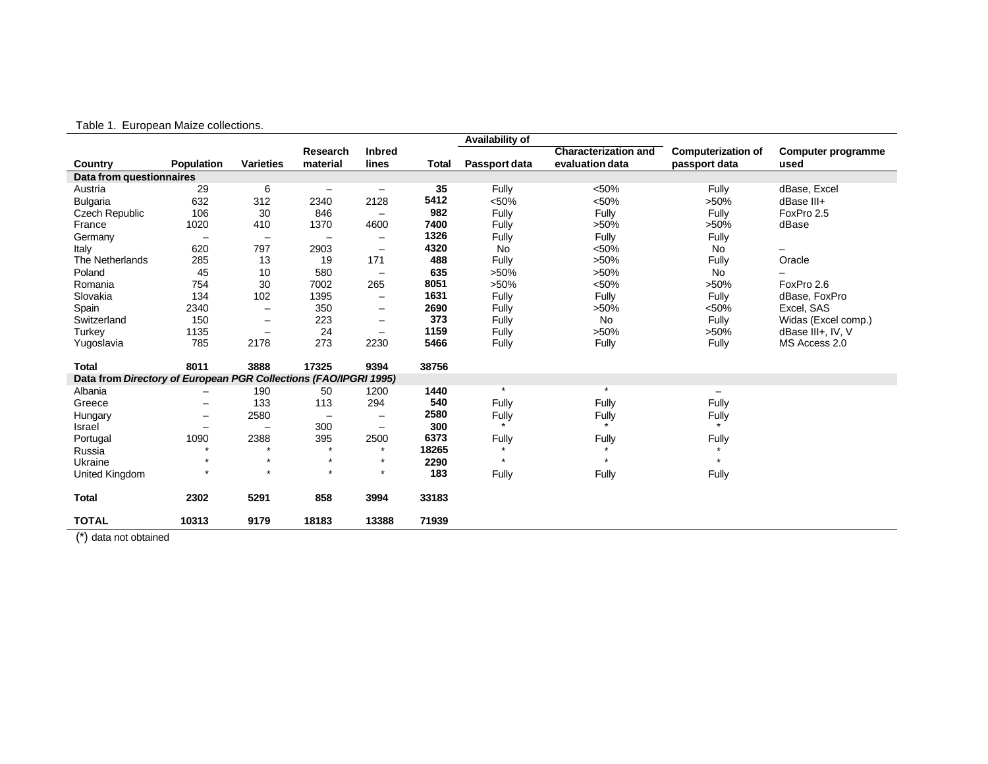|  |  | Table 1. European Maize collections |
|--|--|-------------------------------------|
|  |  |                                     |

|                                                                  |                          |                          |                          |                          |              | Availability of |                             |                           |                     |
|------------------------------------------------------------------|--------------------------|--------------------------|--------------------------|--------------------------|--------------|-----------------|-----------------------------|---------------------------|---------------------|
|                                                                  |                          |                          | Research                 | <b>Inbred</b>            |              |                 | <b>Characterization and</b> | <b>Computerization of</b> | Computer programme  |
| Country                                                          | <b>Population</b>        | <b>Varieties</b>         | material                 | lines                    | <b>Total</b> | Passport data   | evaluation data             | passport data             | used                |
| Data from questionnaires                                         |                          |                          |                          |                          |              |                 |                             |                           |                     |
| Austria                                                          | 29                       | 6                        | $\qquad \qquad -$        |                          | 35           | Fully           | < 50%                       | Fully                     | dBase, Excel        |
| <b>Bulgaria</b>                                                  | 632                      | 312                      | 2340                     | 2128                     | 5412         | < 50%           | < 50%                       | $>50\%$                   | dBase III+          |
| <b>Czech Republic</b>                                            | 106                      | 30                       | 846                      | $\overline{\phantom{0}}$ | 982          | Fully           | Fully                       | Fully                     | FoxPro 2.5          |
| France                                                           | 1020                     | 410                      | 1370                     | 4600                     | 7400         | Fully           | >50%                        | $>50\%$                   | dBase               |
| Germany                                                          | $\overline{\phantom{0}}$ | $\overline{\phantom{0}}$ | $\sim$                   | $\equiv$                 | 1326         | Fully           | Fully                       | Fully                     |                     |
| Italy                                                            | 620                      | 797                      | 2903                     | $\overline{\phantom{m}}$ | 4320         | <b>No</b>       | < 50%                       | No                        | $\qquad \qquad -$   |
| The Netherlands                                                  | 285                      | 13                       | 19                       | 171                      | 488          | Fully           | $>50\%$                     | Fully                     | Oracle              |
| Poland                                                           | 45                       | 10                       | 580                      | $\overline{\phantom{a}}$ | 635          | $>50\%$         | >50%                        | No                        |                     |
| Romania                                                          | 754                      | 30                       | 7002                     | 265                      | 8051         | $>50\%$         | < 50%                       | $>50\%$                   | FoxPro 2.6          |
| Slovakia                                                         | 134                      | 102                      | 1395                     | $\qquad \qquad -$        | 1631         | Fully           | Fully                       | Fully                     | dBase, FoxPro       |
| Spain                                                            | 2340                     | $\overline{\phantom{m}}$ | 350                      | $\overline{\phantom{m}}$ | 2690         | Fully           | >50%                        | < 50%                     | Excel, SAS          |
| Switzerland                                                      | 150                      | $\qquad \qquad -$        | 223                      | $\overline{\phantom{0}}$ | 373          | Fully           | <b>No</b>                   | Fully                     | Widas (Excel comp.) |
| Turkey                                                           | 1135                     |                          | 24                       | $\qquad \qquad -$        | 1159         | Fully           | $>50\%$                     | $>50\%$                   | dBase III+, IV, V   |
| Yugoslavia                                                       | 785                      | 2178                     | 273                      | 2230                     | 5466         | Fully           | Fully                       | Fully                     | MS Access 2.0       |
| <b>Total</b>                                                     | 8011                     | 3888                     | 17325                    | 9394                     | 38756        |                 |                             |                           |                     |
| Data from Directory of European PGR Collections (FAO/IPGRI 1995) |                          |                          |                          |                          |              |                 |                             |                           |                     |
| Albania                                                          | $\qquad \qquad -$        | 190                      | 50                       | 1200                     | 1440         | $\star$         | $\star$                     | $\qquad \qquad -$         |                     |
| Greece                                                           | $\qquad \qquad -$        | 133                      | 113                      | 294                      | 540          | Fully           | Fully                       | Fully                     |                     |
| Hungary                                                          | $\overline{\phantom{0}}$ | 2580                     | $\overline{\phantom{m}}$ | $\qquad \qquad$          | 2580         | Fully           | Fully                       | Fully                     |                     |
| Israel                                                           | $\overline{\phantom{0}}$ |                          | 300                      | $\overline{\phantom{m}}$ | 300          |                 |                             |                           |                     |
| Portugal                                                         | 1090                     | 2388                     | 395                      | 2500                     | 6373         | Fully           | Fully                       | Fully                     |                     |
| Russia                                                           |                          |                          | $\star$                  | $\star$                  | 18265        |                 |                             |                           |                     |
| Ukraine                                                          | $\bullet$                | $\star$                  | $\star$                  | $\star$                  | 2290         | $\star$         | $\bullet$                   |                           |                     |
| United Kingdom                                                   |                          | $\star$                  | $\star$                  | $\star$                  | 183          | Fully           | Fully                       | Fully                     |                     |
| <b>Total</b>                                                     | 2302                     | 5291                     | 858                      | 3994                     | 33183        |                 |                             |                           |                     |
| <b>TOTAL</b>                                                     | 10313                    | 9179                     | 18183                    | 13388                    | 71939        |                 |                             |                           |                     |

(\*) data not obtained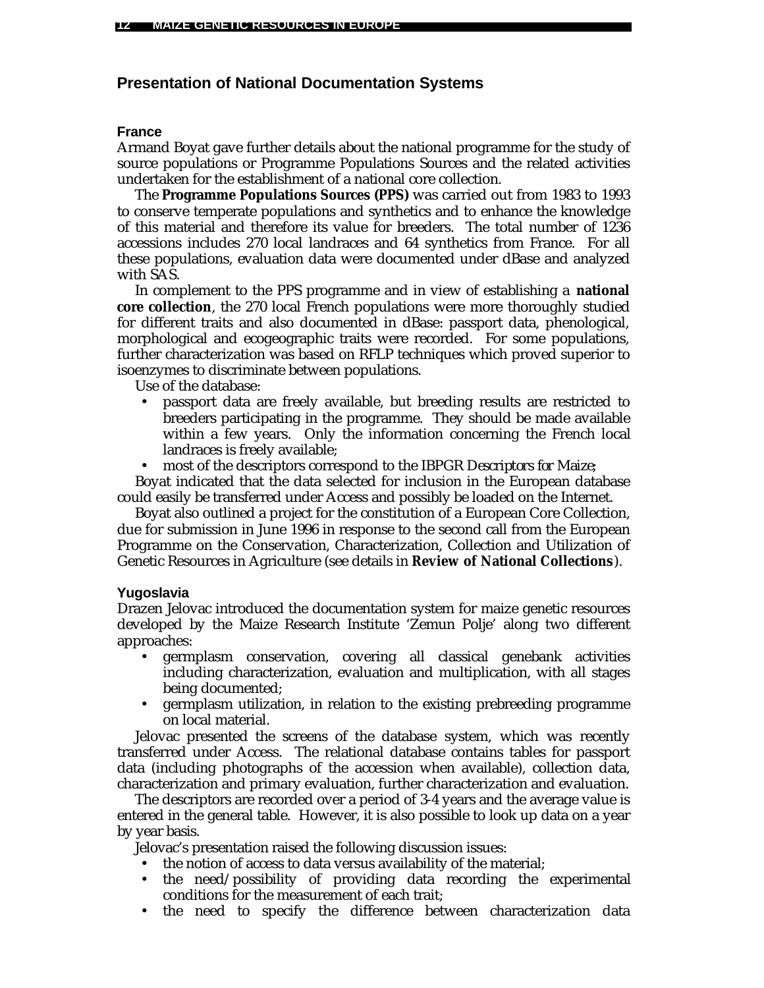# **Presentation of National Documentation Systems**

### **France**

Armand Boyat gave further details about the national programme for the study of source populations or Programme Populations Sources and the related activities undertaken for the establishment of a national core collection.

The **Programme Populations Sources (PPS)** was carried out from 1983 to 1993 to conserve temperate populations and synthetics and to enhance the knowledge of this material and therefore its value for breeders. The total number of 1236 accessions includes 270 local landraces and 64 synthetics from France. For all these populations, evaluation data were documented under dBase and analyzed with SAS.

In complement to the PPS programme and in view of establishing a **national core collection**, the 270 local French populations were more thoroughly studied for different traits and also documented in dBase: passport data, phenological, morphological and ecogeographic traits were recorded. For some populations, further characterization was based on RFLP techniques which proved superior to isoenzymes to discriminate between populations.

Use of the database:

- passport data are freely available, but breeding results are restricted to breeders participating in the programme. They should be made available within a few years. Only the information concerning the French local landraces is freely available;
- most of the descriptors correspond to the *IBPGR Descriptors for Maize;*

Boyat indicated that the data selected for inclusion in the European database could easily be transferred under Access and possibly be loaded on the Internet.

Boyat also outlined a project for the constitution of a European Core Collection, due for submission in June 1996 in response to the second call from the European Programme on the Conservation, Characterization, Collection and Utilization of Genetic Resources in Agriculture (see details in **Review of National Collections**).

### **Yugoslavia**

Drazen Jelovac introduced the documentation system for maize genetic resources developed by the Maize Research Institute 'Zemun Polje' along two different approaches:

- germplasm conservation, covering all classical genebank activities including characterization, evaluation and multiplication, with all stages being documented;
- germplasm utilization, in relation to the existing prebreeding programme on local material.

Jelovac presented the screens of the database system, which was recently transferred under Access. The relational database contains tables for passport data (including photographs of the accession when available), collection data, characterization and primary evaluation, further characterization and evaluation.

The descriptors are recorded over a period of 3-4 years and the average value is entered in the general table. However, it is also possible to look up data on a year by year basis.

Jelovac's presentation raised the following discussion issues:

- the notion of access to data versus availability of the material;
- the need/possibility of providing data recording the experimental conditions for the measurement of each trait;
- the need to specify the difference between characterization data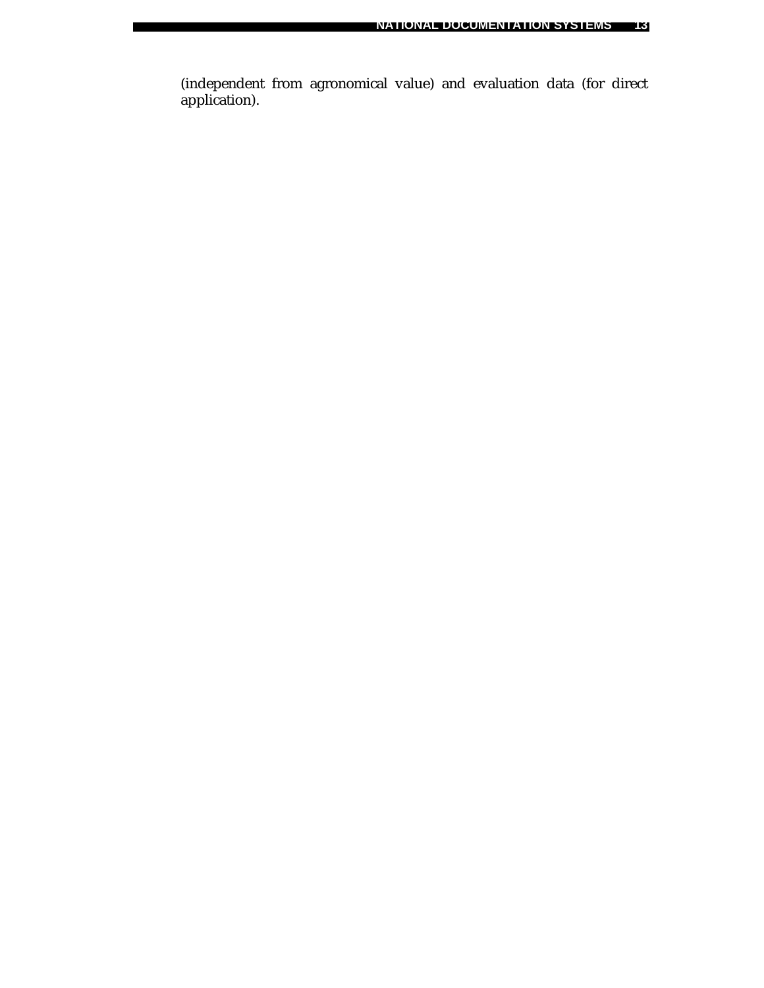(independent from agronomical value) and evaluation data (for direct application).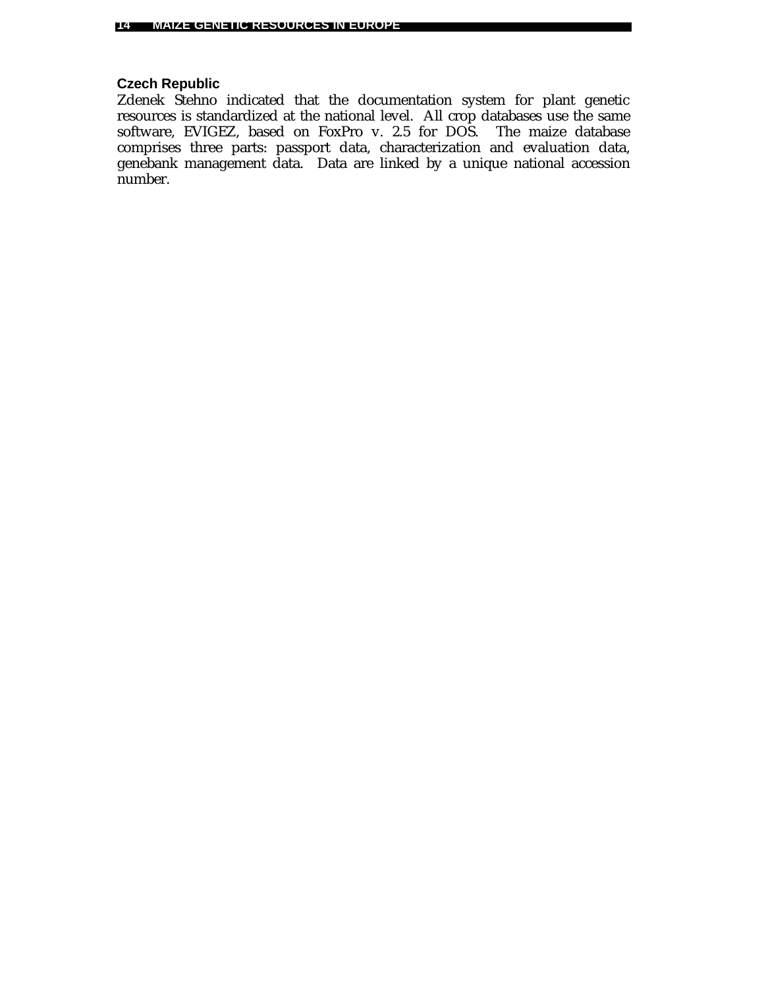# **Czech Republic**

Zdenek Stehno indicated that the documentation system for plant genetic resources is standardized at the national level. All crop databases use the same software, EVIGEZ, based on FoxPro v. 2.5 for DOS. The maize database comprises three parts: passport data, characterization and evaluation data, genebank management data. Data are linked by a unique national accession number.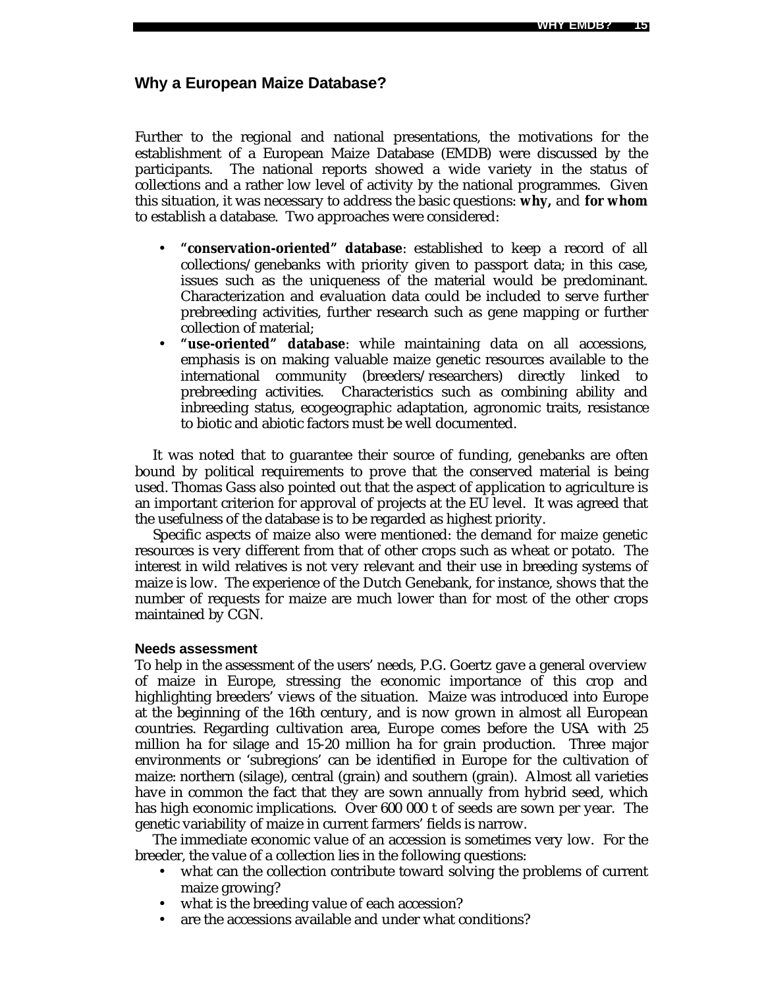### **Why a European Maize Database?**

Further to the regional and national presentations, the motivations for the establishment of a European Maize Database (EMDB) were discussed by the participants. The national reports showed a wide variety in the status of collections and a rather low level of activity by the national programmes. Given this situation, it was necessary to address the basic questions: **why,** and **for whom** to establish a database. Two approaches were considered:

- **"conservation-oriented" database**: established to keep a record of all collections/genebanks with priority given to passport data; in this case, issues such as the uniqueness of the material would be predominant. Characterization and evaluation data could be included to serve further prebreeding activities, further research such as gene mapping or further collection of material;
- **"use-oriented" database**: while maintaining data on all accessions, emphasis is on making valuable maize genetic resources available to the international community (breeders/researchers) directly linked to prebreeding activities. Characteristics such as combining ability and inbreeding status, ecogeographic adaptation, agronomic traits, resistance to biotic and abiotic factors must be well documented.

It was noted that to guarantee their source of funding, genebanks are often bound by political requirements to prove that the conserved material is being used. Thomas Gass also pointed out that the aspect of application to agriculture is an important criterion for approval of projects at the EU level. It was agreed that the usefulness of the database is to be regarded as highest priority.

Specific aspects of maize also were mentioned: the demand for maize genetic resources is very different from that of other crops such as wheat or potato. The interest in wild relatives is not very relevant and their use in breeding systems of maize is low. The experience of the Dutch Genebank, for instance, shows that the number of requests for maize are much lower than for most of the other crops maintained by CGN.

#### **Needs assessment**

To help in the assessment of the users' needs, P.G. Goertz gave a general overview of maize in Europe, stressing the economic importance of this crop and highlighting breeders' views of the situation. Maize was introduced into Europe at the beginning of the 16th century, and is now grown in almost all European countries. Regarding cultivation area, Europe comes before the USA with 25 million ha for silage and 15-20 million ha for grain production. Three major environments or 'subregions' can be identified in Europe for the cultivation of maize: northern (silage), central (grain) and southern (grain). Almost all varieties have in common the fact that they are sown annually from hybrid seed, which has high economic implications. Over 600 000 t of seeds are sown per year. The genetic variability of maize in current farmers' fields is narrow.

The immediate economic value of an accession is sometimes very low. For the breeder, the value of a collection lies in the following questions:

- what can the collection contribute toward solving the problems of current maize growing?
- what is the breeding value of each accession?
- are the accessions available and under what conditions?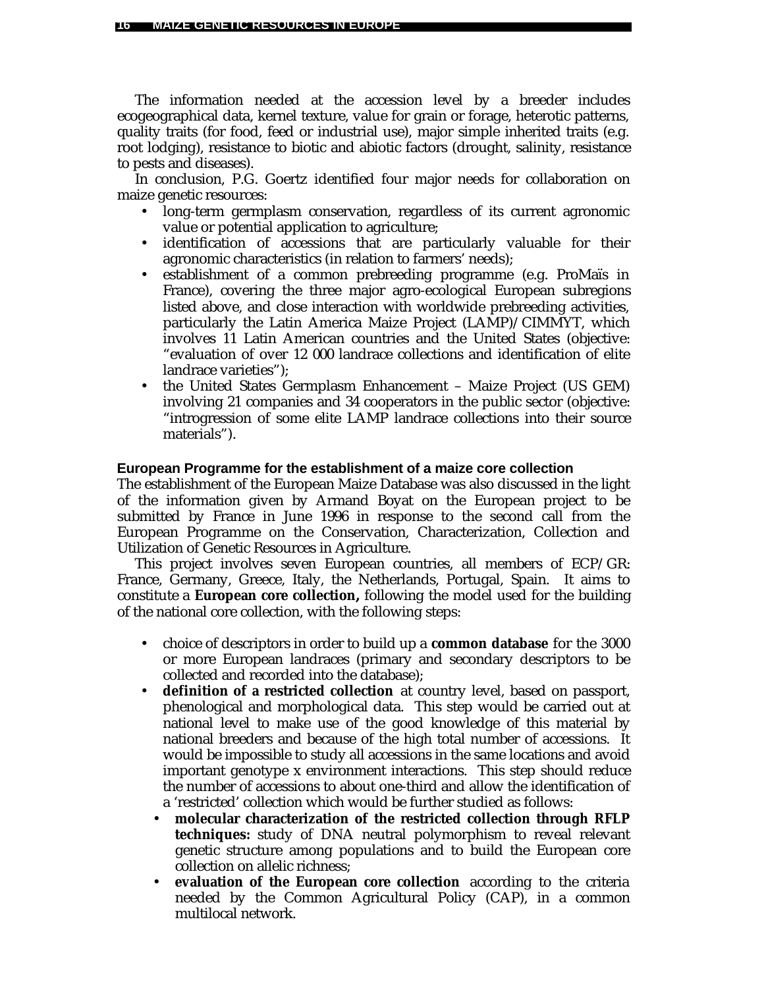The information needed at the accession level by a breeder includes ecogeographical data, kernel texture, value for grain or forage, heterotic patterns, quality traits (for food, feed or industrial use), major simple inherited traits (e.g. root lodging), resistance to biotic and abiotic factors (drought, salinity, resistance to pests and diseases).

In conclusion, P.G. Goertz identified four major needs for collaboration on maize genetic resources:

- long-term germplasm conservation, regardless of its current agronomic value or potential application to agriculture;
- identification of accessions that are particularly valuable for their agronomic characteristics (in relation to farmers' needs);
- establishment of a common prebreeding programme (e.g. ProMaïs in France), covering the three major agro-ecological European subregions listed above, and close interaction with worldwide prebreeding activities, particularly the Latin America Maize Project (LAMP)/CIMMYT, which involves 11 Latin American countries and the United States (objective: "evaluation of over 12 000 landrace collections and identification of elite landrace varieties");
- the United States Germplasm Enhancement Maize Project (US GEM) involving 21 companies and 34 cooperators in the public sector (objective: "introgression of some elite LAMP landrace collections into their source materials").

### **European Programme for the establishment of a maize core collection**

The establishment of the European Maize Database was also discussed in the light of the information given by Armand Boyat on the European project to be submitted by France in June 1996 in response to the second call from the European Programme on the Conservation, Characterization, Collection and Utilization of Genetic Resources in Agriculture.

This project involves seven European countries, all members of ECP/GR: France, Germany, Greece, Italy, the Netherlands, Portugal, Spain. It aims to constitute a **European core collection***,* following the model used for the building of the national core collection, with the following steps:

- choice of descriptors in order to build up a **common database** for the 3000 or more European landraces (primary and secondary descriptors to be collected and recorded into the database);
- **definition of a restricted collection** at country level, based on passport, phenological and morphological data. This step would be carried out at national level to make use of the good knowledge of this material by national breeders and because of the high total number of accessions. It would be impossible to study all accessions in the same locations and avoid important genotype x environment interactions. This step should reduce the number of accessions to about one-third and allow the identification of a 'restricted' collection which would be further studied as follows:
	- **molecular characterization of the restricted collection through RFLP techniques:** study of DNA neutral polymorphism to reveal relevant genetic structure among populations and to build the European core collection on allelic richness;
	- **evaluation of the European core collection** according to the criteria needed by the Common Agricultural Policy (CAP), in a common multilocal network.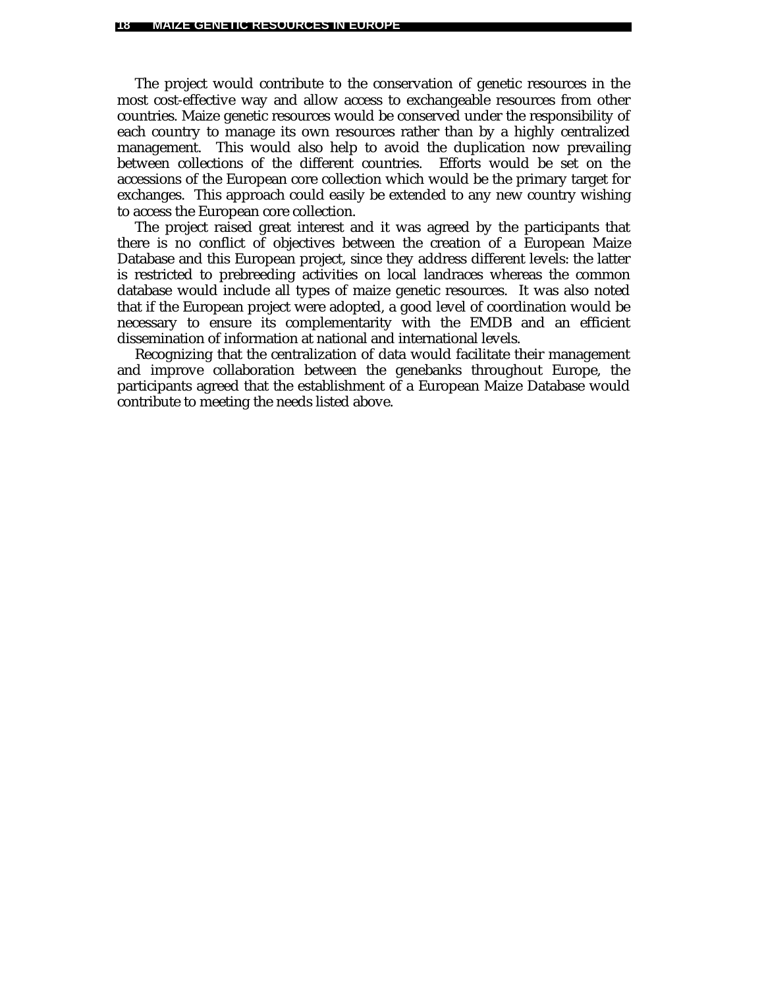The project would contribute to the conservation of genetic resources in the most cost-effective way and allow access to exchangeable resources from other countries. Maize genetic resources would be conserved under the responsibility of each country to manage its own resources rather than by a highly centralized management. This would also help to avoid the duplication now prevailing between collections of the different countries. Efforts would be set on the accessions of the European core collection which would be the primary target for exchanges. This approach could easily be extended to any new country wishing to access the European core collection.

The project raised great interest and it was agreed by the participants that there is no conflict of objectives between the creation of a European Maize Database and this European project, since they address different levels: the latter is restricted to prebreeding activities on local landraces whereas the common database would include all types of maize genetic resources. It was also noted that if the European project were adopted, a good level of coordination would be necessary to ensure its complementarity with the EMDB and an efficient dissemination of information at national and international levels.

Recognizing that the centralization of data would facilitate their management and improve collaboration between the genebanks throughout Europe, the participants agreed that the establishment of a European Maize Database would contribute to meeting the needs listed above.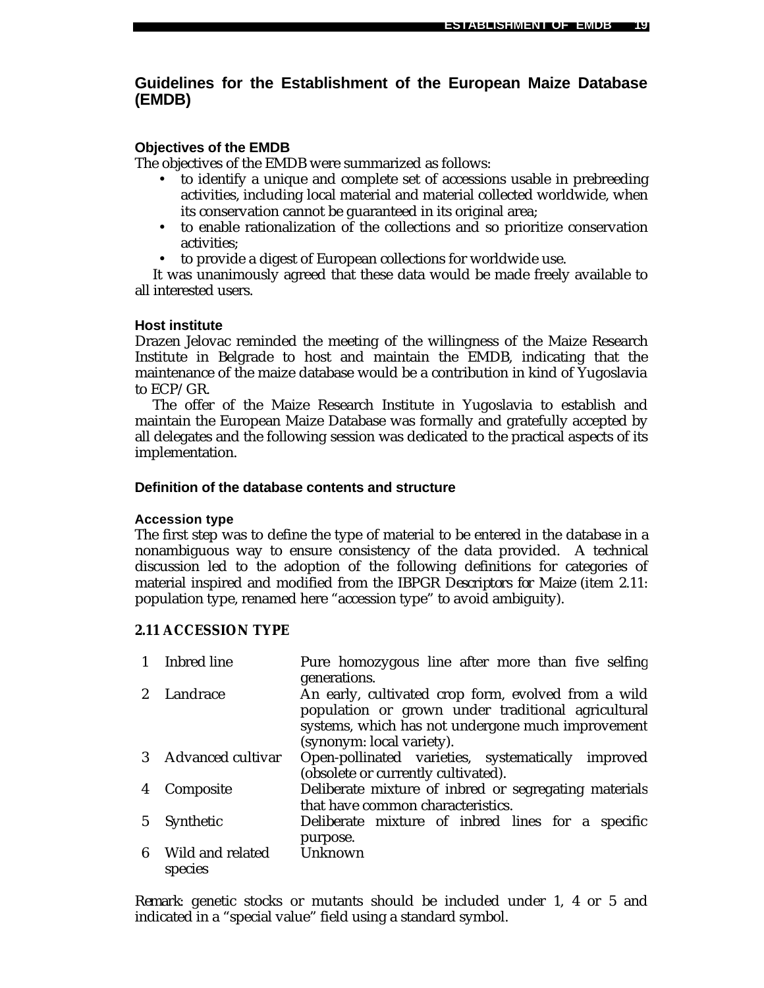# **Guidelines for the Establishment of the European Maize Database (EMDB)**

### **Objectives of the EMDB**

The objectives of the EMDB were summarized as follows:

- to identify a unique and complete set of accessions usable in prebreeding activities, including local material and material collected worldwide, when its conservation cannot be guaranteed in its original area;
- to enable rationalization of the collections and so prioritize conservation activities;
- to provide a digest of European collections for worldwide use.

It was unanimously agreed that these data would be made freely available to all interested users.

### **Host institute**

Drazen Jelovac reminded the meeting of the willingness of the Maize Research Institute in Belgrade to host and maintain the EMDB, indicating that the maintenance of the maize database would be a contribution in kind of Yugoslavia to ECP/GR.

The offer of the Maize Research Institute in Yugoslavia to establish and maintain the European Maize Database was formally and gratefully accepted by all delegates and the following session was dedicated to the practical aspects of its implementation.

### **Definition of the database contents and structure**

### **Accession type**

The first step was to define the type of material to be entered in the database in a nonambiguous way to ensure consistency of the data provided. A technical discussion led to the adoption of the following definitions for categories of material inspired and modified from the *IBPGR Descriptors for Maize* (item 2.11: population type, renamed here "accession type" to avoid ambiguity).

### **2.11 ACCESSION TYPE**

|                | Inbred line                 | Pure homozygous line after more than five selfing<br>generations.                                                                                                                           |
|----------------|-----------------------------|---------------------------------------------------------------------------------------------------------------------------------------------------------------------------------------------|
| 2 <sup>2</sup> | Landrace                    | An early, cultivated crop form, evolved from a wild<br>population or grown under traditional agricultural<br>systems, which has not undergone much improvement<br>(synonym: local variety). |
|                | 3 Advanced cultivar         | Open-pollinated varieties, systematically improved<br>(obsolete or currently cultivated).                                                                                                   |
| 4              | Composite                   | Deliberate mixture of inbred or segregating materials<br>that have common characteristics.                                                                                                  |
| $5^{\circ}$    | Synthetic                   | Deliberate mixture of inbred lines for a specific<br>purpose.                                                                                                                               |
| 6              | Wild and related<br>species | Unknown                                                                                                                                                                                     |

*Remark*: genetic stocks or mutants should be included under 1, 4 or 5 and indicated in a "special value" field using a standard symbol.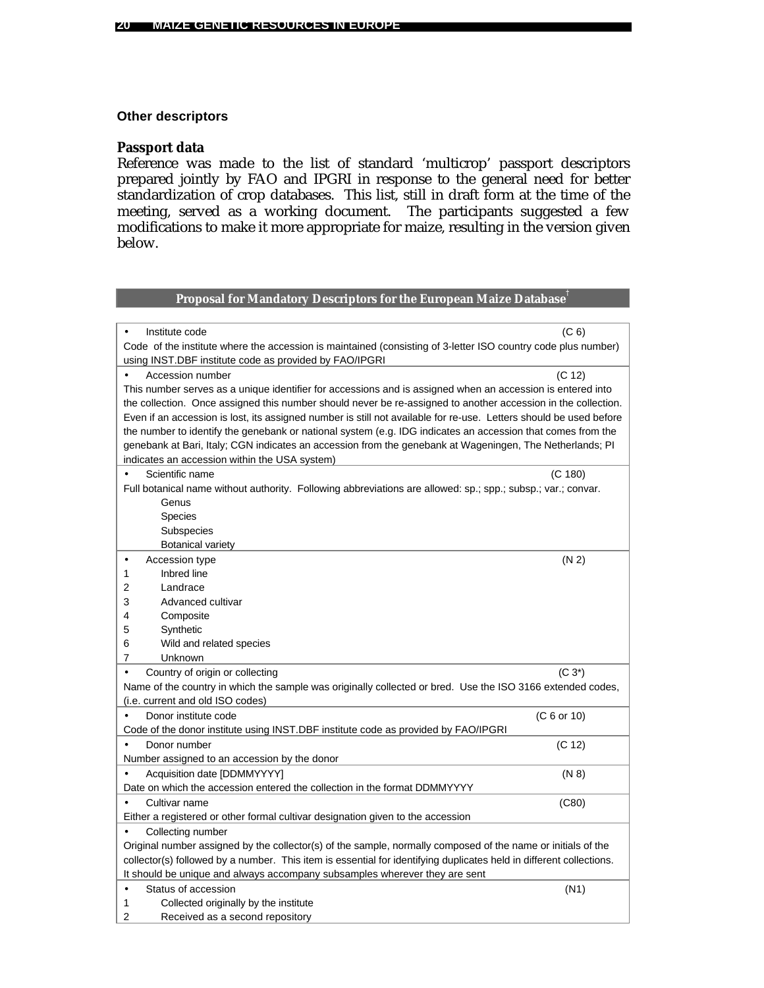### **Other descriptors**

### **Passport data**

Reference was made to the list of standard 'multicrop' passport descriptors prepared jointly by FAO and IPGRI in response to the general need for better standardization of crop databases. This list, still in draft form at the time of the meeting, served as a working document. The participants suggested a few modifications to make it more appropriate for maize, resulting in the version given below.

### **Proposal for Mandatory Descriptors for the European Maize Database†**

| Institute code                                                                                                      | (C <sub>6</sub> ) |
|---------------------------------------------------------------------------------------------------------------------|-------------------|
| Code of the institute where the accession is maintained (consisting of 3-letter ISO country code plus number)       |                   |
| using INST.DBF institute code as provided by FAO/IPGRI                                                              |                   |
| Accession number                                                                                                    | (C 12)            |
| This number serves as a unique identifier for accessions and is assigned when an accession is entered into          |                   |
| the collection. Once assigned this number should never be re-assigned to another accession in the collection.       |                   |
| Even if an accession is lost, its assigned number is still not available for re-use. Letters should be used before  |                   |
| the number to identify the genebank or national system (e.g. IDG indicates an accession that comes from the         |                   |
| genebank at Bari, Italy; CGN indicates an accession from the genebank at Wageningen, The Netherlands; PI            |                   |
| indicates an accession within the USA system)                                                                       |                   |
| Scientific name                                                                                                     | (C 180)           |
| Full botanical name without authority. Following abbreviations are allowed: sp.; spp.; subsp.; var.; convar.        |                   |
| Genus                                                                                                               |                   |
| <b>Species</b>                                                                                                      |                   |
| Subspecies                                                                                                          |                   |
| <b>Botanical variety</b>                                                                                            |                   |
| Accession type<br>$\bullet$                                                                                         | (N 2)             |
| Inbred line<br>1                                                                                                    |                   |
| 2<br>Landrace                                                                                                       |                   |
| 3<br>Advanced cultivar                                                                                              |                   |
| 4<br>Composite                                                                                                      |                   |
| 5<br>Synthetic                                                                                                      |                   |
| 6<br>Wild and related species                                                                                       |                   |
| 7<br>Unknown                                                                                                        |                   |
| Country of origin or collecting<br>$\bullet$                                                                        | $(C 3^*)$         |
| Name of the country in which the sample was originally collected or bred. Use the ISO 3166 extended codes,          |                   |
| (i.e. current and old ISO codes)                                                                                    |                   |
| Donor institute code                                                                                                | (C 6 or 10)       |
| Code of the donor institute using INST.DBF institute code as provided by FAO/IPGRI                                  |                   |
| Donor number                                                                                                        | (C 12)            |
| Number assigned to an accession by the donor                                                                        |                   |
| Acquisition date [DDMMYYYY]                                                                                         | (N 8)             |
| Date on which the accession entered the collection in the format DDMMYYYY                                           |                   |
| Cultivar name                                                                                                       | (C80)             |
| Either a registered or other formal cultivar designation given to the accession                                     |                   |
| Collecting number<br>$\bullet$                                                                                      |                   |
| Original number assigned by the collector(s) of the sample, normally composed of the name or initials of the        |                   |
| collector(s) followed by a number. This item is essential for identifying duplicates held in different collections. |                   |
| It should be unique and always accompany subsamples wherever they are sent                                          |                   |
| Status of accession<br>$\bullet$                                                                                    | (N1)              |
| Collected originally by the institute<br>1                                                                          |                   |
| 2<br>Received as a second repository                                                                                |                   |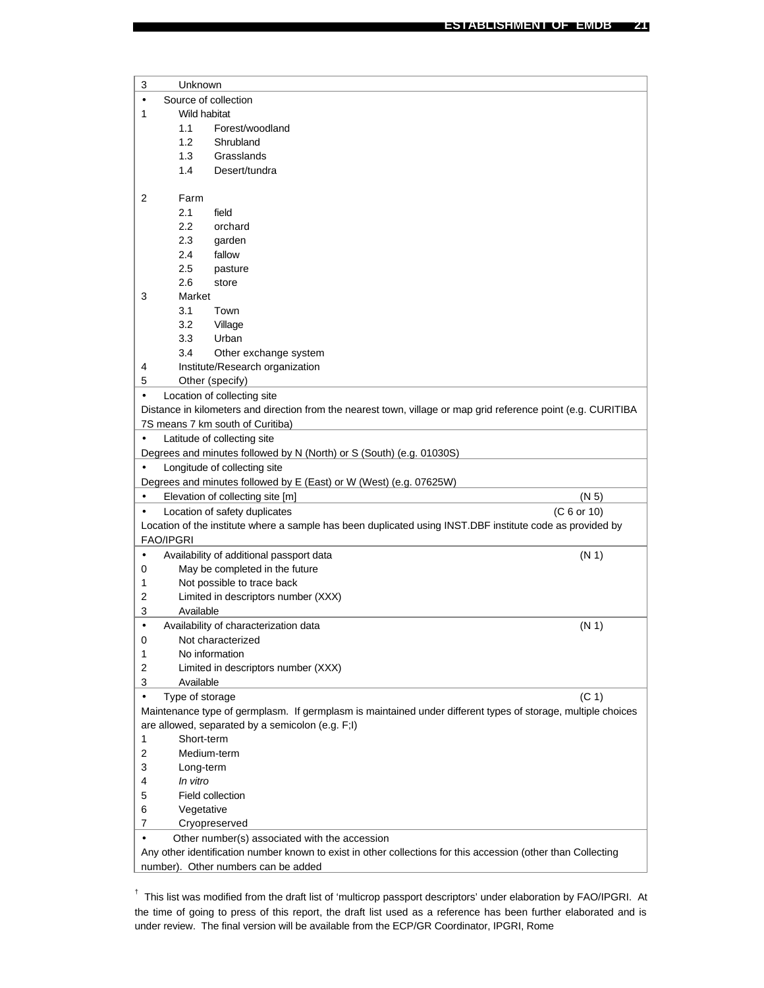| 3         | Unknown          |                                                                                                                |                   |
|-----------|------------------|----------------------------------------------------------------------------------------------------------------|-------------------|
| $\bullet$ |                  | Source of collection                                                                                           |                   |
| 1         |                  | Wild habitat                                                                                                   |                   |
|           | 1.1              | Forest/woodland                                                                                                |                   |
|           | 1.2              | Shrubland                                                                                                      |                   |
|           | 1.3              | Grasslands                                                                                                     |                   |
|           | 1.4              | Desert/tundra                                                                                                  |                   |
|           |                  |                                                                                                                |                   |
| 2         | Farm             |                                                                                                                |                   |
|           | 2.1              | field                                                                                                          |                   |
|           | 2.2              | orchard                                                                                                        |                   |
|           | 2.3              | garden                                                                                                         |                   |
|           | 2.4              | fallow                                                                                                         |                   |
|           | 2.5              | pasture                                                                                                        |                   |
|           | 2.6              | store                                                                                                          |                   |
| 3         | Market           |                                                                                                                |                   |
|           | 3.1              | Town                                                                                                           |                   |
|           | 3.2              | Village                                                                                                        |                   |
|           | 3.3              | Urban                                                                                                          |                   |
|           | 3.4              | Other exchange system                                                                                          |                   |
| 4         |                  | Institute/Research organization                                                                                |                   |
| 5         |                  | Other (specify)                                                                                                |                   |
| $\bullet$ |                  | Location of collecting site                                                                                    |                   |
|           |                  | Distance in kilometers and direction from the nearest town, village or map grid reference point (e.g. CURITIBA |                   |
|           |                  | 7S means 7 km south of Curitiba)                                                                               |                   |
|           |                  | Latitude of collecting site                                                                                    |                   |
|           |                  | Degrees and minutes followed by N (North) or S (South) (e.g. 01030S)                                           |                   |
|           |                  | Longitude of collecting site                                                                                   |                   |
|           |                  | Degrees and minutes followed by E (East) or W (West) (e.g. 07625W)                                             |                   |
|           |                  | Elevation of collecting site [m]                                                                               | (N 5)             |
|           |                  | (C 6 or 10)<br>Location of safety duplicates                                                                   |                   |
|           |                  | Location of the institute where a sample has been duplicated using INST.DBF institute code as provided by      |                   |
|           | <b>FAO/IPGRI</b> |                                                                                                                |                   |
|           |                  | Availability of additional passport data                                                                       | (N 1)             |
| 0         |                  | May be completed in the future                                                                                 |                   |
| 1         |                  | Not possible to trace back                                                                                     |                   |
| 2         |                  | Limited in descriptors number (XXX)                                                                            |                   |
| 3         | Available        |                                                                                                                |                   |
| $\bullet$ |                  | Availability of characterization data                                                                          | (N 1)             |
| 0         |                  | Not characterized                                                                                              |                   |
| 1         |                  | No information                                                                                                 |                   |
| 2         |                  | Limited in descriptors number (XXX)                                                                            |                   |
| 3         | Available        |                                                                                                                |                   |
| $\bullet$ | Type of storage  |                                                                                                                | (C <sub>1</sub> ) |
|           |                  | Maintenance type of germplasm. If germplasm is maintained under different types of storage, multiple choices   |                   |
|           |                  | are allowed, separated by a semicolon (e.g. F;I)                                                               |                   |
| 1         | Short-term       |                                                                                                                |                   |
| 2         |                  | Medium-term                                                                                                    |                   |
| 3         | Long-term        |                                                                                                                |                   |
| 4         | In vitro         |                                                                                                                |                   |
| 5         |                  | Field collection                                                                                               |                   |
| 6         | Vegetative       |                                                                                                                |                   |
| 7         |                  | Cryopreserved                                                                                                  |                   |
| $\bullet$ |                  | Other number(s) associated with the accession                                                                  |                   |
|           |                  | Any other identification number known to exist in other collections for this accession (other than Collecting  |                   |
|           |                  | number). Other numbers can be added                                                                            |                   |

<sup>†</sup> This list was modified from the draft list of 'multicrop passport descriptors' under elaboration by FAO/IPGRI. At the time of going to press of this report, the draft list used as a reference has been further elaborated and is under review. The final version will be available from the ECP/GR Coordinator, IPGRI, Rome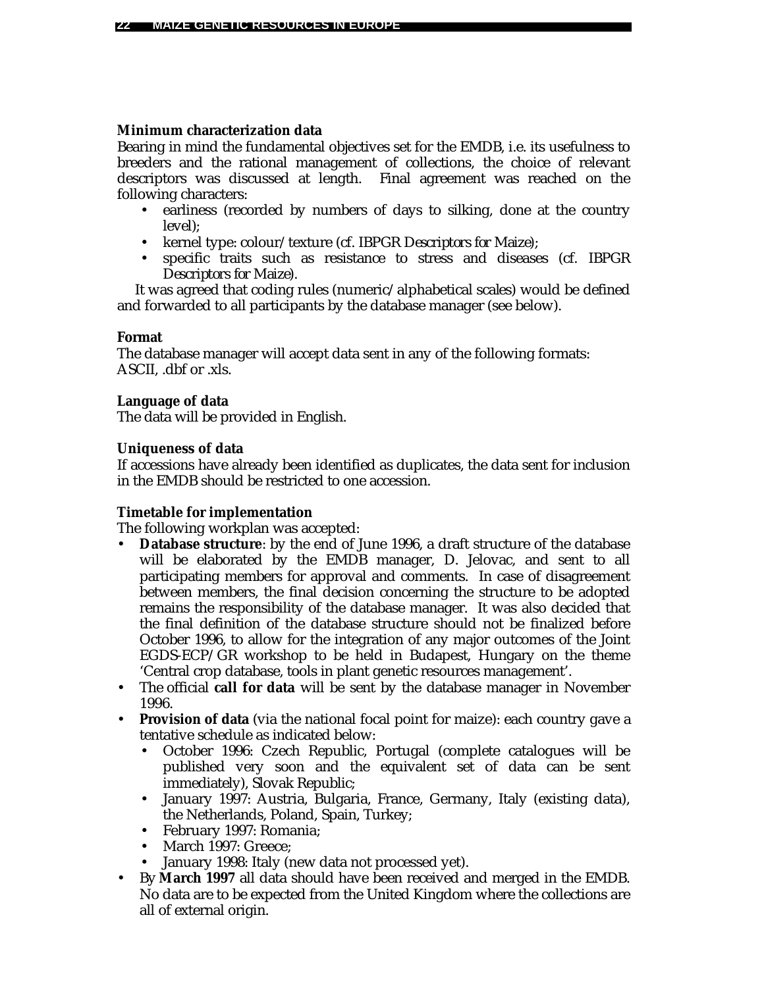# **Minimum characterization data**

Bearing in mind the fundamental objectives set for the EMDB, i.e. its usefulness to breeders and the rational management of collections, the choice of relevant descriptors was discussed at length. Final agreement was reached on the following characters:

- earliness (recorded by numbers of days to silking, done at the country level);
- kernel type: colour/texture (cf. *IBPGR Descriptors for Maize*);
- specific traits such as resistance to stress and diseases (cf. *IBPGR Descriptors for Maize*).

It was agreed that coding rules (numeric/alphabetical scales) would be defined and forwarded to all participants by the database manager (see below).

# **Format**

The database manager will accept data sent in any of the following formats: ASCII, .dbf or .xls.

# **Language of data**

The data will be provided in English.

# **Uniqueness of data**

If accessions have already been identified as duplicates, the data sent for inclusion in the EMDB should be restricted to one accession.

# **Timetable for implementation**

The following workplan was accepted:

- **Database structure**: by the end of June 1996, a draft structure of the database will be elaborated by the EMDB manager, D. Jelovac, and sent to all participating members for approval and comments. In case of disagreement between members, the final decision concerning the structure to be adopted remains the responsibility of the database manager. It was also decided that the final definition of the database structure should not be finalized before October 1996, to allow for the integration of any major outcomes of the Joint EGDS-ECP/GR workshop to be held in Budapest, Hungary on the theme 'Central crop database, tools in plant genetic resources management'.
- The official **call for data** will be sent by the database manager in November 1996.
- **Provision of data** (via the national focal point for maize): each country gave a tentative schedule as indicated below:
	- October 1996: Czech Republic, Portugal (complete catalogues will be published very soon and the equivalent set of data can be sent immediately), Slovak Republic;
	- January 1997: Austria, Bulgaria, France, Germany, Italy (existing data), the Netherlands, Poland, Spain, Turkey;
	- February 1997: Romania;
	- March 1997: Greece:
	- January 1998: Italy (new data not processed yet).
- By **March 1997** all data should have been received and merged in the EMDB. No data are to be expected from the United Kingdom where the collections are all of external origin.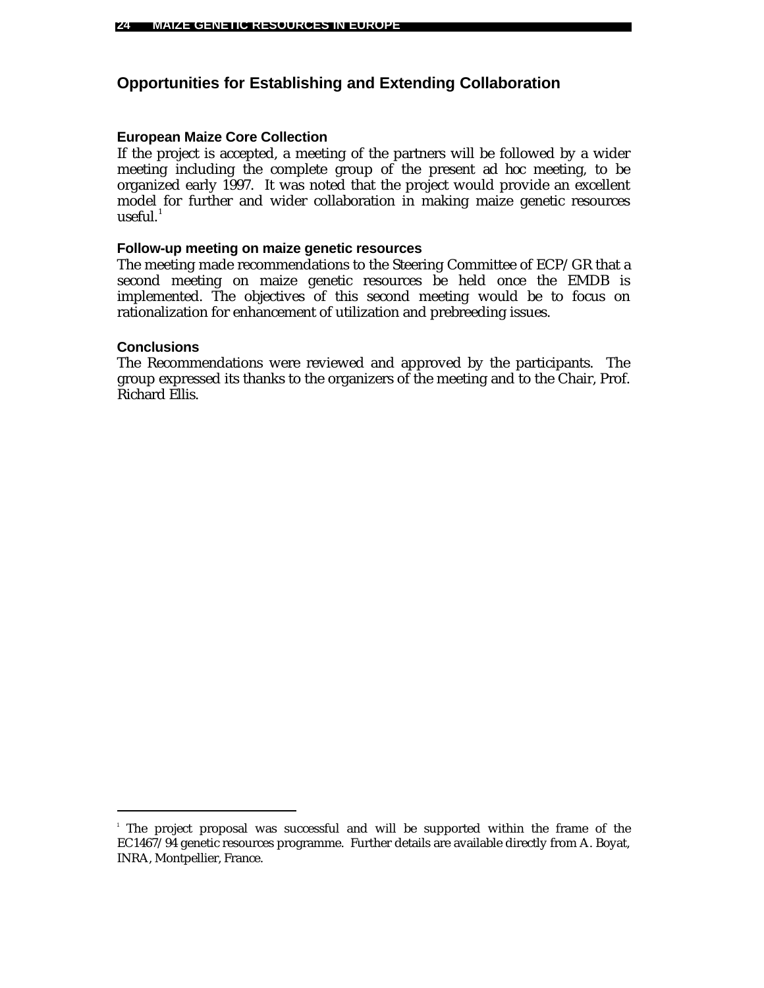# **Opportunities for Establishing and Extending Collaboration**

### **European Maize Core Collection**

If the project is accepted, a meeting of the partners will be followed by a wider meeting including the complete group of the present *ad hoc* meeting, to be organized early 1997. It was noted that the project would provide an excellent model for further and wider collaboration in making maize genetic resources  $useful.<sup>1</sup>$ 

### **Follow-up meeting on maize genetic resources**

The meeting made recommendations to the Steering Committee of ECP/GR that a second meeting on maize genetic resources be held once the EMDB is implemented. The objectives of this second meeting would be to focus on rationalization for enhancement of utilization and prebreeding issues.

### **Conclusions**

l

The Recommendations were reviewed and approved by the participants. The group expressed its thanks to the organizers of the meeting and to the Chair, Prof. Richard Ellis.

<sup>1</sup> The project proposal was successful and will be supported within the frame of the EC1467/94 genetic resources programme. Further details are available directly from A. Boyat, INRA, Montpellier, France.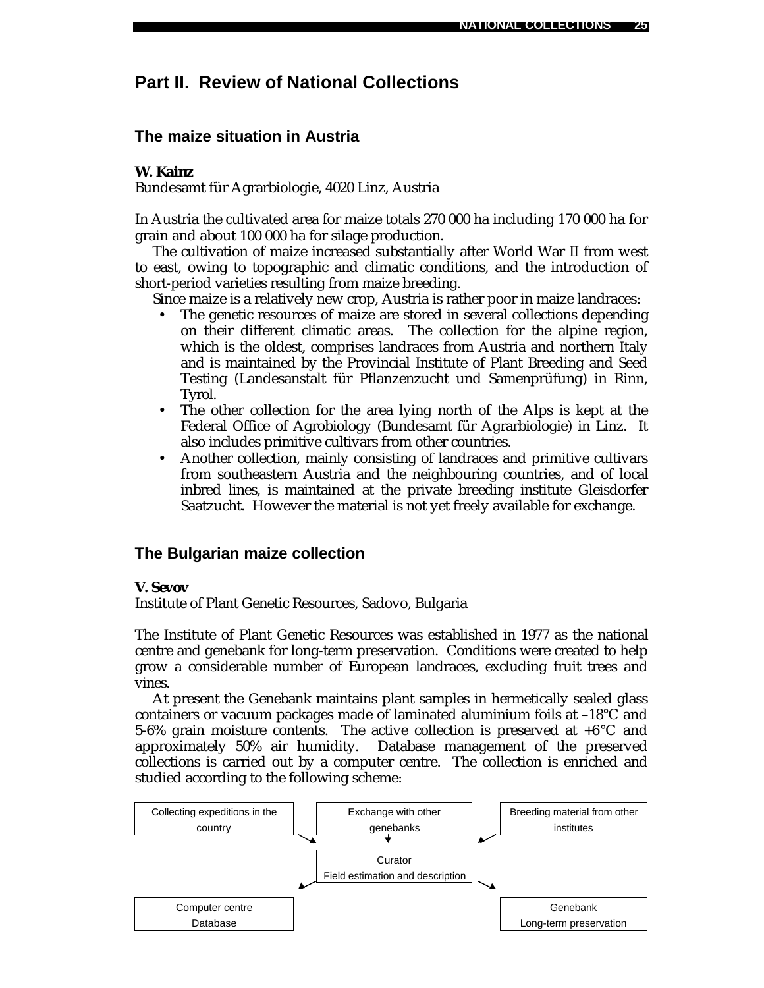# **Part II. Review of National Collections**

# **The maize situation in Austria**

## *W. Kainz*

Bundesamt für Agrarbiologie, 4020 Linz, Austria

In Austria the cultivated area for maize totals 270 000 ha including 170 000 ha for grain and about 100 000 ha for silage production.

The cultivation of maize increased substantially after World War II from west to east, owing to topographic and climatic conditions, and the introduction of short-period varieties resulting from maize breeding.

Since maize is a relatively new crop, Austria is rather poor in maize landraces:

- The genetic resources of maize are stored in several collections depending on their different climatic areas. The collection for the alpine region, which is the oldest, comprises landraces from Austria and northern Italy and is maintained by the Provincial Institute of Plant Breeding and Seed Testing (Landesanstalt für Pflanzenzucht und Samenprüfung) in Rinn, Tyrol.
- The other collection for the area lying north of the Alps is kept at the Federal Office of Agrobiology (Bundesamt für Agrarbiologie) in Linz. It also includes primitive cultivars from other countries.
- Another collection, mainly consisting of landraces and primitive cultivars from southeastern Austria and the neighbouring countries, and of local inbred lines, is maintained at the private breeding institute Gleisdorfer Saatzucht. However the material is not yet freely available for exchange.

### **The Bulgarian maize collection**

#### *V. Sevov*

Institute of Plant Genetic Resources, Sadovo, Bulgaria

The Institute of Plant Genetic Resources was established in 1977 as the national centre and genebank for long-term preservation. Conditions were created to help grow a considerable number of European landraces, excluding fruit trees and vines.

At present the Genebank maintains plant samples in hermetically sealed glass containers or vacuum packages made of laminated aluminium foils at –18°C and 5-6% grain moisture contents. The active collection is preserved at  $+6^{\circ}$ C and approximately 50% air humidity. Database management of the preserved collections is carried out by a computer centre. The collection is enriched and studied according to the following scheme:

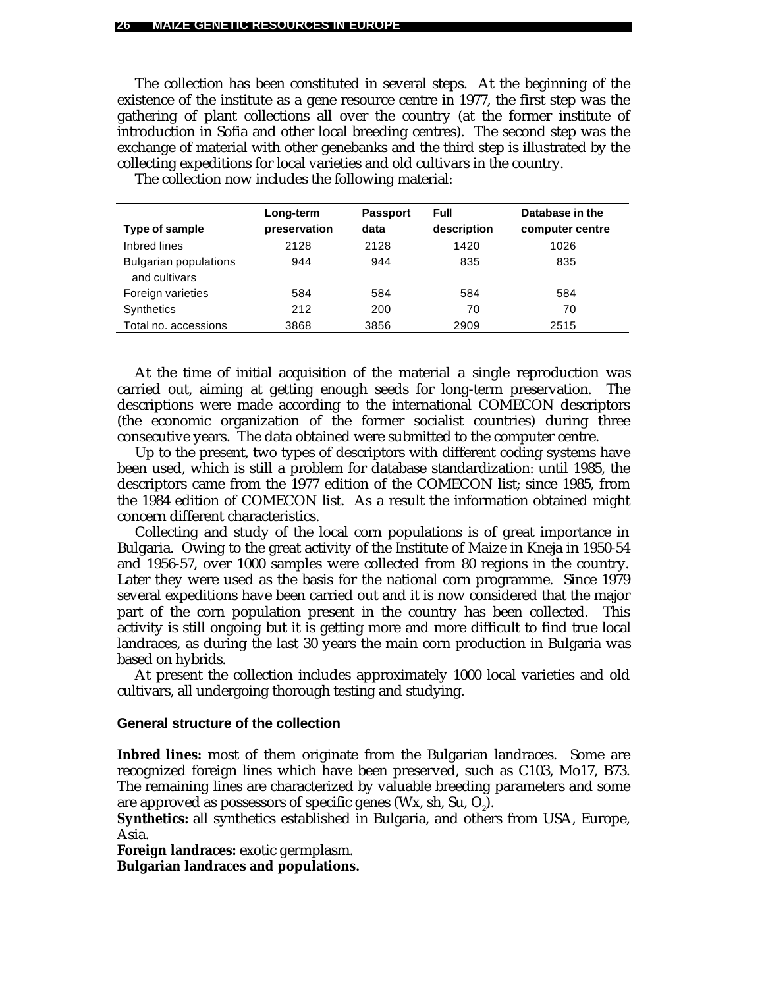The collection has been constituted in several steps. At the beginning of the existence of the institute as a gene resource centre in 1977, the first step was the gathering of plant collections all over the country (at the former institute of introduction in Sofia and other local breeding centres). The second step was the exchange of material with other genebanks and the third step is illustrated by the collecting expeditions for local varieties and old cultivars in the country.

|                                               | Long-term    | <b>Passport</b> | Full        | Database in the |
|-----------------------------------------------|--------------|-----------------|-------------|-----------------|
| Type of sample                                | preservation | data            | description | computer centre |
| Inbred lines                                  | 2128         | 2128            | 1420        | 1026            |
| <b>Bulgarian populations</b><br>and cultivars | 944          | 944             | 835         | 835             |
| Foreign varieties                             | 584          | 584             | 584         | 584             |
| <b>Synthetics</b>                             | 212          | 200             | 70          | 70              |
| Total no. accessions                          | 3868         | 3856            | 2909        | 2515            |

The collection now includes the following material:

At the time of initial acquisition of the material a single reproduction was carried out, aiming at getting enough seeds for long-term preservation. The descriptions were made according to the international COMECON descriptors (the economic organization of the former socialist countries) during three consecutive years. The data obtained were submitted to the computer centre.

Up to the present, two types of descriptors with different coding systems have been used, which is still a problem for database standardization: until 1985, the descriptors came from the 1977 edition of the COMECON list; since 1985, from the 1984 edition of COMECON list. As a result the information obtained might concern different characteristics.

Collecting and study of the local corn populations is of great importance in Bulgaria. Owing to the great activity of the Institute of Maize in Kneja in 1950-54 and 1956-57, over 1000 samples were collected from 80 regions in the country. Later they were used as the basis for the national corn programme. Since 1979 several expeditions have been carried out and it is now considered that the major part of the corn population present in the country has been collected. This activity is still ongoing but it is getting more and more difficult to find true local landraces, as during the last 30 years the main corn production in Bulgaria was based on hybrids.

At present the collection includes approximately 1000 local varieties and old cultivars, all undergoing thorough testing and studying.

#### **General structure of the collection**

**Inbred lines:** most of them originate from the Bulgarian landraces. Some are recognized foreign lines which have been preserved, such as C103, Mo17, B73. The remaining lines are characterized by valuable breeding parameters and some are approved as possessors of specific genes (Wx, sh, Su,  $\mathrm{O}_2$ ).

**Synthetics:** all synthetics established in Bulgaria, and others from USA, Europe, Asia.

**Foreign landraces:** exotic germplasm. **Bulgarian landraces and populations.**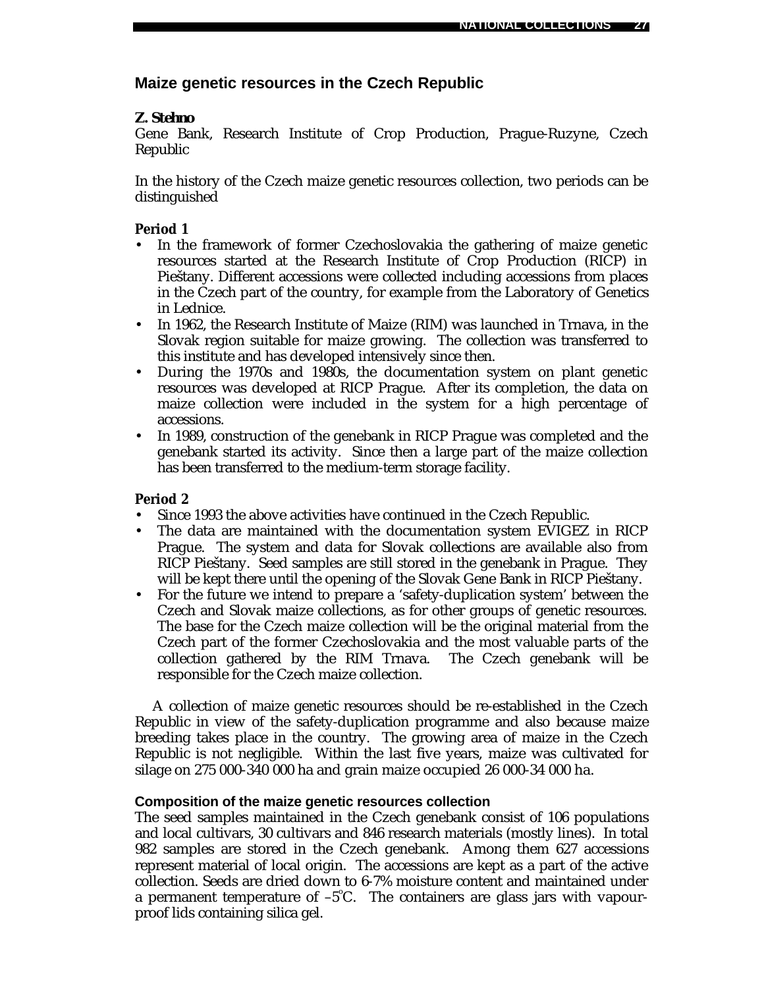# **Maize genetic resources in the Czech Republic**

# *Z. Stehno*

Gene Bank, Research Institute of Crop Production, Prague-Ruzyne, Czech Republic

In the history of the Czech maize genetic resources collection, two periods can be distinguished

# **Period 1**

- In the framework of former Czechoslovakia the gathering of maize genetic resources started at the Research Institute of Crop Production (RICP) in Pieštany. Different accessions were collected including accessions from places in the Czech part of the country, for example from the Laboratory of Genetics in Lednice.
- In 1962, the Research Institute of Maize (RIM) was launched in Trnava, in the Slovak region suitable for maize growing. The collection was transferred to this institute and has developed intensively since then.
- During the 1970s and 1980s, the documentation system on plant genetic resources was developed at RICP Prague. After its completion, the data on maize collection were included in the system for a high percentage of accessions.
- In 1989, construction of the genebank in RICP Prague was completed and the genebank started its activity. Since then a large part of the maize collection has been transferred to the medium-term storage facility.

# **Period 2**

- Since 1993 the above activities have continued in the Czech Republic.
- The data are maintained with the documentation system EVIGEZ in RICP Prague. The system and data for Slovak collections are available also from RICP Pieštany. Seed samples are still stored in the genebank in Prague. They will be kept there until the opening of the Slovak Gene Bank in RICP Pieštany.
- For the future we intend to prepare a 'safety-duplication system' between the Czech and Slovak maize collections, as for other groups of genetic resources. The base for the Czech maize collection will be the original material from the Czech part of the former Czechoslovakia and the most valuable parts of the collection gathered by the RIM Trnava. The Czech genebank will be responsible for the Czech maize collection.

A collection of maize genetic resources should be re-established in the Czech Republic in view of the safety-duplication programme and also because maize breeding takes place in the country. The growing area of maize in the Czech Republic is not negligible. Within the last five years, maize was cultivated for silage on 275 000-340 000 ha and grain maize occupied 26 000-34 000 ha.

### **Composition of the maize genetic resources collection**

The seed samples maintained in the Czech genebank consist of 106 populations and local cultivars, 30 cultivars and 846 research materials (mostly lines). In total 982 samples are stored in the Czech genebank. Among them 627 accessions represent material of local origin. The accessions are kept as a part of the active collection. Seeds are dried down to 6-7% moisture content and maintained under a permanent temperature of  $-5^{\circ}$ C. The containers are glass jars with vapourproof lids containing silica gel.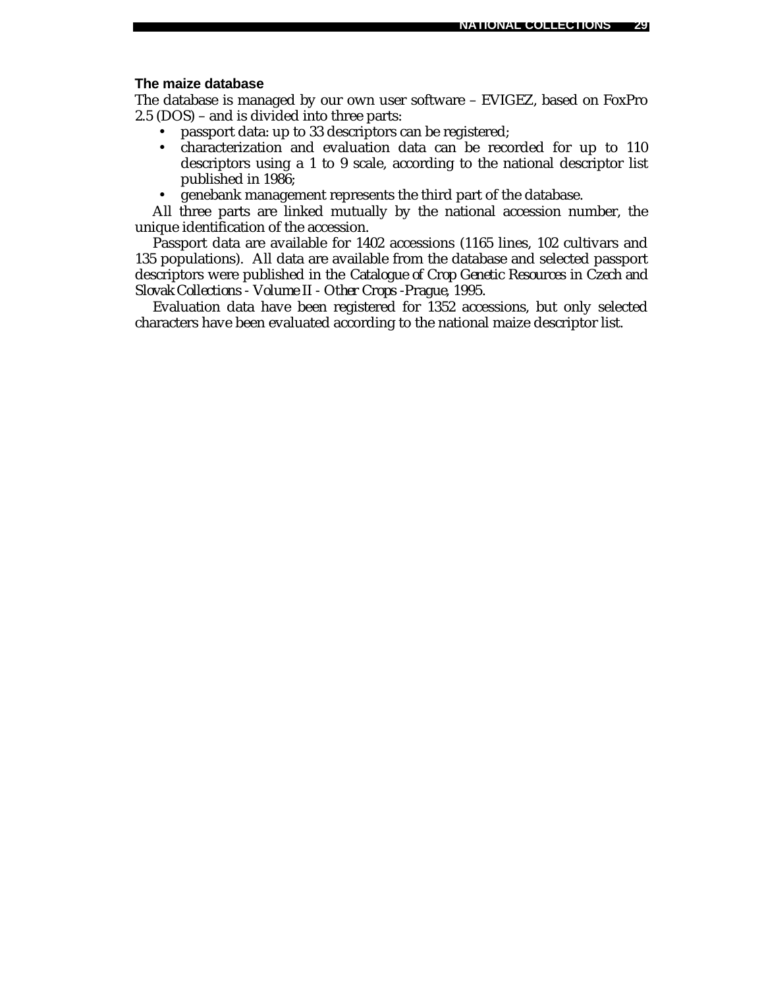### **The maize database**

The database is managed by our own user software – EVIGEZ, based on FoxPro 2.5 (DOS) – and is divided into three parts:

- passport data: up to 33 descriptors can be registered;
- characterization and evaluation data can be recorded for up to 110 descriptors using a 1 to 9 scale, according to the national descriptor list published in 1986;
- genebank management represents the third part of the database.

All three parts are linked mutually by the national accession number, the unique identification of the accession.

Passport data are available for 1402 accessions (1165 lines, 102 cultivars and 135 populations). All data are available from the database and selected passport descriptors were published in the *Catalogue of Crop Genetic Resources in Czech and Slovak Collections - Volume II - Other Crops -Prague, 1995*.

Evaluation data have been registered for 1352 accessions, but only selected characters have been evaluated according to the national maize descriptor list.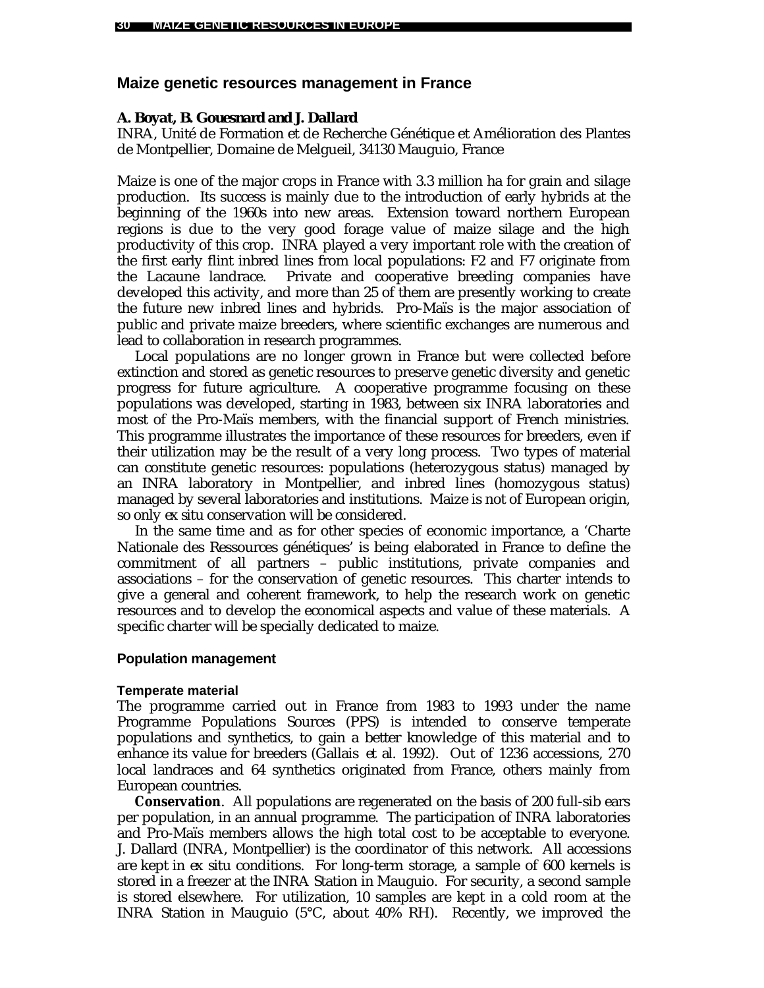# **Maize genetic resources management in France**

### *A. Boyat, B. Gouesnard and J. Dallard*

INRA, Unité de Formation et de Recherche Génétique et Amélioration des Plantes de Montpellier, Domaine de Melgueil, 34130 Mauguio, France

Maize is one of the major crops in France with 3.3 million ha for grain and silage production. Its success is mainly due to the introduction of early hybrids at the beginning of the 1960s into new areas. Extension toward northern European regions is due to the very good forage value of maize silage and the high productivity of this crop. INRA played a very important role with the creation of the first early flint inbred lines from local populations: F2 and F7 originate from the Lacaune landrace. Private and cooperative breeding companies have developed this activity, and more than 25 of them are presently working to create the future new inbred lines and hybrids. Pro-Maïs is the major association of public and private maize breeders, where scientific exchanges are numerous and lead to collaboration in research programmes.

Local populations are no longer grown in France but were collected before extinction and stored as genetic resources to preserve genetic diversity and genetic progress for future agriculture. A cooperative programme focusing on these populations was developed, starting in 1983, between six INRA laboratories and most of the Pro-Maïs members, with the financial support of French ministries. This programme illustrates the importance of these resources for breeders, even if their utilization may be the result of a very long process. Two types of material can constitute genetic resources: populations (heterozygous status) managed by an INRA laboratory in Montpellier, and inbred lines (homozygous status) managed by several laboratories and institutions. Maize is not of European origin, so only *ex situ* conservation will be considered.

In the same time and as for other species of economic importance, a 'Charte Nationale des Ressources génétiques' is being elaborated in France to define the commitment of all partners – public institutions, private companies and associations – for the conservation of genetic resources. This charter intends to give a general and coherent framework, to help the research work on genetic resources and to develop the economical aspects and value of these materials. A specific charter will be specially dedicated to maize.

### **Population management**

### **Temperate material**

The programme carried out in France from 1983 to 1993 under the name Programme Populations Sources (PPS) is intended to conserve temperate populations and synthetics, to gain a better knowledge of this material and to enhance its value for breeders (Gallais *et al.* 1992). Out of 1236 accessions, 270 local landraces and 64 synthetics originated from France, others mainly from European countries.

**Conservation**. All populations are regenerated on the basis of 200 full-sib ears per population, in an annual programme. The participation of INRA laboratories and Pro-Maïs members allows the high total cost to be acceptable to everyone. J. Dallard (INRA, Montpellier) is the coordinator of this network. All accessions are kept in *ex situ* conditions. For long-term storage, a sample of 600 kernels is stored in a freezer at the INRA Station in Mauguio. For security, a second sample is stored elsewhere. For utilization, 10 samples are kept in a cold room at the INRA Station in Mauguio (5°C, about 40% RH). Recently, we improved the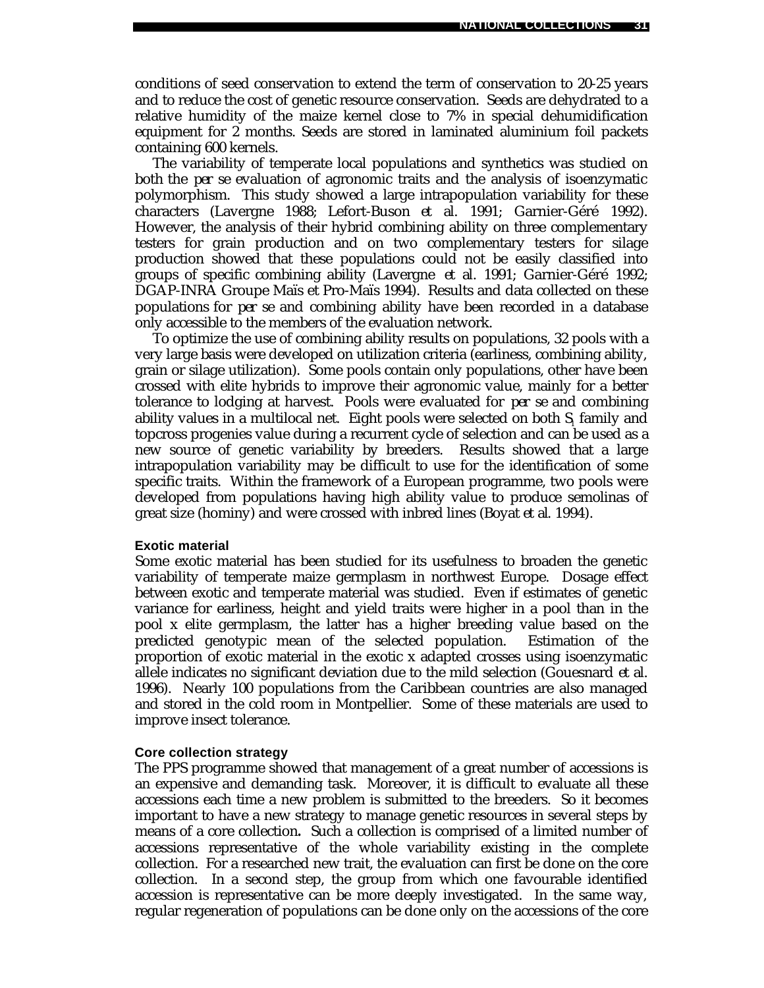conditions of seed conservation to extend the term of conservation to 20-25 years and to reduce the cost of genetic resource conservation. Seeds are dehydrated to a relative humidity of the maize kernel close to 7% in special dehumidification equipment for 2 months. Seeds are stored in laminated aluminium foil packets containing 600 kernels.

The variability of temperate local populations and synthetics was studied on both the *per se* evaluation of agronomic traits and the analysis of isoenzymatic polymorphism. This study showed a large intrapopulation variability for these characters (Lavergne 1988; Lefort-Buson *et al.* 1991; Garnier-Géré 1992). However, the analysis of their hybrid combining ability on three complementary testers for grain production and on two complementary testers for silage production showed that these populations could not be easily classified into groups of specific combining ability (Lavergne *et al.* 1991; Garnier-Géré 1992; DGAP-INRA Groupe Maïs et Pro-Maïs 1994). Results and data collected on these populations for *per se* and combining ability have been recorded in a database only accessible to the members of the evaluation network.

To optimize the use of combining ability results on populations, 32 pools with a very large basis were developed on utilization criteria (earliness, combining ability, grain or silage utilization). Some pools contain only populations, other have been crossed with elite hybrids to improve their agronomic value, mainly for a better tolerance to lodging at harvest. Pools were evaluated for *per se* and combining ability values in a multilocal net. Eight pools were selected on both  $\mathrm{S_{_{\rm I}}}$  family and topcross progenies value during a recurrent cycle of selection and can be used as a new source of genetic variability by breeders. Results showed that a large intrapopulation variability may be difficult to use for the identification of some specific traits. Within the framework of a European programme, two pools were developed from populations having high ability value to produce semolinas of great size (hominy) and were crossed with inbred lines (Boyat *et al*. 1994).

#### **Exotic material**

Some exotic material has been studied for its usefulness to broaden the genetic variability of temperate maize germplasm in northwest Europe. Dosage effect between exotic and temperate material was studied. Even if estimates of genetic variance for earliness, height and yield traits were higher in a pool than in the pool x elite germplasm, the latter has a higher breeding value based on the predicted genotypic mean of the selected population. Estimation of the proportion of exotic material in the exotic x adapted crosses using isoenzymatic allele indicates no significant deviation due to the mild selection (Gouesnard *et al.* 1996). Nearly 100 populations from the Caribbean countries are also managed and stored in the cold room in Montpellier. Some of these materials are used to improve insect tolerance.

#### **Core collection strategy**

The PPS programme showed that management of a great number of accessions is an expensive and demanding task. Moreover, it is difficult to evaluate all these accessions each time a new problem is submitted to the breeders. So it becomes important to have a new strategy to manage genetic resources in several steps by means of a core collection**.** Such a collection is comprised of a limited number of accessions representative of the whole variability existing in the complete collection. For a researched new trait, the evaluation can first be done on the core collection. In a second step, the group from which one favourable identified accession is representative can be more deeply investigated. In the same way, regular regeneration of populations can be done only on the accessions of the core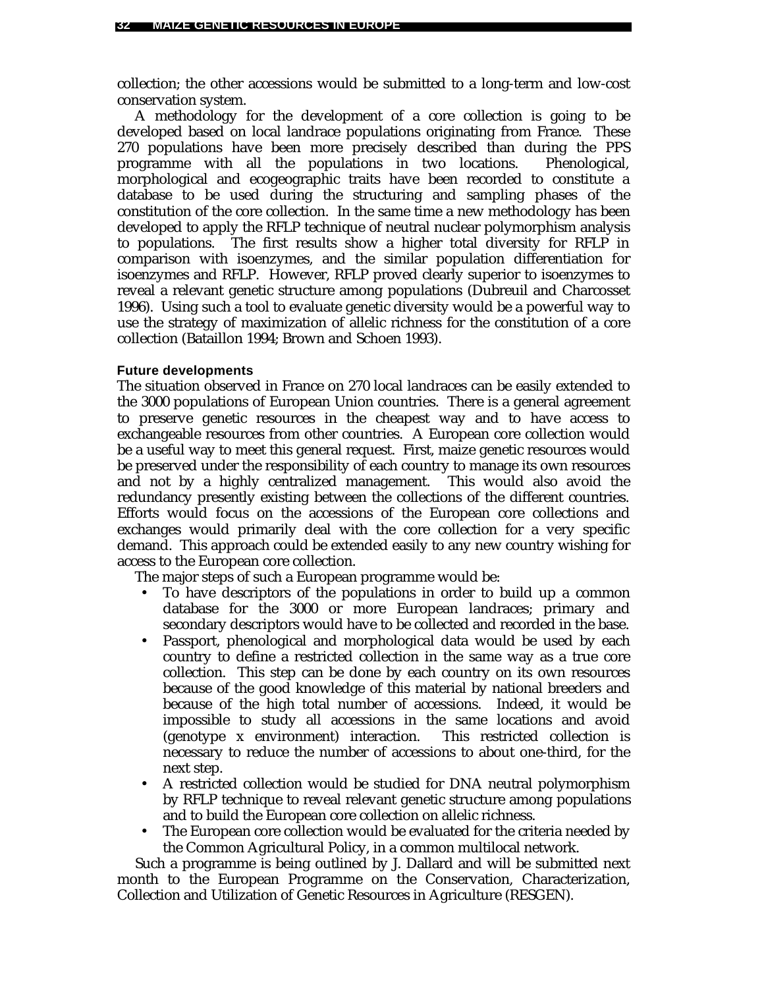collection; the other accessions would be submitted to a long-term and low-cost conservation system.

A methodology for the development of a core collection is going to be developed based on local landrace populations originating from France. These 270 populations have been more precisely described than during the PPS programme with all the populations in two locations. Phenological, morphological and ecogeographic traits have been recorded to constitute a database to be used during the structuring and sampling phases of the constitution of the core collection. In the same time a new methodology has been developed to apply the RFLP technique of neutral nuclear polymorphism analysis to populations. The first results show a higher total diversity for RFLP in comparison with isoenzymes, and the similar population differentiation for isoenzymes and RFLP. However, RFLP proved clearly superior to isoenzymes to reveal a relevant genetic structure among populations (Dubreuil and Charcosset 1996). Using such a tool to evaluate genetic diversity would be a powerful way to use the strategy of maximization of allelic richness for the constitution of a core collection (Bataillon 1994; Brown and Schoen 1993).

### **Future developments**

The situation observed in France on 270 local landraces can be easily extended to the 3000 populations of European Union countries. There is a general agreement to preserve genetic resources in the cheapest way and to have access to exchangeable resources from other countries. A European core collection would be a useful way to meet this general request. First, maize genetic resources would be preserved under the responsibility of each country to manage its own resources and not by a highly centralized management. This would also avoid the redundancy presently existing between the collections of the different countries. Efforts would focus on the accessions of the European core collections and exchanges would primarily deal with the core collection for a very specific demand. This approach could be extended easily to any new country wishing for access to the European core collection.

The major steps of such a European programme would be:

- To have descriptors of the populations in order to build up a common database for the 3000 or more European landraces; primary and secondary descriptors would have to be collected and recorded in the base.
- Passport, phenological and morphological data would be used by each country to define a restricted collection in the same way as a true core collection. This step can be done by each country on its own resources because of the good knowledge of this material by national breeders and because of the high total number of accessions. Indeed, it would be impossible to study all accessions in the same locations and avoid (genotype x environment) interaction. This restricted collection is necessary to reduce the number of accessions to about one-third, for the next step.
- A restricted collection would be studied for DNA neutral polymorphism by RFLP technique to reveal relevant genetic structure among populations and to build the European core collection on allelic richness.
- The European core collection would be evaluated for the criteria needed by the Common Agricultural Policy, in a common multilocal network.

Such a programme is being outlined by J. Dallard and will be submitted next month to the European Programme on the Conservation, Characterization, Collection and Utilization of Genetic Resources in Agriculture (RESGEN).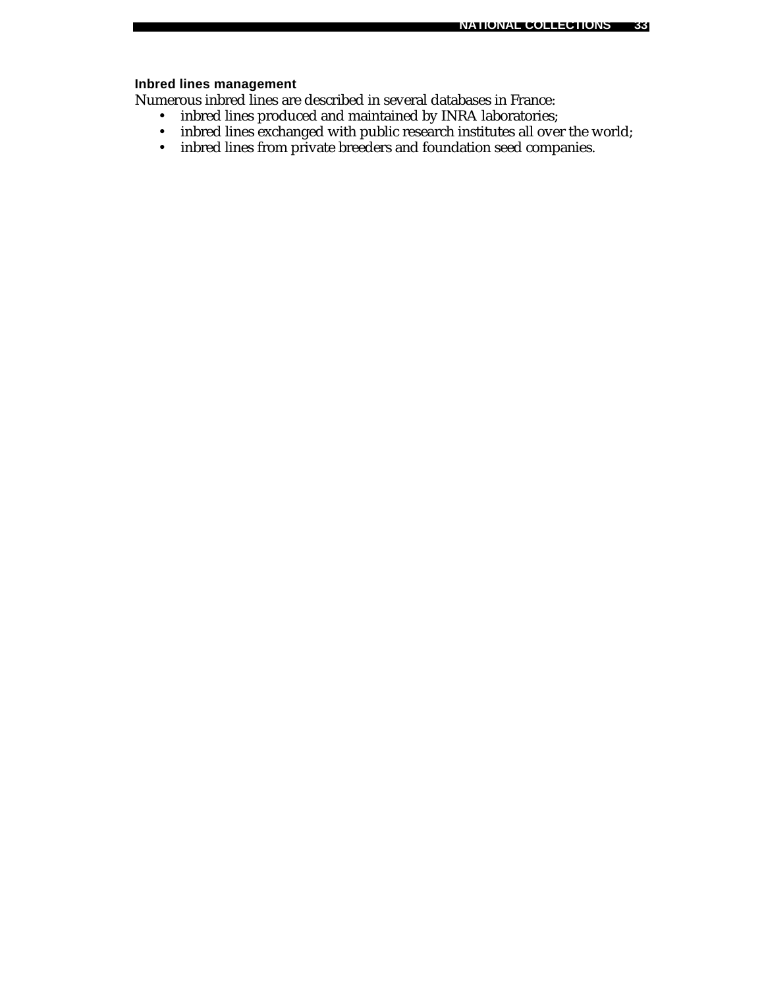# **Inbred lines management**

Numerous inbred lines are described in several databases in France:

- inbred lines produced and maintained by INRA laboratories;
- inbred lines exchanged with public research institutes all over the world;
- inbred lines from private breeders and foundation seed companies.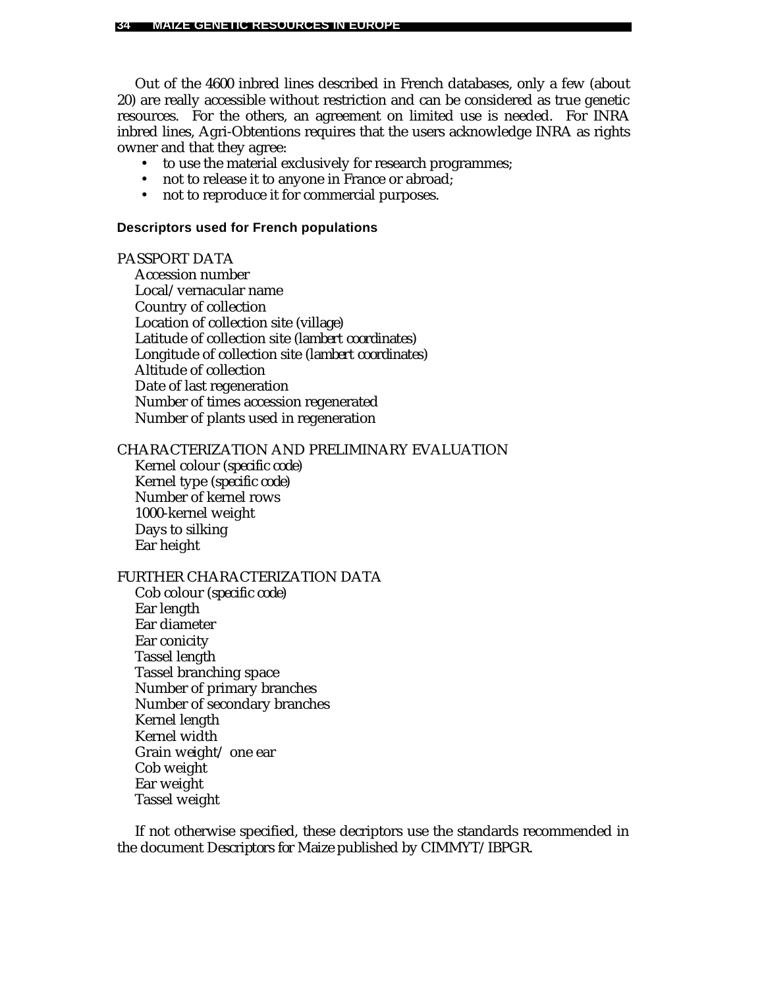Out of the 4600 inbred lines described in French databases, only a few (about 20) are really accessible without restriction and can be considered as true genetic resources. For the others, an agreement on limited use is needed. For INRA inbred lines, Agri-Obtentions requires that the users acknowledge INRA as rights owner and that they agree:

- to use the material exclusively for research programmes;
- not to release it to anyone in France or abroad;
- not to reproduce it for commercial purposes.

#### **Descriptors used for French populations**

### PASSPORT DATA

Accession number Local/vernacular name Country of collection Location of collection site (*village*) Latitude of collection site (*lambert coordinates*) Longitude of collection site (*lambert coordinates*) Altitude of collection Date of last regeneration Number of times accession regenerated Number of plants used in regeneration

### CHARACTERIZATION AND PRELIMINARY EVALUATION

Kernel colour *(specific code)* Kernel type (*specific code*) Number of kernel rows 1000-kernel weight Days to silking Ear height

### FURTHER CHARACTERIZATION DATA

Cob colour (*specific code*) Ear length Ear diameter Ear conicity Tassel length Tassel branching space Number of primary branches Number of secondary branches Kernel length Kernel width Grain weight/ one ear Cob weight Ear weight Tassel weight

If not otherwise specified, these decriptors use the standards recommended in the document *Descriptors for Maize* published by CIMMYT/IBPGR.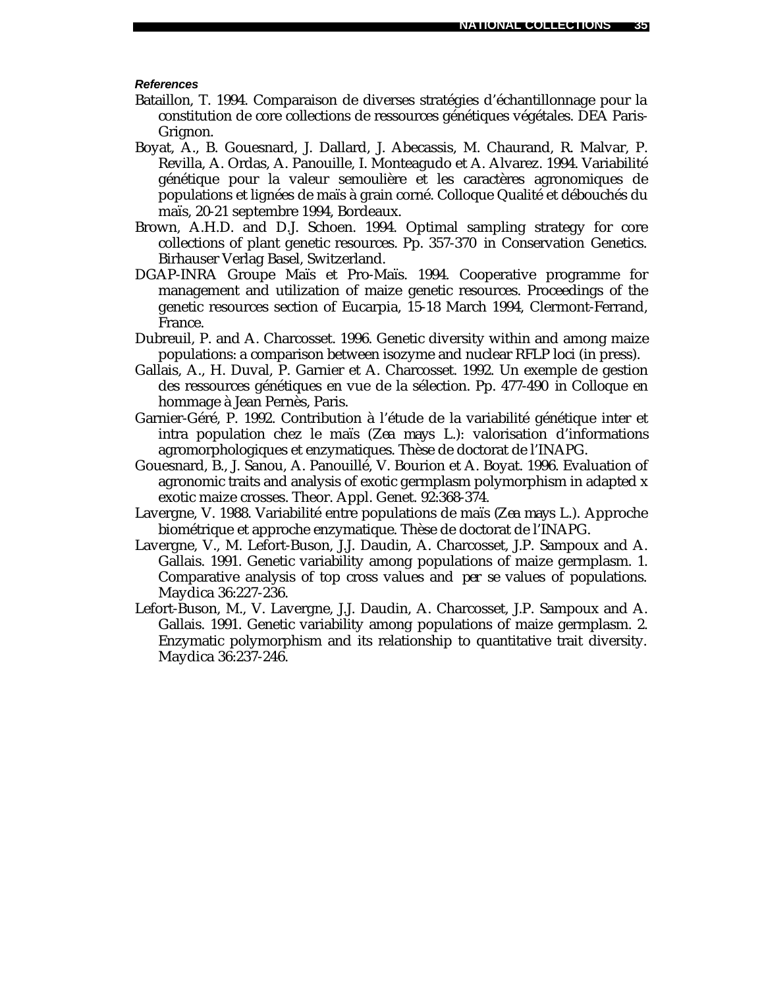#### *References*

- Bataillon, T. 1994. Comparaison de diverses stratégies d'échantillonnage pour la constitution de core collections de ressources génétiques végétales. DEA Paris-Grignon.
- Boyat, A., B. Gouesnard, J. Dallard, J. Abecassis, M. Chaurand, R. Malvar, P. Revilla, A. Ordas, A. Panouille, I. Monteagudo et A. Alvarez. 1994. Variabilité génétique pour la valeur semoulière et les caractères agronomiques de populations et lignées de maïs à grain corné. Colloque Qualité et débouchés du maïs, 20-21 septembre 1994, Bordeaux.
- Brown, A.H.D. and D.J. Schoen. 1994. Optimal sampling strategy for core collections of plant genetic resources. Pp. 357-370 *in* Conservation Genetics. Birhauser Verlag Basel, Switzerland.
- DGAP-INRA Groupe Maïs et Pro-Maïs. 1994. Cooperative programme for management and utilization of maize genetic resources. Proceedings of the genetic resources section of Eucarpia, 15-18 March 1994, Clermont-Ferrand, France.
- Dubreuil, P. and A. Charcosset. 1996. Genetic diversity within and among maize populations: a comparison between isozyme and nuclear RFLP loci (in press).
- Gallais, A., H. Duval, P. Garnier et A. Charcosset. 1992. Un exemple de gestion des ressources génétiques en vue de la sélection. Pp. 477-490 *in* Colloque en hommage à Jean Pernès, Paris.
- Garnier-Géré, P. 1992. Contribution à l'étude de la variabilité génétique inter et intra population chez le maïs (*Zea mays* L.): valorisation d'informations agromorphologiques et enzymatiques. Thèse de doctorat de l'INAPG.
- Gouesnard, B., J. Sanou, A. Panouillé, V. Bourion et A. Boyat. 1996. Evaluation of agronomic traits and analysis of exotic germplasm polymorphism in adapted x exotic maize crosses. Theor. Appl. Genet. 92:368-374.
- Lavergne, V. 1988. Variabilité entre populations de maïs (*Zea mays* L.). Approche biométrique et approche enzymatique. Thèse de doctorat de l'INAPG.
- Lavergne, V., M. Lefort-Buson, J.J. Daudin, A. Charcosset, J.P. Sampoux and A. Gallais. 1991. Genetic variability among populations of maize germplasm. 1. Comparative analysis of top cross values and *per se* values of populations. Maydica 36:227-236.
- Lefort-Buson, M., V. Lavergne, J.J. Daudin, A. Charcosset, J.P. Sampoux and A. Gallais. 1991. Genetic variability among populations of maize germplasm. 2. Enzymatic polymorphism and its relationship to quantitative trait diversity. Maydica 36:237-246.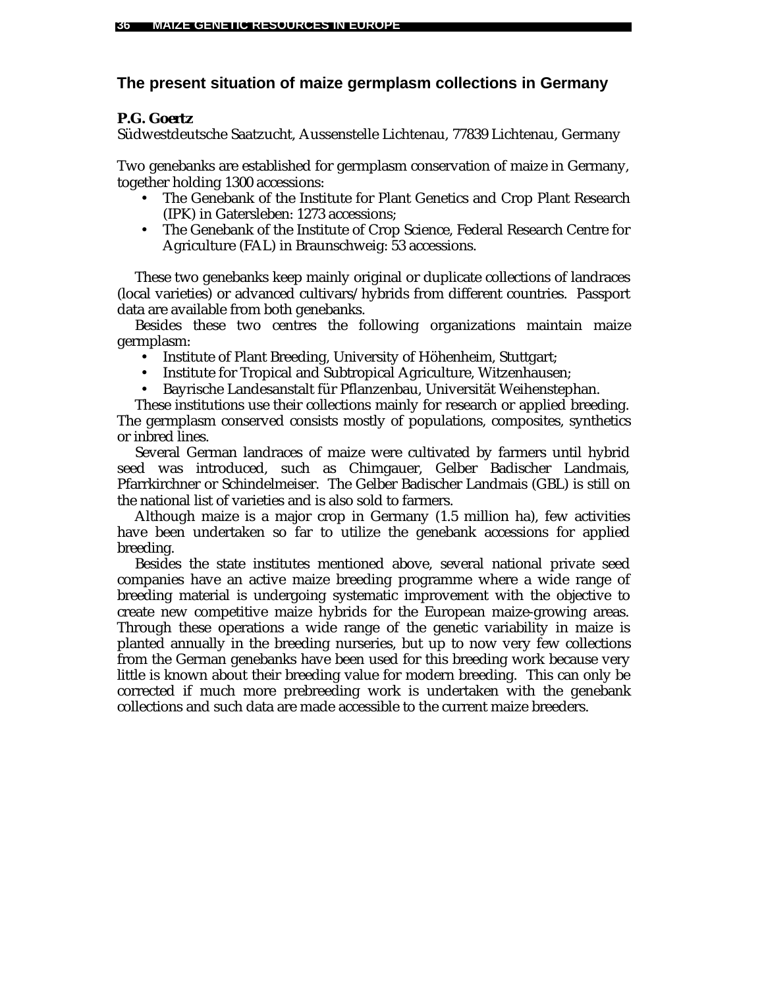# **The present situation of maize germplasm collections in Germany**

# *P.G. Goertz*

Südwestdeutsche Saatzucht, Aussenstelle Lichtenau, 77839 Lichtenau, Germany

Two genebanks are established for germplasm conservation of maize in Germany, together holding 1300 accessions:

- The Genebank of the Institute for Plant Genetics and Crop Plant Research (IPK) in Gatersleben: 1273 accessions;
- The Genebank of the Institute of Crop Science, Federal Research Centre for Agriculture (FAL) in Braunschweig: 53 accessions.

These two genebanks keep mainly original or duplicate collections of landraces (local varieties) or advanced cultivars/hybrids from different countries. Passport data are available from both genebanks.

Besides these two centres the following organizations maintain maize germplasm:

- Institute of Plant Breeding, University of Höhenheim, Stuttgart;
- Institute for Tropical and Subtropical Agriculture, Witzenhausen;
- Bayrische Landesanstalt für Pflanzenbau, Universität Weihenstephan.

These institutions use their collections mainly for research or applied breeding. The germplasm conserved consists mostly of populations, composites, synthetics or inbred lines.

Several German landraces of maize were cultivated by farmers until hybrid seed was introduced, such as Chimgauer, Gelber Badischer Landmais, Pfarrkirchner or Schindelmeiser. The Gelber Badischer Landmais (GBL) is still on the national list of varieties and is also sold to farmers.

Although maize is a major crop in Germany (1.5 million ha), few activities have been undertaken so far to utilize the genebank accessions for applied breeding.

Besides the state institutes mentioned above, several national private seed companies have an active maize breeding programme where a wide range of breeding material is undergoing systematic improvement with the objective to create new competitive maize hybrids for the European maize-growing areas. Through these operations a wide range of the genetic variability in maize is planted annually in the breeding nurseries, but up to now very few collections from the German genebanks have been used for this breeding work because very little is known about their breeding value for modern breeding. This can only be corrected if much more prebreeding work is undertaken with the genebank collections and such data are made accessible to the current maize breeders.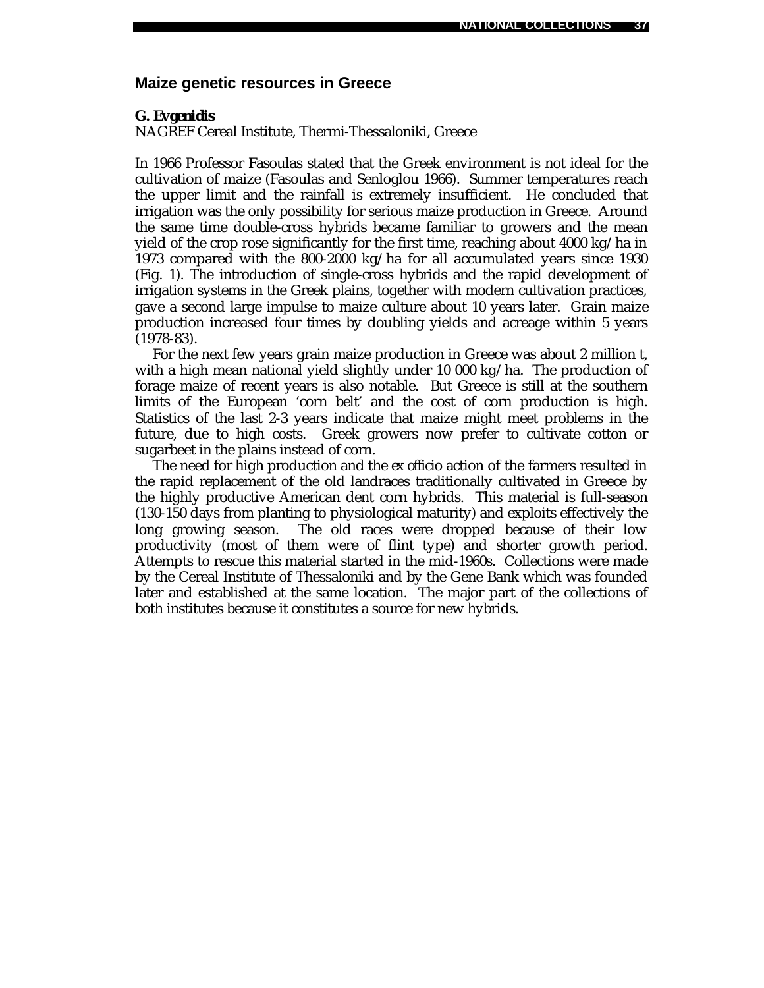### **Maize genetic resources in Greece**

#### *G. Evgenidis*

NAGREF Cereal Institute, Thermi-Thessaloniki, Greece

In 1966 Professor Fasoulas stated that the Greek environment is not ideal for the cultivation of maize (Fasoulas and Senloglou 1966). Summer temperatures reach the upper limit and the rainfall is extremely insufficient. He concluded that irrigation was the only possibility for serious maize production in Greece. Around the same time double-cross hybrids became familiar to growers and the mean yield of the crop rose significantly for the first time, reaching about 4000 kg/ha in 1973 compared with the 800-2000 kg/ha for all accumulated years since 1930 (Fig. 1). The introduction of single-cross hybrids and the rapid development of irrigation systems in the Greek plains, together with modern cultivation practices, gave a second large impulse to maize culture about 10 years later. Grain maize production increased four times by doubling yields and acreage within 5 years (1978-83).

For the next few years grain maize production in Greece was about 2 million t, with a high mean national yield slightly under 10 000 kg/ha. The production of forage maize of recent years is also notable. But Greece is still at the southern limits of the European 'corn belt' and the cost of corn production is high. Statistics of the last 2-3 years indicate that maize might meet problems in the future, due to high costs. Greek growers now prefer to cultivate cotton or sugarbeet in the plains instead of corn.

The need for high production and the *ex officio* action of the farmers resulted in the rapid replacement of the old landraces traditionally cultivated in Greece by the highly productive American dent corn hybrids. This material is full-season (130-150 days from planting to physiological maturity) and exploits effectively the long growing season. The old races were dropped because of their low productivity (most of them were of flint type) and shorter growth period. Attempts to rescue this material started in the mid-1960s. Collections were made by the Cereal Institute of Thessaloniki and by the Gene Bank which was founded later and established at the same location. The major part of the collections of both institutes because it constitutes a source for new hybrids.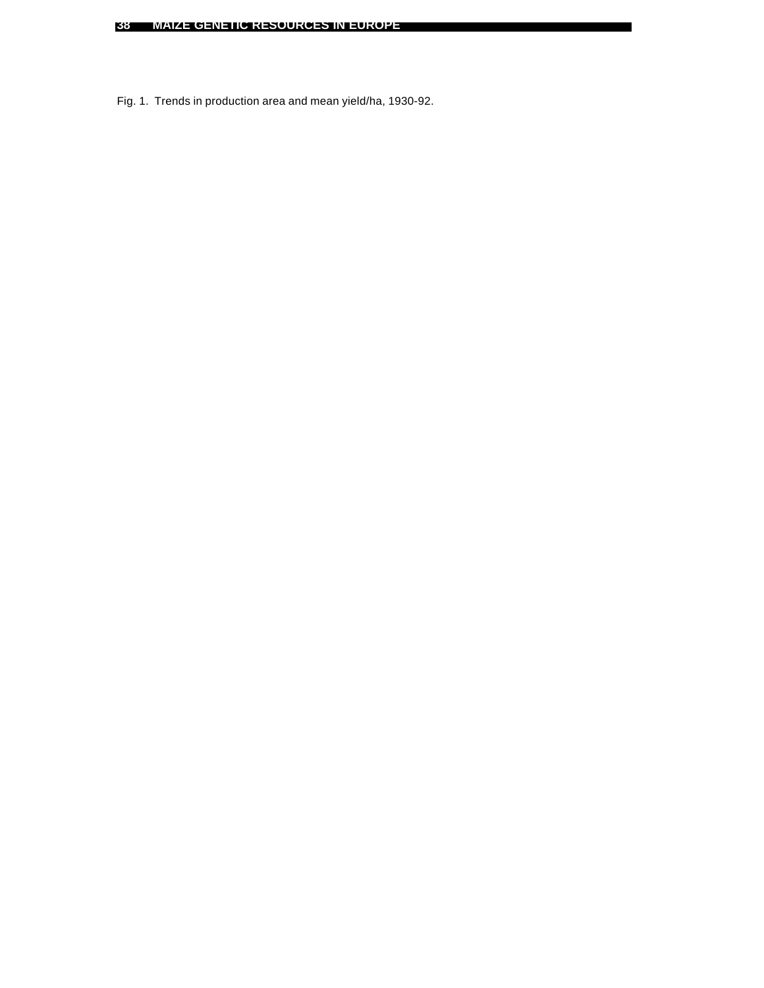Fig. 1. Trends in production area and mean yield/ha, 1930-92.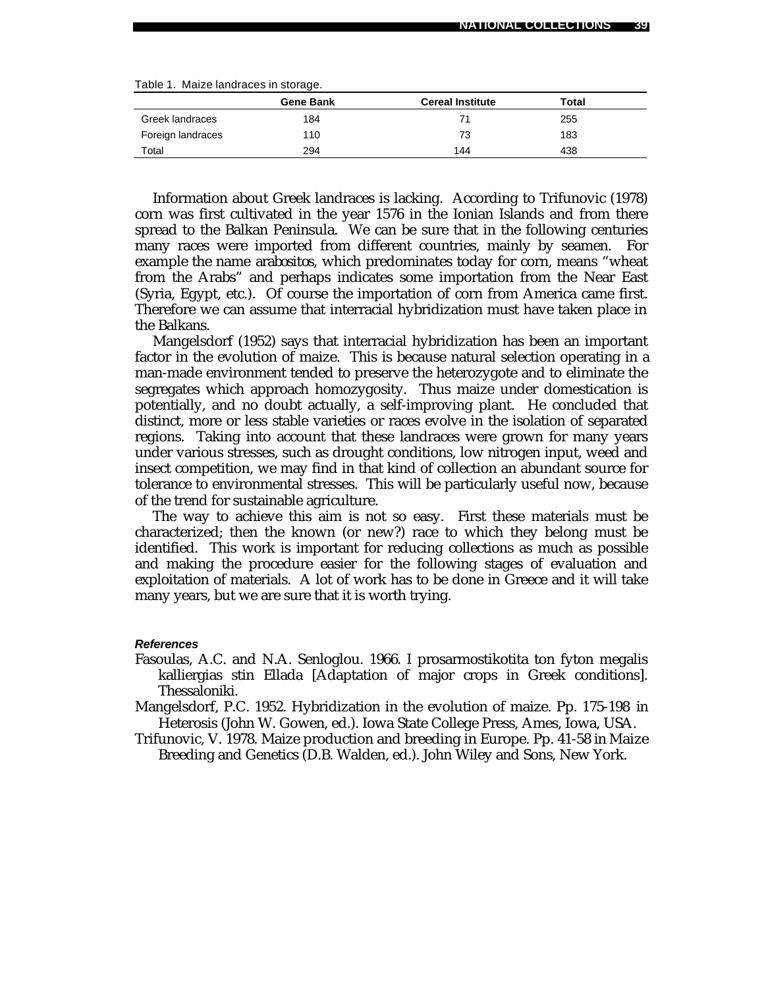|  | Table 1. Maize landraces in storage. |  |
|--|--------------------------------------|--|
|  |                                      |  |

|                   | <b>Gene Bank</b> | <b>Cereal Institute</b> | Total |  |
|-------------------|------------------|-------------------------|-------|--|
| Greek landraces   | 184              | 71                      | 255   |  |
| Foreign landraces | 110              | 73                      | 183   |  |
| Total             | 294              | 144                     | 438   |  |

Information about Greek landraces is lacking. According to Trifunovic (1978) corn was first cultivated in the year 1576 in the Ionian Islands and from there spread to the Balkan Peninsula. We can be sure that in the following centuries many races were imported from different countries, mainly by seamen. For example the name *arabositos,* which predominates today for corn, means "wheat from the Arabs" and perhaps indicates some importation from the Near East (Syria, Egypt, etc.). Of course the importation of corn from America came first. Therefore we can assume that interracial hybridization must have taken place in the Balkans.

Mangelsdorf (1952) says that interracial hybridization has been an important factor in the evolution of maize. This is because natural selection operating in a man-made environment tended to preserve the heterozygote and to eliminate the segregates which approach homozygosity. Thus maize under domestication is potentially, and no doubt actually, a self-improving plant. He concluded that distinct, more or less stable varieties or races evolve in the isolation of separated regions. Taking into account that these landraces were grown for many years under various stresses, such as drought conditions, low nitrogen input, weed and insect competition, we may find in that kind of collection an abundant source for tolerance to environmental stresses. This will be particularly useful now, because of the trend for sustainable agriculture.

The way to achieve this aim is not so easy. First these materials must be characterized; then the known (or new?) race to which they belong must be identified. This work is important for reducing collections as much as possible and making the procedure easier for the following stages of evaluation and exploitation of materials. A lot of work has to be done in Greece and it will take many years, but we are sure that it is worth trying.

#### *References*

- Fasoulas, A.C. and N.A. Senloglou. 1966. I prosarmostikotita ton fyton megalis kalliergias stin Ellada [Adaptation of major crops in Greek conditions]. Thessaloniki.
- Mangelsdorf, P.C. 1952. Hybridization in the evolution of maize. Pp. 175-198 *in* Heterosis (John W. Gowen, ed.). Iowa State College Press, Ames, Iowa, USA.
- Trifunovic, V. 1978. Maize production and breeding in Europe. Pp. 41-58 *in* Maize Breeding and Genetics (D.B. Walden, ed.). John Wiley and Sons, New York.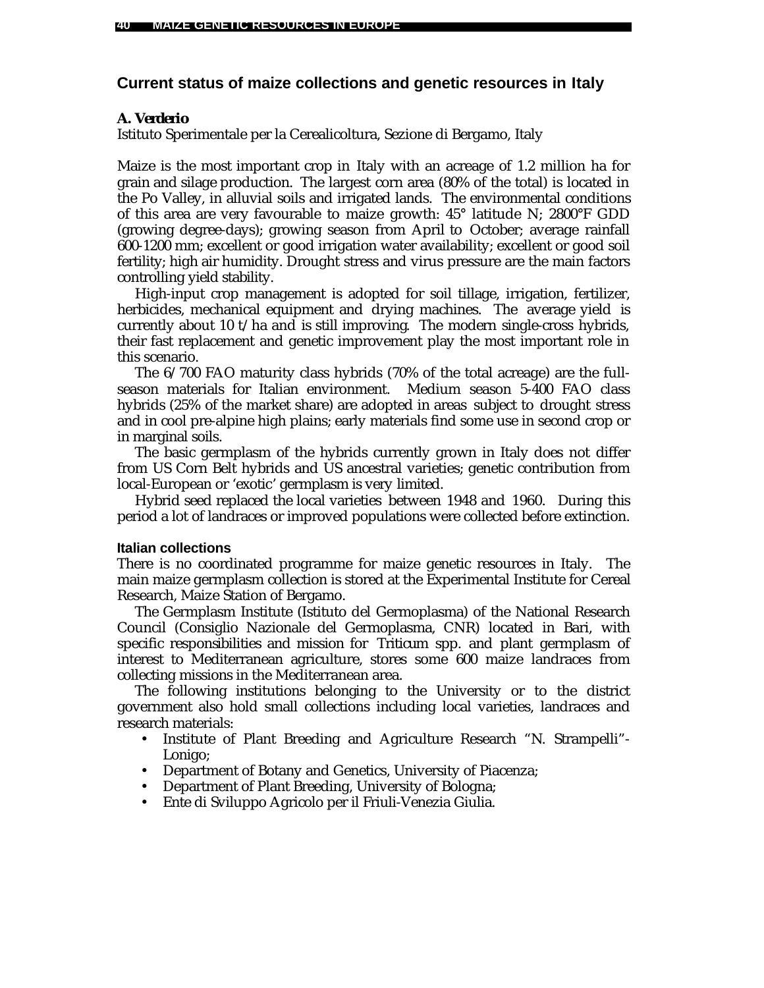### **Current status of maize collections and genetic resources in Italy**

### *A. Verderio*

Istituto Sperimentale per la Cerealicoltura, Sezione di Bergamo, Italy

Maize is the most important crop in Italy with an acreage of 1.2 million ha for grain and silage production. The largest corn area (80% of the total) is located in the Po Valley, in alluvial soils and irrigated lands. The environmental conditions of this area are very favourable to maize growth: 45° latitude N; 2800°F GDD (growing degree-days); growing season from April to October; average rainfall 600-1200 mm; excellent or good irrigation water availability; excellent or good soil fertility; high air humidity. Drought stress and virus pressure are the main factors controlling yield stability.

High-input crop management is adopted for soil tillage, irrigation, fertilizer, herbicides, mechanical equipment and drying machines. The average yield is currently about 10 t/ha and is still improving. The modern single-cross hybrids, their fast replacement and genetic improvement play the most important role in this scenario.

The 6/700 FAO maturity class hybrids (70% of the total acreage) are the fullseason materials for Italian environment. Medium season 5-400 FAO class hybrids (25% of the market share) are adopted in areas subject to drought stress and in cool pre-alpine high plains; early materials find some use in second crop or in marginal soils.

The basic germplasm of the hybrids currently grown in Italy does not differ from US Corn Belt hybrids and US ancestral varieties; genetic contribution from local-European or 'exotic' germplasm is very limited.

Hybrid seed replaced the local varieties between 1948 and 1960. During this period a lot of landraces or improved populations were collected before extinction.

### **Italian collections**

There is no coordinated programme for maize genetic resources in Italy. The main maize germplasm collection is stored at the Experimental Institute for Cereal Research, Maize Station of Bergamo.

The Germplasm Institute (Istituto del Germoplasma) of the National Research Council (Consiglio Nazionale del Germoplasma, CNR) located in Bari, with specific responsibilities and mission for *Triticum* spp. and plant germplasm of interest to Mediterranean agriculture, stores some 600 maize landraces from collecting missions in the Mediterranean area.

The following institutions belonging to the University or to the district government also hold small collections including local varieties, landraces and research materials:

- Institute of Plant Breeding and Agriculture Research "N. Strampelli"- Lonigo;
- Department of Botany and Genetics, University of Piacenza;
- Department of Plant Breeding, University of Bologna;
- Ente di Sviluppo Agricolo per il Friuli-Venezia Giulia.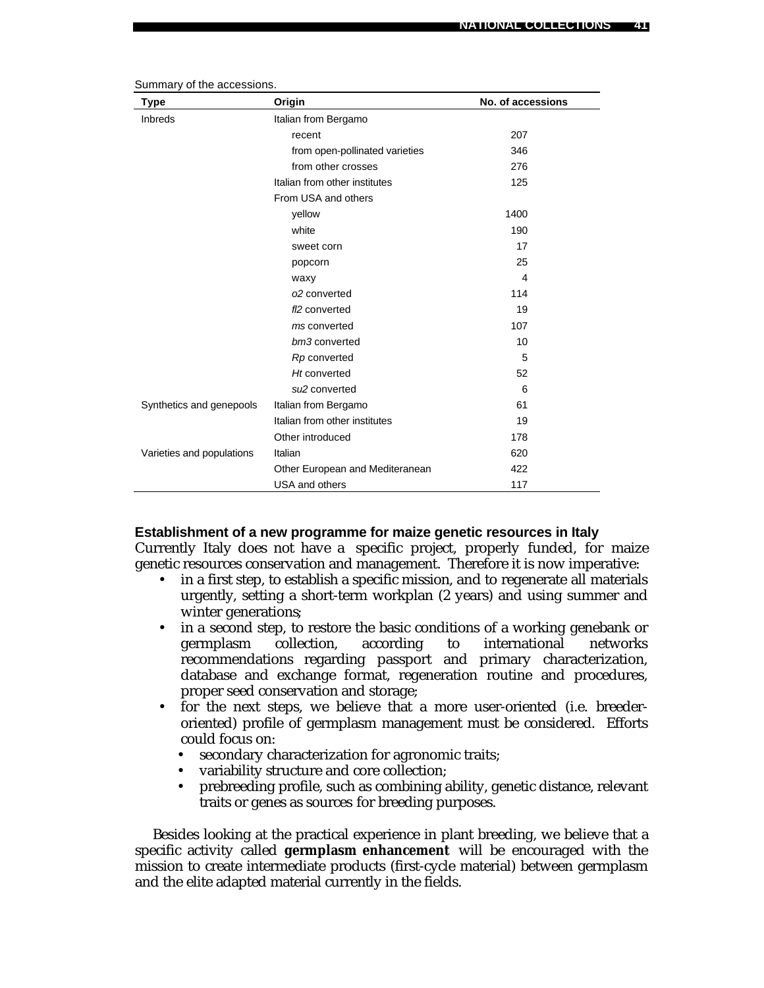| Type                      | Origin                          | No. of accessions |
|---------------------------|---------------------------------|-------------------|
| <b>Inbreds</b>            | Italian from Bergamo            |                   |
|                           | recent                          | 207               |
|                           | from open-pollinated varieties  | 346               |
|                           | from other crosses              | 276               |
|                           | Italian from other institutes   | 125               |
|                           | From USA and others             |                   |
|                           | yellow                          | 1400              |
|                           | white                           | 190               |
|                           | sweet corn                      | 17                |
|                           | popcorn                         | 25                |
|                           | waxy                            | 4                 |
|                           | o2 converted                    | 114               |
|                           | fl <sub>2</sub> converted       | 19                |
|                           | ms converted                    | 107               |
|                           | bm3 converted                   | 10                |
|                           | Rp converted                    | 5                 |
|                           | Ht converted                    | 52                |
|                           | su <sub>2</sub> converted       | 6                 |
| Synthetics and genepools  | Italian from Bergamo            | 61                |
|                           | Italian from other institutes   | 19                |
|                           | Other introduced                | 178               |
| Varieties and populations | Italian                         | 620               |
|                           | Other European and Mediteranean | 422               |
|                           | USA and others                  | 117               |

Summary of the accessions.

#### **Establishment of a new programme for maize genetic resources in Italy**

Currently Italy does not have a specific project, properly funded, for maize genetic resources conservation and management. Therefore it is now imperative:

- in a first step, to establish a specific mission, and to regenerate all materials urgently, setting a short-term workplan (2 years) and using summer and winter generations;
- in a second step, to restore the basic conditions of a working genebank or germplasm collection, according to international networks recommendations regarding passport and primary characterization, database and exchange format, regeneration routine and procedures, proper seed conservation and storage;
- for the next steps, we believe that a more user-oriented (i.e. breederoriented) profile of germplasm management must be considered. Efforts could focus on:
	- secondary characterization for agronomic traits;
	- variability structure and core collection;
	- prebreeding profile, such as combining ability, genetic distance, relevant traits or genes as sources for breeding purposes.

Besides looking at the practical experience in plant breeding, we believe that a specific activity called **germplasm enhancement** will be encouraged with the mission to create intermediate products (first-cycle material) between germplasm and the elite adapted material currently in the fields.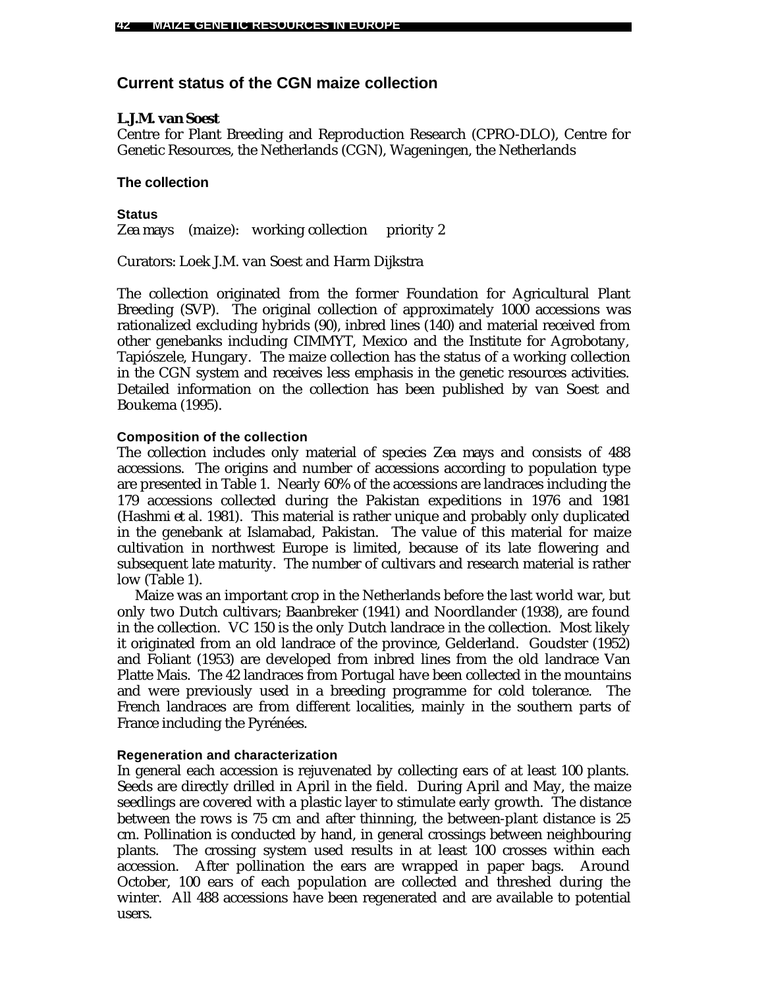# **Current status of the CGN maize collection**

# *L.J.M. van Soest*

Centre for Plant Breeding and Reproduction Research (CPRO-DLO), Centre for Genetic Resources, the Netherlands (CGN), Wageningen, the Netherlands

# **The collection**

**Status** Zea mays (maize): working collection priority 2

Curators: Loek J.M. van Soest and Harm Dijkstra

The collection originated from the former Foundation for Agricultural Plant Breeding (SVP). The original collection of approximately 1000 accessions was rationalized excluding hybrids (90), inbred lines (140) and material received from other genebanks including CIMMYT, Mexico and the Institute for Agrobotany, Tapiószele, Hungary. The maize collection has the status of a working collection in the CGN system and receives less emphasis in the genetic resources activities. Detailed information on the collection has been published by van Soest and Boukema (1995).

### **Composition of the collection**

The collection includes only material of species *Zea mays* and consists of 488 accessions. The origins and number of accessions according to population type are presented in Table 1. Nearly 60% of the accessions are landraces including the 179 accessions collected during the Pakistan expeditions in 1976 and 1981 (Hashmi *et al.* 1981). This material is rather unique and probably only duplicated in the genebank at Islamabad, Pakistan. The value of this material for maize cultivation in northwest Europe is limited, because of its late flowering and subsequent late maturity. The number of cultivars and research material is rather low (Table 1).

Maize was an important crop in the Netherlands before the last world war, but only two Dutch cultivars; Baanbreker (1941) and Noordlander (1938), are found in the collection. VC 150 is the only Dutch landrace in the collection. Most likely it originated from an old landrace of the province, Gelderland. Goudster (1952) and Foliant (1953) are developed from inbred lines from the old landrace Van Platte Mais. The 42 landraces from Portugal have been collected in the mountains and were previously used in a breeding programme for cold tolerance. The French landraces are from different localities, mainly in the southern parts of France including the Pyrénées.

### **Regeneration and characterization**

In general each accession is rejuvenated by collecting ears of at least 100 plants. Seeds are directly drilled in April in the field. During April and May, the maize seedlings are covered with a plastic layer to stimulate early growth. The distance between the rows is 75 cm and after thinning, the between-plant distance is 25 cm. Pollination is conducted by hand, in general crossings between neighbouring plants. The crossing system used results in at least 100 crosses within each accession. After pollination the ears are wrapped in paper bags. Around October, 100 ears of each population are collected and threshed during the winter. All 488 accessions have been regenerated and are available to potential users.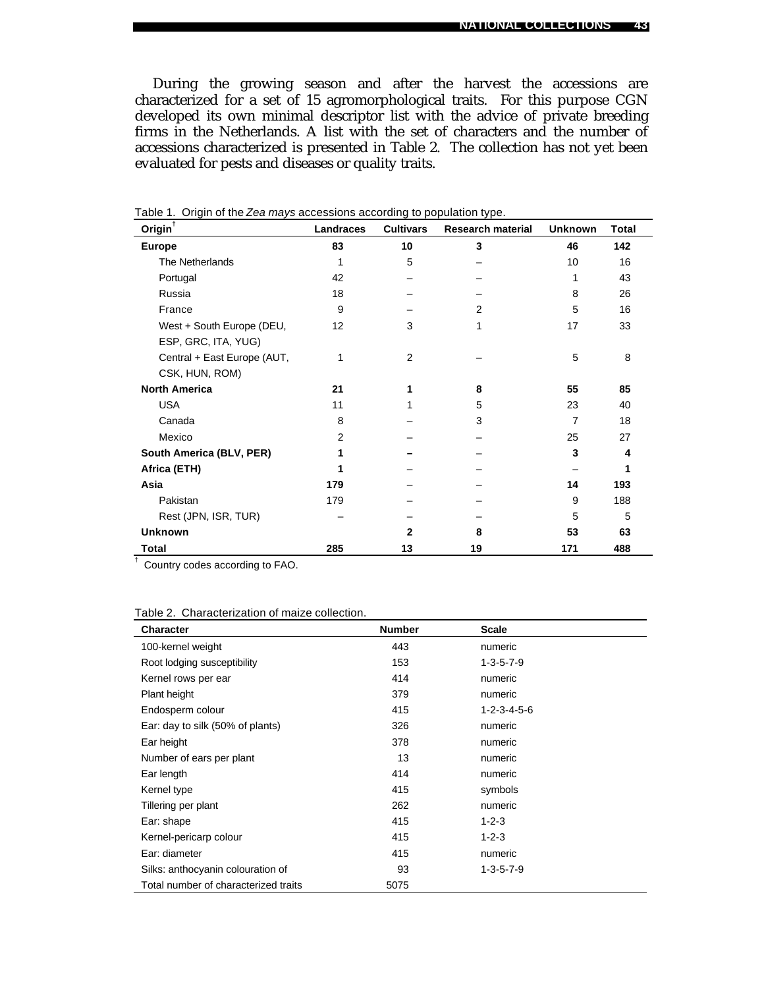During the growing season and after the harvest the accessions are characterized for a set of 15 agromorphological traits. For this purpose CGN developed its own minimal descriptor list with the advice of private breeding firms in the Netherlands. A list with the set of characters and the number of accessions characterized is presented in Table 2. The collection has not yet been evaluated for pests and diseases or quality traits.

| $Oright^{\dagger}$          | Landraces | <b>Cultivars</b> | <b>Research material</b> | <b>Unknown</b> | <b>Total</b> |
|-----------------------------|-----------|------------------|--------------------------|----------------|--------------|
| <b>Europe</b>               | 83        | 10               | 3                        | 46             | 142          |
| The Netherlands             | 1         | 5                |                          | 10             | 16           |
| Portugal                    | 42        |                  |                          | 1              | 43           |
| Russia                      | 18        |                  |                          | 8              | 26           |
| France                      | 9         |                  | 2                        | 5              | 16           |
| West + South Europe (DEU,   | 12        | 3                |                          | 17             | 33           |
| ESP, GRC, ITA, YUG)         |           |                  |                          |                |              |
| Central + East Europe (AUT, | 1         | 2                |                          | 5              | 8            |
| CSK, HUN, ROM)              |           |                  |                          |                |              |
| <b>North America</b>        | 21        |                  | 8                        | 55             | 85           |
| <b>USA</b>                  | 11        |                  | 5                        | 23             | 40           |
| Canada                      | 8         |                  | 3                        | $\overline{7}$ | 18           |
| Mexico                      | 2         |                  |                          | 25             | 27           |
| South America (BLV, PER)    |           |                  |                          | 3              | 4            |
| Africa (ETH)                |           |                  |                          |                |              |
| Asia                        | 179       |                  |                          | 14             | 193          |
| Pakistan                    | 179       |                  |                          | 9              | 188          |
| Rest (JPN, ISR, TUR)        |           |                  |                          | 5              | 5            |
| <b>Unknown</b>              |           | 2                | 8                        | 53             | 63           |
| Total                       | 285       | 13               | 19                       | 171            | 488          |

|  | Table 1. Origin of the Zea mays accessions according to population type. |  |
|--|--------------------------------------------------------------------------|--|
|  |                                                                          |  |
|  |                                                                          |  |

† Country codes according to FAO.

| Table 2. Characterization of maize collection. |  |  |  |
|------------------------------------------------|--|--|--|
|------------------------------------------------|--|--|--|

| <b>Character</b>                     | <b>Number</b> | <b>Scale</b>            |  |
|--------------------------------------|---------------|-------------------------|--|
| 100-kernel weight                    | 443           | numeric                 |  |
| Root lodging susceptibility          | 153           | $1 - 3 - 5 - 7 - 9$     |  |
| Kernel rows per ear                  | 414           | numeric                 |  |
| Plant height                         | 379           | numeric                 |  |
| Endosperm colour                     | 415           | $1 - 2 - 3 - 4 - 5 - 6$ |  |
| Ear: day to silk (50% of plants)     | 326           | numeric                 |  |
| Ear height                           | 378           | numeric                 |  |
| Number of ears per plant             | 13            | numeric                 |  |
| Ear length                           | 414           | numeric                 |  |
| Kernel type                          | 415           | symbols                 |  |
| Tillering per plant                  | 262           | numeric                 |  |
| Ear: shape                           | 415           | $1 - 2 - 3$             |  |
| Kernel-pericarp colour               | 415           | $1 - 2 - 3$             |  |
| Ear: diameter                        | 415           | numeric                 |  |
| Silks: anthocyanin colouration of    | 93            | $1 - 3 - 5 - 7 - 9$     |  |
| Total number of characterized traits | 5075          |                         |  |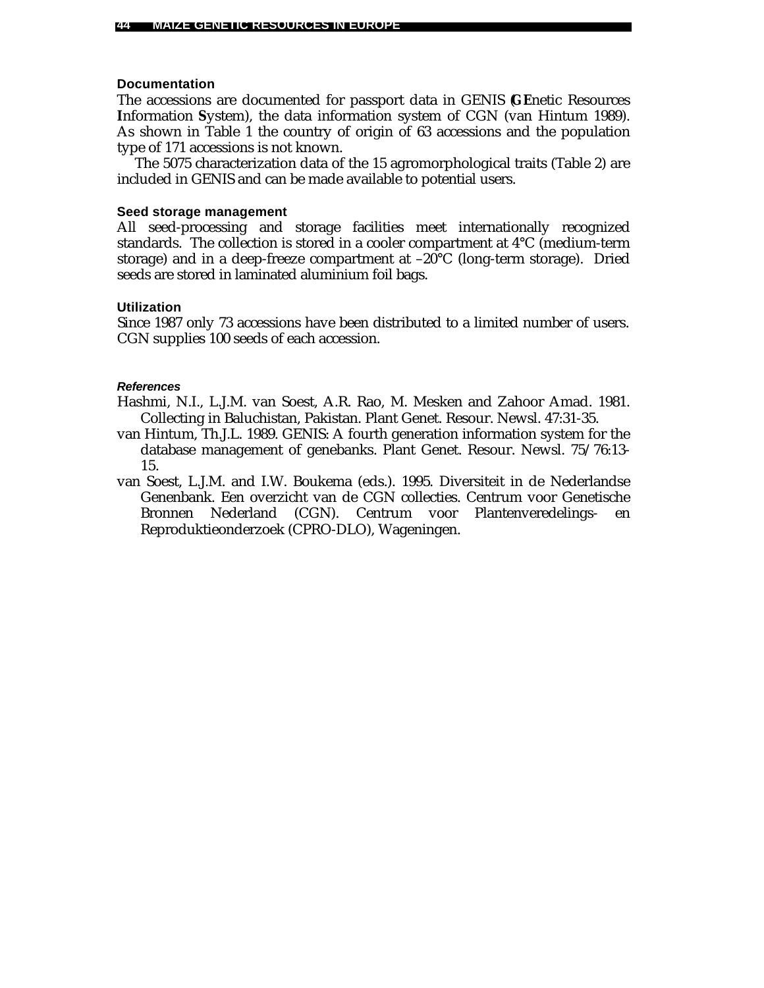### **Documentation**

The accessions are documented for passport data in GENIS (**GE**netic Resources **I**nformation **S**ystem), the data information system of CGN (van Hintum 1989). As shown in Table 1 the country of origin of 63 accessions and the population type of 171 accessions is not known.

The 5075 characterization data of the 15 agromorphological traits (Table 2) are included in GENIS and can be made available to potential users.

#### **Seed storage management**

All seed-processing and storage facilities meet internationally recognized standards. The collection is stored in a cooler compartment at 4°C (medium-term storage) and in a deep-freeze compartment at –20°C (long-term storage). Dried seeds are stored in laminated aluminium foil bags.

# **Utilization**

Since 1987 only 73 accessions have been distributed to a limited number of users. CGN supplies 100 seeds of each accession.

#### *References*

Hashmi, N.I., L.J.M. van Soest, A.R. Rao, M. Mesken and Zahoor Amad. 1981. Collecting in Baluchistan, Pakistan. Plant Genet. Resour. Newsl. 47:31-35.

- van Hintum, Th.J.L. 1989. GENIS: A fourth generation information system for the database management of genebanks. Plant Genet. Resour. Newsl. 75/76:13- 15.
- van Soest, L.J.M. and I.W. Boukema (eds.). 1995. Diversiteit in de Nederlandse Genenbank. Een overzicht van de CGN collecties. Centrum voor Genetische Bronnen Nederland (CGN). Centrum voor Plantenveredelings- en Reproduktieonderzoek (CPRO-DLO), Wageningen.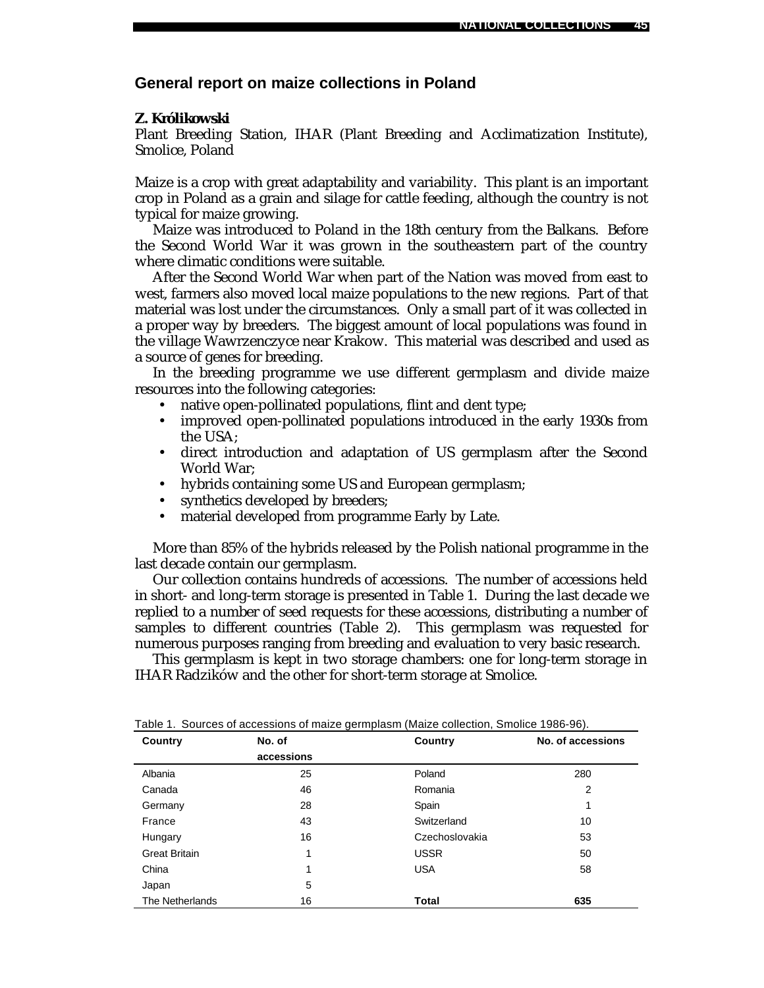# **General report on maize collections in Poland**

### *Z. Królikowski*

Plant Breeding Station, IHAR (Plant Breeding and Acclimatization Institute), Smolice, Poland

Maize is a crop with great adaptability and variability. This plant is an important crop in Poland as a grain and silage for cattle feeding, although the country is not typical for maize growing.

Maize was introduced to Poland in the 18th century from the Balkans. Before the Second World War it was grown in the southeastern part of the country where climatic conditions were suitable.

After the Second World War when part of the Nation was moved from east to west, farmers also moved local maize populations to the new regions. Part of that material was lost under the circumstances. Only a small part of it was collected in a proper way by breeders. The biggest amount of local populations was found in the village Wawrzenczyce near Krakow. This material was described and used as a source of genes for breeding.

In the breeding programme we use different germplasm and divide maize resources into the following categories:

- native open-pollinated populations, flint and dent type;
- improved open-pollinated populations introduced in the early 1930s from the USA;
- direct introduction and adaptation of US germplasm after the Second World War;
- hybrids containing some US and European germplasm;
- synthetics developed by breeders;
- material developed from programme Early by Late.

More than 85% of the hybrids released by the Polish national programme in the last decade contain our germplasm.

Our collection contains hundreds of accessions. The number of accessions held in short- and long-term storage is presented in Table 1. During the last decade we replied to a number of seed requests for these accessions, distributing a number of samples to different countries (Table 2). This germplasm was requested for numerous purposes ranging from breeding and evaluation to very basic research.

This germplasm is kept in two storage chambers: one for long-term storage in IHAR Radzików and the other for short-term storage at Smolice.

| Country              | No. of     | Country        | No. of accessions |
|----------------------|------------|----------------|-------------------|
|                      | accessions |                |                   |
| Albania              | 25         | Poland         | 280               |
| Canada               | 46         | Romania        | 2                 |
| Germany              | 28         | Spain          | 1                 |
| France               | 43         | Switzerland    | 10                |
| Hungary              | 16         | Czechoslovakia | 53                |
| <b>Great Britain</b> | 1          | <b>USSR</b>    | 50                |
| China                | 1          | <b>USA</b>     | 58                |
| Japan                | 5          |                |                   |
| The Netherlands      | 16         | Total          | 635               |

Table 1. Sources of accessions of maize germplasm (Maize collection, Smolice 1986-96).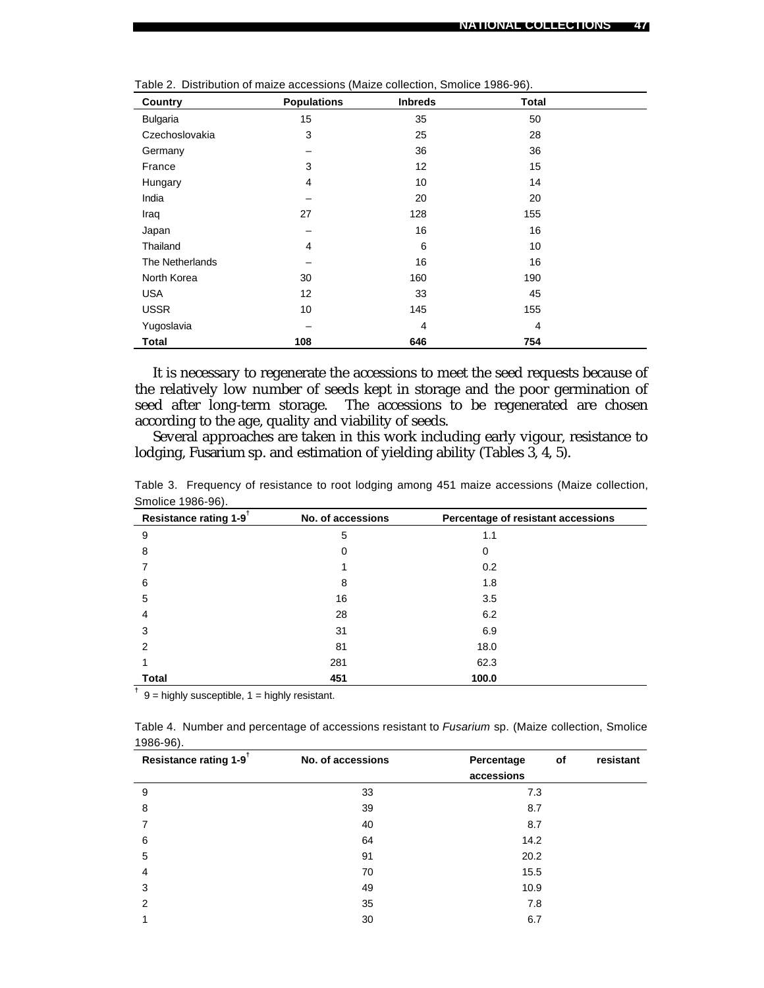| Country         | <b>Populations</b> | <b>Inbreds</b> | <b>Total</b>   |  |
|-----------------|--------------------|----------------|----------------|--|
| Bulgaria        | 15                 | 35             | 50             |  |
| Czechoslovakia  | 3                  | 25             | 28             |  |
| Germany         |                    | 36             | 36             |  |
| France          | 3                  | 12             | 15             |  |
| Hungary         | $\overline{4}$     | 10             | 14             |  |
| India           |                    | 20             | 20             |  |
| Iraq            | 27                 | 128            | 155            |  |
| Japan           |                    | 16             | 16             |  |
| Thailand        | $\overline{4}$     | 6              | 10             |  |
| The Netherlands |                    | 16             | 16             |  |
| North Korea     | 30                 | 160            | 190            |  |
| <b>USA</b>      | 12                 | 33             | 45             |  |
| <b>USSR</b>     | 10                 | 145            | 155            |  |
| Yugoslavia      |                    | $\overline{4}$ | $\overline{4}$ |  |
| <b>Total</b>    | 108                | 646            | 754            |  |

Table 2. Distribution of maize accessions (Maize collection, Smolice 1986-96).

It is necessary to regenerate the accessions to meet the seed requests because of the relatively low number of seeds kept in storage and the poor germination of seed after long-term storage. The accessions to be regenerated are chosen according to the age, quality and viability of seeds.

Several approaches are taken in this work including early vigour, resistance to lodging, *Fusarium* sp. and estimation of yielding ability (Tables 3, 4, 5).

| <b>.</b><br>Resistance rating 1-9 <sup>T</sup> | No. of accessions | Percentage of resistant accessions |
|------------------------------------------------|-------------------|------------------------------------|
| 9                                              | 5                 | 1.1                                |
| 8                                              | 0                 | 0                                  |
|                                                |                   | 0.2                                |
| 6                                              | 8                 | 1.8                                |
| 5                                              | 16                | 3.5                                |
| 4                                              | 28                | 6.2                                |
| 3                                              | 31                | 6.9                                |
| 2                                              | 81                | 18.0                               |
|                                                | 281               | 62.3                               |
| Total                                          | 451               | 100.0                              |

Table 3. Frequency of resistance to root lodging among 451 maize accessions (Maize collection, Smolice 1986-96).

**†** 9 = highly susceptible, 1 = highly resistant.

Table 4. Number and percentage of accessions resistant to *Fusarium* sp. (Maize collection, Smolice 1986-96).

| Resistance rating 1-9 <sup>t</sup> | No. of accessions | Percentage<br>accessions | of | resistant |
|------------------------------------|-------------------|--------------------------|----|-----------|
| 9                                  | 33                | 7.3                      |    |           |
| 8                                  | 39                | 8.7                      |    |           |
| 7                                  | 40                | 8.7                      |    |           |
| 6                                  | 64                | 14.2                     |    |           |
| 5                                  | 91                | 20.2                     |    |           |
| $\overline{4}$                     | 70                | 15.5                     |    |           |
| 3                                  | 49                | 10.9                     |    |           |
| $\overline{2}$                     | 35                | 7.8                      |    |           |
|                                    | 30                | 6.7                      |    |           |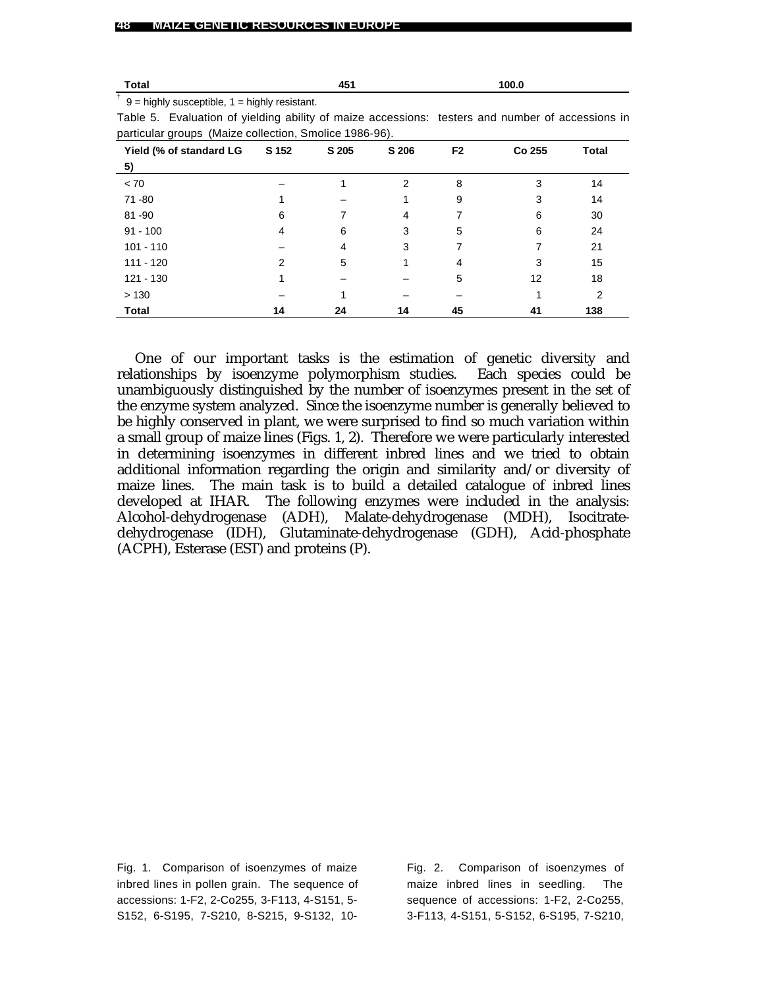| Total                                                                                         |       | 451   |       |                | 100.0  |       |
|-----------------------------------------------------------------------------------------------|-------|-------|-------|----------------|--------|-------|
| $\dagger$ 9 = highly susceptible, 1 = highly resistant.                                       |       |       |       |                |        |       |
| Table 5. Evaluation of yielding ability of maize accessions: testers and number of accessions |       |       |       |                |        |       |
| particular groups (Maize collection, Smolice 1986-96).                                        |       |       |       |                |        |       |
| Yield (% of standard LG                                                                       | S 152 | S 205 | S 206 | F <sub>2</sub> | Co 255 | Total |
| 5)                                                                                            |       |       |       |                |        |       |
| < 70                                                                                          |       |       | 2     | 8              | 3      | 14    |
| 71 - 80                                                                                       |       |       |       | 9              | 3      | 14    |
| $81 - 90$                                                                                     | 6     |       |       |                | 6      | 30    |

**Total 14 24 14 45 41 138**

3 3 1 – –

One of our important tasks is the estimation of genetic diversity and relationships by isoenzyme polymorphism studies. Each species could be unambiguously distinguished by the number of isoenzymes present in the set of the enzyme system analyzed. Since the isoenzyme number is generally believed to be highly conserved in plant, we were surprised to find so much variation within a small group of maize lines (Figs. 1, 2). Therefore we were particularly interested in determining isoenzymes in different inbred lines and we tried to obtain additional information regarding the origin and similarity and/or diversity of maize lines. The main task is to build a detailed catalogue of inbred lines developed at IHAR. The following enzymes were included in the analysis: Alcohol-dehydrogenase (ADH), Malate-dehydrogenase (MDH), Isocitratedehydrogenase (IDH), Glutaminate-dehydrogenase (GDH), Acid-phosphate (ACPH), Esterase (EST) and proteins (P).

Fig. 1. Comparison of isoenzymes of maize inbred lines in pollen grain. The sequence of accessions: 1-F2, 2-Co255, 3-F113, 4-S151, 5- S152, 6-S195, 7-S210, 8-S215, 9-S132, 10-

Fig. 2. Comparison of isoenzymes of maize inbred lines in seedling. The sequence of accessions: 1-F2, 2-Co255, 3-F113, 4-S151, 5-S152, 6-S195, 7-S210,

4 – 2 1 –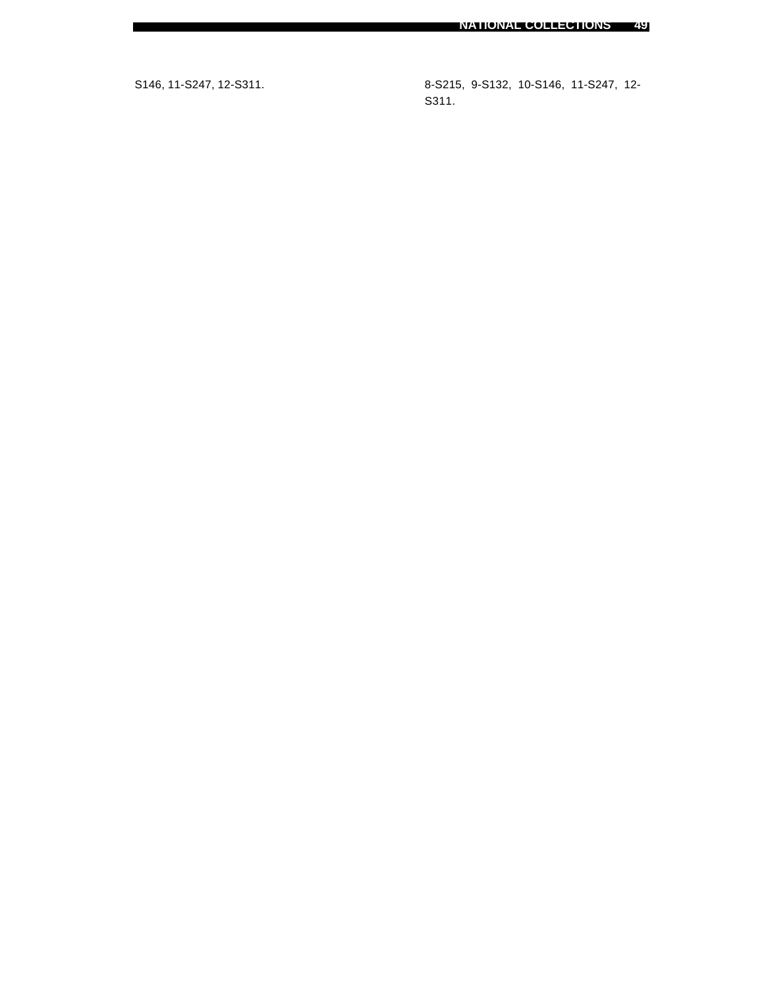S146, 11-S247, 12-S311. 8-S215, 9-S132, 10-S146, 11-S247, 12- S311.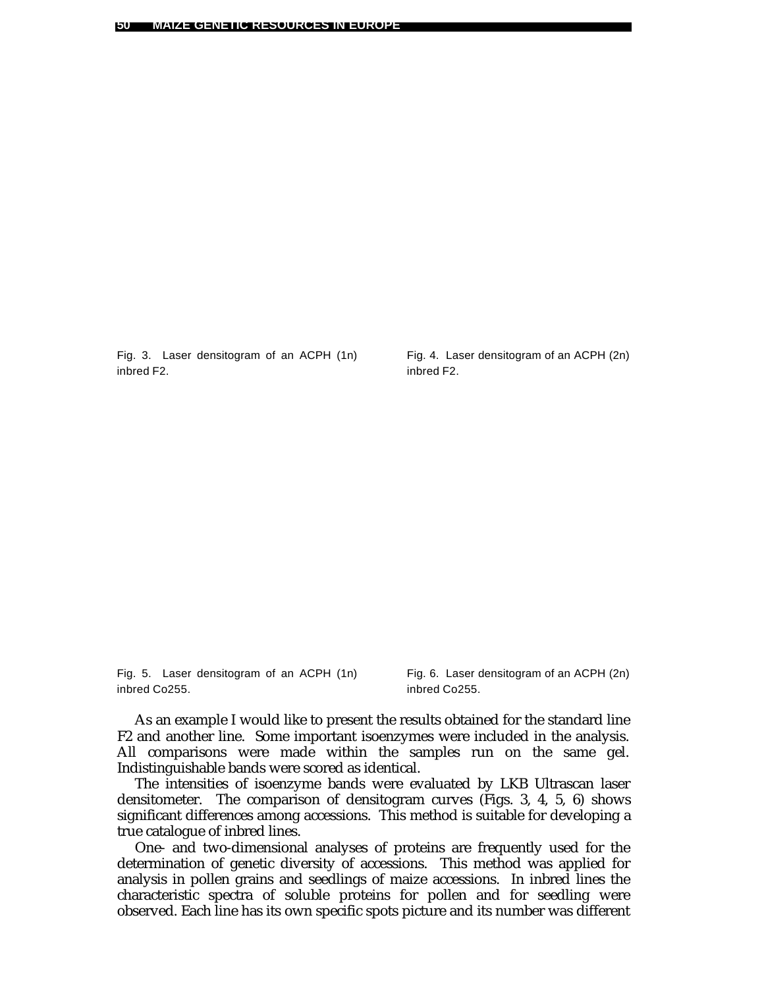Fig. 3. Laser densitogram of an ACPH (1n) inbred F2.

Fig. 4. Laser densitogram of an ACPH (2n) inbred F2.

Fig. 5. Laser densitogram of an ACPH (1n) inbred Co255.

Fig. 6. Laser densitogram of an ACPH (2n) inbred Co255.

As an example I would like to present the results obtained for the standard line F2 and another line. Some important isoenzymes were included in the analysis. All comparisons were made within the samples run on the same gel. Indistinguishable bands were scored as identical.

The intensities of isoenzyme bands were evaluated by LKB Ultrascan laser densitometer. The comparison of densitogram curves (Figs. 3, 4, 5, 6) shows significant differences among accessions. This method is suitable for developing a true catalogue of inbred lines.

One- and two-dimensional analyses of proteins are frequently used for the determination of genetic diversity of accessions. This method was applied for analysis in pollen grains and seedlings of maize accessions. In inbred lines the characteristic spectra of soluble proteins for pollen and for seedling were observed. Each line has its own specific spots picture and its number was different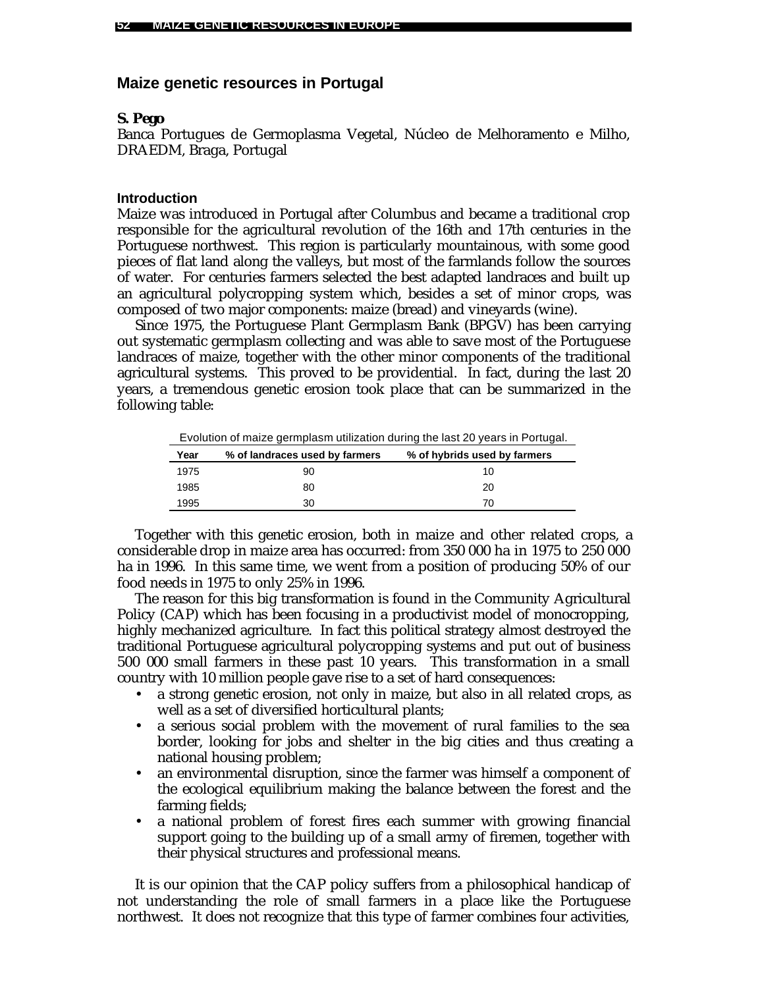### **Maize genetic resources in Portugal**

### *S. Pego*

Banca Portugues de Germoplasma Vegetal, Núcleo de Melhoramento e Milho, DRAEDM, Braga, Portugal

#### **Introduction**

Maize was introduced in Portugal after Columbus and became a traditional crop responsible for the agricultural revolution of the 16th and 17th centuries in the Portuguese northwest. This region is particularly mountainous, with some good pieces of flat land along the valleys, but most of the farmlands follow the sources of water. For centuries farmers selected the best adapted landraces and built up an agricultural polycropping system which, besides a set of minor crops, was composed of two major components: maize (bread) and vineyards (wine).

Since 1975, the Portuguese Plant Germplasm Bank (BPGV) has been carrying out systematic germplasm collecting and was able to save most of the Portuguese landraces of maize, together with the other minor components of the traditional agricultural systems. This proved to be providential. In fact, during the last 20 years, a tremendous genetic erosion took place that can be summarized in the following table:

Evolution of maize germplasm utilization during the last 20 years in Portugal.

| Year | % of landraces used by farmers | % of hybrids used by farmers |
|------|--------------------------------|------------------------------|
| 1975 | 90                             | 10                           |
| 1985 | 80                             | 20                           |
| 1995 | 30                             | 70                           |

Together with this genetic erosion, both in maize and other related crops, a considerable drop in maize area has occurred: from 350 000 ha in 1975 to 250 000 ha in 1996. In this same time, we went from a position of producing 50% of our food needs in 1975 to only 25% in 1996.

The reason for this big transformation is found in the Community Agricultural Policy (CAP) which has been focusing in a productivist model of monocropping, highly mechanized agriculture. In fact this political strategy almost destroyed the traditional Portuguese agricultural polycropping systems and put out of business 500 000 small farmers in these past 10 years. This transformation in a small country with 10 million people gave rise to a set of hard consequences:

- a strong genetic erosion, not only in maize, but also in all related crops, as well as a set of diversified horticultural plants;
- a serious social problem with the movement of rural families to the sea border, looking for jobs and shelter in the big cities and thus creating a national housing problem;
- an environmental disruption, since the farmer was himself a component of the ecological equilibrium making the balance between the forest and the farming fields;
- a national problem of forest fires each summer with growing financial support going to the building up of a small army of firemen, together with their physical structures and professional means.

It is our opinion that the CAP policy suffers from a philosophical handicap of not understanding the role of small farmers in a place like the Portuguese northwest. It does not recognize that this type of farmer combines four activities,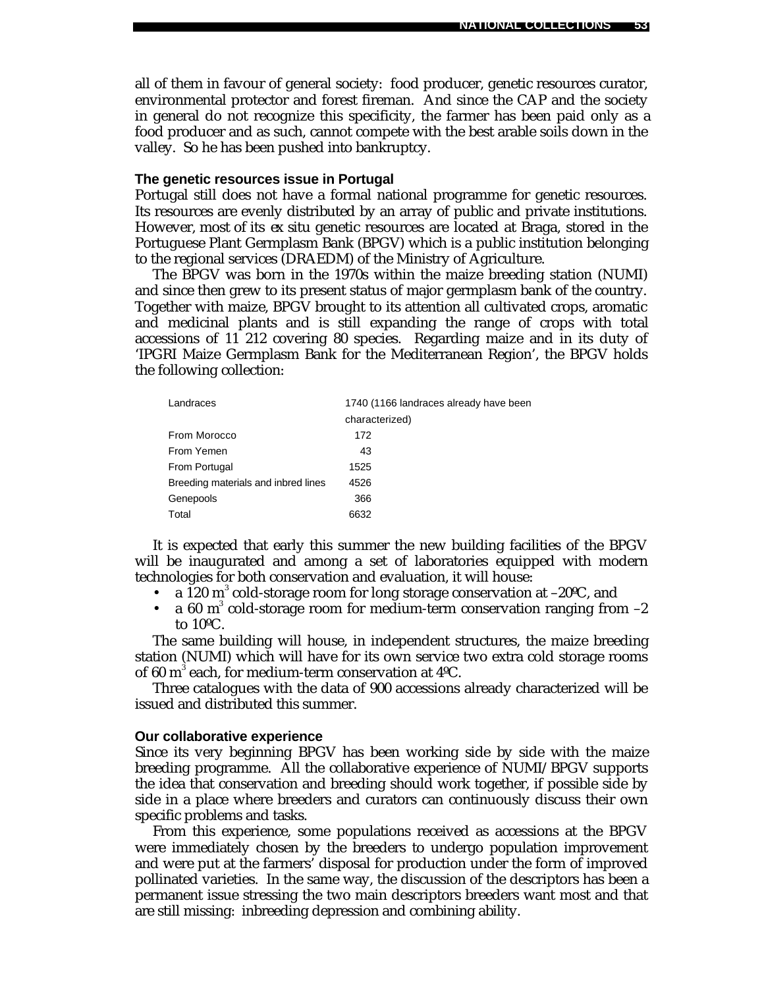all of them in favour of general society: food producer, genetic resources curator, environmental protector and forest fireman. And since the CAP and the society in general do not recognize this specificity, the farmer has been paid only as a food producer and as such, cannot compete with the best arable soils down in the valley. So he has been pushed into bankruptcy.

#### **The genetic resources issue in Portugal**

Portugal still does not have a formal national programme for genetic resources. Its resources are evenly distributed by an array of public and private institutions. However, most of its *ex situ* genetic resources are located at Braga, stored in the Portuguese Plant Germplasm Bank (BPGV) which is a public institution belonging to the regional services (DRAEDM) of the Ministry of Agriculture.

The BPGV was born in the 1970s within the maize breeding station (NUMI) and since then grew to its present status of major germplasm bank of the country. Together with maize, BPGV brought to its attention all cultivated crops, aromatic and medicinal plants and is still expanding the range of crops with total accessions of 11 212 covering 80 species. Regarding maize and in its duty of 'IPGRI Maize Germplasm Bank for the Mediterranean Region', the BPGV holds the following collection:

| Landraces                           | 1740 (1166 landraces already have been |
|-------------------------------------|----------------------------------------|
|                                     | characterized)                         |
| From Morocco                        | 172                                    |
| From Yemen                          | 43                                     |
| From Portugal                       | 1525                                   |
| Breeding materials and inbred lines | 4526                                   |
| Genepools                           | 366                                    |
| Total                               | 6632                                   |

It is expected that early this summer the new building facilities of the BPGV will be inaugurated and among a set of laboratories equipped with modern technologies for both conservation and evaluation, it will house:

- a  $120 \text{ m}^3$  cold-storage room for long storage conservation at  $-20 \text{°C}$ , and
- a 60  $m^3$  cold-storage room for medium-term conservation ranging from  $-2$ to 10ºC.

The same building will house, in independent structures, the maize breeding station (NUMI) which will have for its own service two extra cold storage rooms of 60  $\mathrm{m}^{3}$  each, for medium-term conservation at 4°C.

Three catalogues with the data of 900 accessions already characterized will be issued and distributed this summer.

#### **Our collaborative experience**

Since its very beginning BPGV has been working side by side with the maize breeding programme. All the collaborative experience of NUMI/BPGV supports the idea that conservation and breeding should work together, if possible side by side in a place where breeders and curators can continuously discuss their own specific problems and tasks.

From this experience, some populations received as accessions at the BPGV were immediately chosen by the breeders to undergo population improvement and were put at the farmers' disposal for production under the form of improved pollinated varieties. In the same way, the discussion of the descriptors has been a permanent issue stressing the two main descriptors breeders want most and that are still missing: inbreeding depression and combining ability.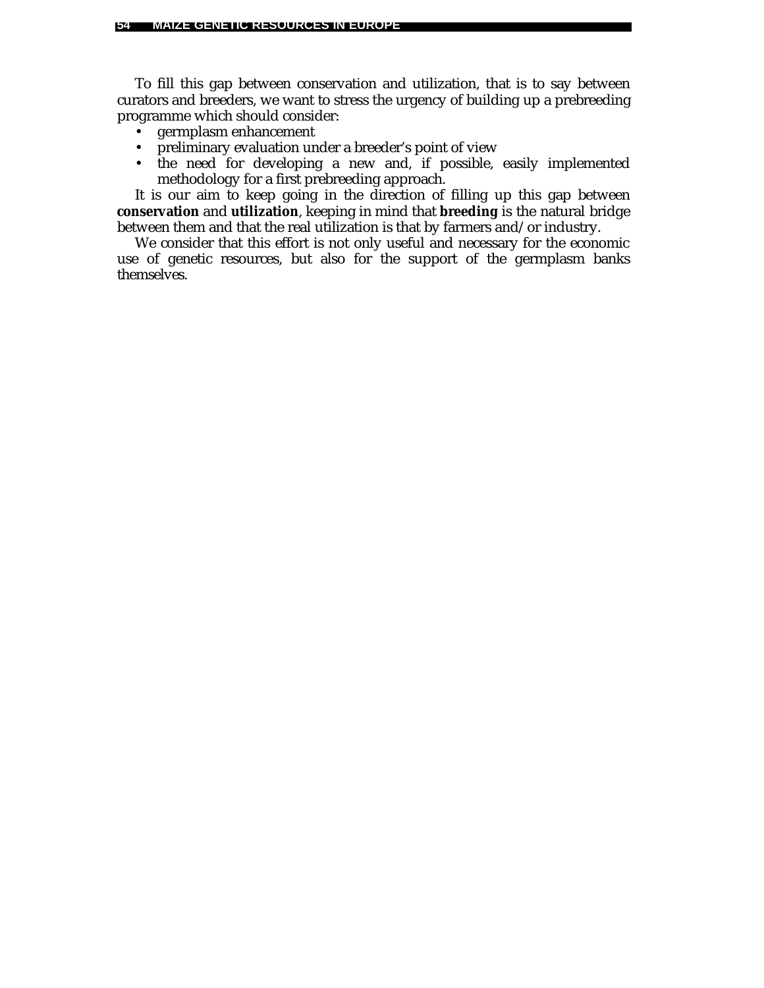To fill this gap between conservation and utilization, that is to say between curators and breeders, we want to stress the urgency of building up a prebreeding programme which should consider:

- germplasm enhancement
- preliminary evaluation under a breeder's point of view
- the need for developing a new and, if possible, easily implemented methodology for a first prebreeding approach.

It is our aim to keep going in the direction of filling up this gap between **conservation** and **utilization**, keeping in mind that **breeding** is the natural bridge between them and that the real utilization is that by farmers and/or industry.

We consider that this effort is not only useful and necessary for the economic use of genetic resources, but also for the support of the germplasm banks themselves.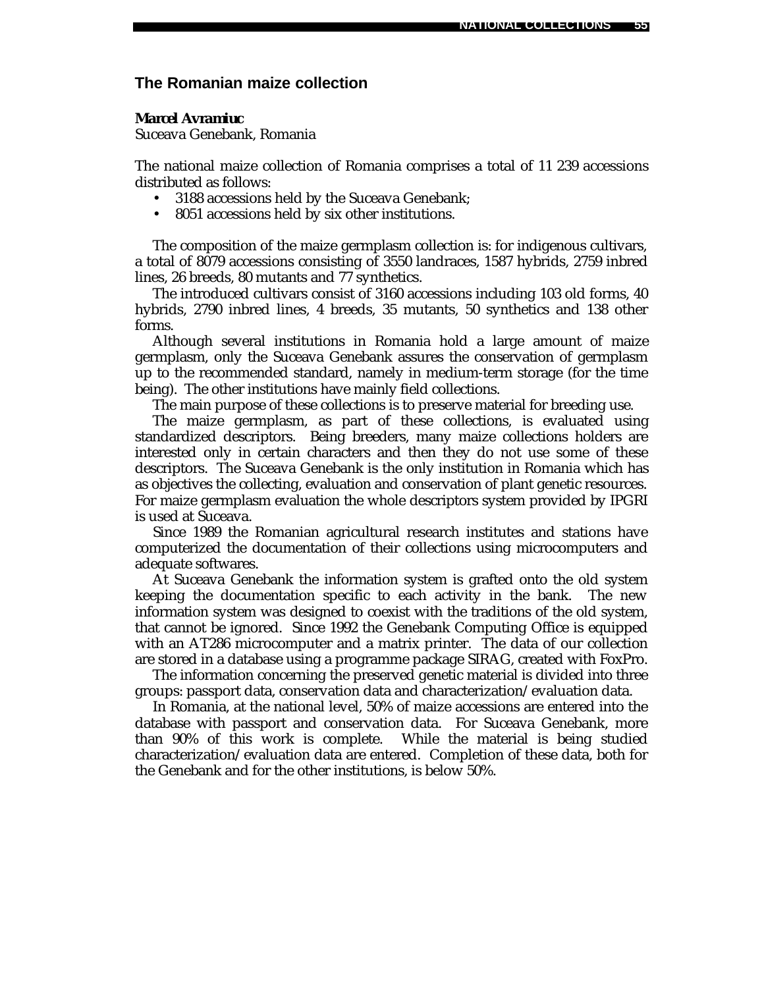### **The Romanian maize collection**

#### *Marcel Avramiuc*

Suceava Genebank, Romania

The national maize collection of Romania comprises a total of 11 239 accessions distributed as follows:

- 3188 accessions held by the Suceava Genebank;
- 8051 accessions held by six other institutions.

The composition of the maize germplasm collection is: for indigenous cultivars, a total of 8079 accessions consisting of 3550 landraces, 1587 hybrids, 2759 inbred lines, 26 breeds, 80 mutants and 77 synthetics.

The introduced cultivars consist of 3160 accessions including 103 old forms, 40 hybrids, 2790 inbred lines, 4 breeds, 35 mutants, 50 synthetics and 138 other forms.

Although several institutions in Romania hold a large amount of maize germplasm, only the Suceava Genebank assures the conservation of germplasm up to the recommended standard, namely in medium-term storage (for the time being). The other institutions have mainly field collections.

The main purpose of these collections is to preserve material for breeding use.

The maize germplasm, as part of these collections, is evaluated using standardized descriptors. Being breeders, many maize collections holders are interested only in certain characters and then they do not use some of these descriptors. The Suceava Genebank is the only institution in Romania which has as objectives the collecting, evaluation and conservation of plant genetic resources. For maize germplasm evaluation the whole descriptors system provided by IPGRI is used at Suceava.

Since 1989 the Romanian agricultural research institutes and stations have computerized the documentation of their collections using microcomputers and adequate softwares.

At Suceava Genebank the information system is grafted onto the old system keeping the documentation specific to each activity in the bank. The new information system was designed to coexist with the traditions of the old system, that cannot be ignored. Since 1992 the Genebank Computing Office is equipped with an AT286 microcomputer and a matrix printer. The data of our collection are stored in a database using a programme package SIRAG, created with FoxPro.

The information concerning the preserved genetic material is divided into three groups: passport data, conservation data and characterization/evaluation data.

In Romania, at the national level, 50% of maize accessions are entered into the database with passport and conservation data. For Suceava Genebank, more than 90% of this work is complete. While the material is being studied characterization/evaluation data are entered. Completion of these data, both for the Genebank and for the other institutions, is below 50%.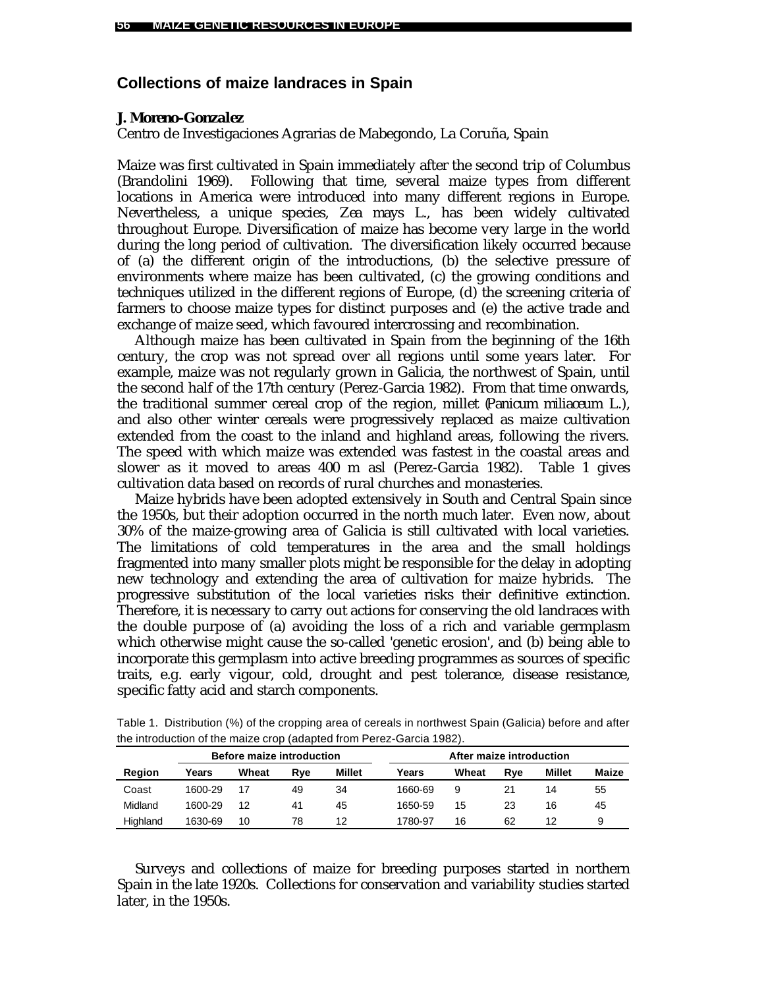# **Collections of maize landraces in Spain**

### *J. Moreno-Gonzalez*

Centro de Investigaciones Agrarias de Mabegondo, La Coruña, Spain

Maize was first cultivated in Spain immediately after the second trip of Columbus (Brandolini 1969). Following that time, several maize types from different locations in America were introduced into many different regions in Europe. Nevertheless, a unique species, *Zea mays* L., has been widely cultivated throughout Europe. Diversification of maize has become very large in the world during the long period of cultivation. The diversification likely occurred because of (a) the different origin of the introductions, (b) the selective pressure of environments where maize has been cultivated, (c) the growing conditions and techniques utilized in the different regions of Europe, (d) the screening criteria of farmers to choose maize types for distinct purposes and (e) the active trade and exchange of maize seed, which favoured intercrossing and recombination.

Although maize has been cultivated in Spain from the beginning of the 16th century, the crop was not spread over all regions until some years later. For example, maize was not regularly grown in Galicia, the northwest of Spain, until the second half of the 17th century (Perez-Garcia 1982). From that time onwards, the traditional summer cereal crop of the region, millet (*Panicum miliaceum* L.), and also other winter cereals were progressively replaced as maize cultivation extended from the coast to the inland and highland areas, following the rivers. The speed with which maize was extended was fastest in the coastal areas and slower as it moved to areas 400 m asl (Perez-Garcia 1982). Table 1 gives cultivation data based on records of rural churches and monasteries.

Maize hybrids have been adopted extensively in South and Central Spain since the 1950s, but their adoption occurred in the north much later. Even now, about 30% of the maize-growing area of Galicia is still cultivated with local varieties. The limitations of cold temperatures in the area and the small holdings fragmented into many smaller plots might be responsible for the delay in adopting new technology and extending the area of cultivation for maize hybrids. The progressive substitution of the local varieties risks their definitive extinction. Therefore, it is necessary to carry out actions for conserving the old landraces with the double purpose of (a) avoiding the loss of a rich and variable germplasm which otherwise might cause the so-called 'genetic erosion', and (b) being able to incorporate this germplasm into active breeding programmes as sources of specific traits, e.g. early vigour, cold, drought and pest tolerance, disease resistance, specific fatty acid and starch components.

| <b>Before maize introduction</b> |         |       |     | After maize introduction |         |       |     |               |       |
|----------------------------------|---------|-------|-----|--------------------------|---------|-------|-----|---------------|-------|
| Region                           | Years   | Wheat | Rve | Millet                   | Years   | Wheat | Rve | <b>Millet</b> | Maize |
| Coast                            | 1600-29 | 17    | 49  | 34                       | 1660-69 | 9     |     | 14            | 55    |
| Midland                          | 1600-29 | 12    | 41  | 45                       | 1650-59 | 15    | 23  | 16            | 45    |
| Highland                         | 1630-69 | 10    | 78  | 12                       | 1780-97 | 16    | 62  | 12            | 9     |

Table 1. Distribution (%) of the cropping area of cereals in northwest Spain (Galicia) before and after the introduction of the maize crop (adapted from Perez-Garcia 1982).

Surveys and collections of maize for breeding purposes started in northern Spain in the late 1920s. Collections for conservation and variability studies started later, in the 1950s.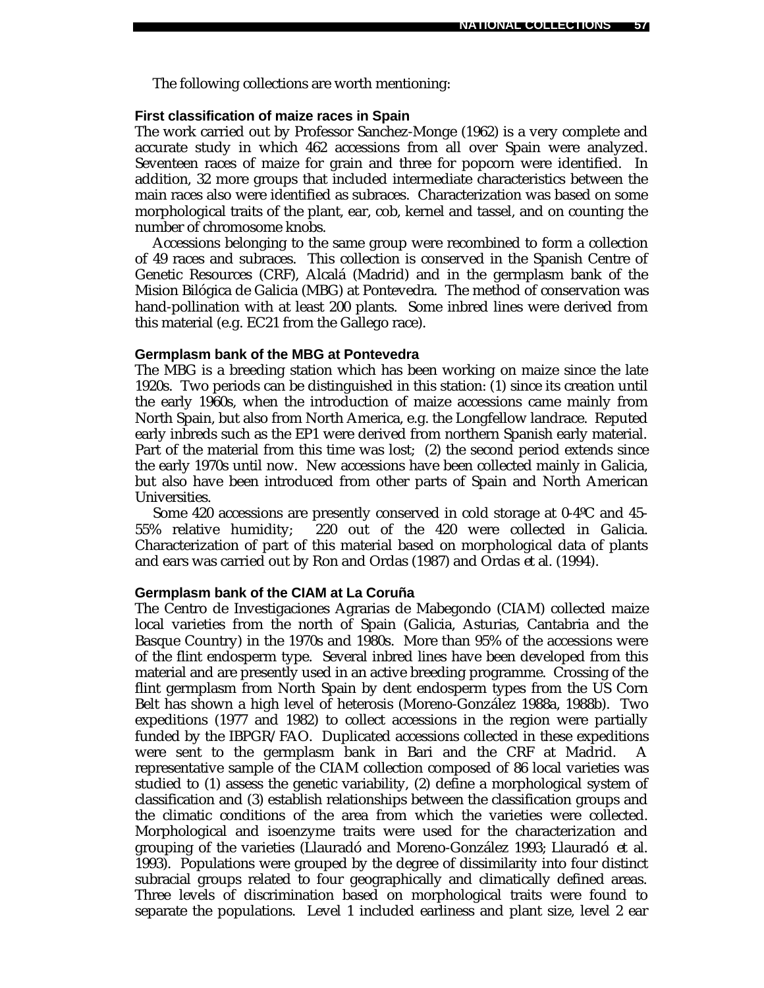The following collections are worth mentioning:

### **First classification of maize races in Spain**

The work carried out by Professor Sanchez-Monge (1962) is a very complete and accurate study in which 462 accessions from all over Spain were analyzed. Seventeen races of maize for grain and three for popcorn were identified. In addition, 32 more groups that included intermediate characteristics between the main races also were identified as subraces. Characterization was based on some morphological traits of the plant, ear, cob, kernel and tassel, and on counting the number of chromosome knobs.

Accessions belonging to the same group were recombined to form a collection of 49 races and subraces. This collection is conserved in the Spanish Centre of Genetic Resources (CRF), Alcalá (Madrid) and in the germplasm bank of the Mision Bilógica de Galicia (MBG) at Pontevedra. The method of conservation was hand-pollination with at least 200 plants. Some inbred lines were derived from this material (e.g. EC21 from the Gallego race).

#### **Germplasm bank of the MBG at Pontevedra**

The MBG is a breeding station which has been working on maize since the late 1920s. Two periods can be distinguished in this station: (1) since its creation until the early 1960s, when the introduction of maize accessions came mainly from North Spain, but also from North America, e.g. the Longfellow landrace. Reputed early inbreds such as the EP1 were derived from northern Spanish early material. Part of the material from this time was lost; (2) the second period extends since the early 1970s until now. New accessions have been collected mainly in Galicia, but also have been introduced from other parts of Spain and North American Universities.

Some 420 accessions are presently conserved in cold storage at 0-4ºC and 45- 55% relative humidity; 220 out of the 420 were collected in Galicia. Characterization of part of this material based on morphological data of plants and ears was carried out by Ron and Ordas (1987) and Ordas *et al.* (1994).

#### **Germplasm bank of the CIAM at La Coruña**

The Centro de Investigaciones Agrarias de Mabegondo (CIAM) collected maize local varieties from the north of Spain (Galicia, Asturias, Cantabria and the Basque Country) in the 1970s and 1980s. More than 95% of the accessions were of the flint endosperm type. Several inbred lines have been developed from this material and are presently used in an active breeding programme. Crossing of the flint germplasm from North Spain by dent endosperm types from the US Corn Belt has shown a high level of heterosis (Moreno-González 1988a, 1988b). Two expeditions (1977 and 1982) to collect accessions in the region were partially funded by the IBPGR/FAO. Duplicated accessions collected in these expeditions were sent to the germplasm bank in Bari and the CRF at Madrid. A representative sample of the CIAM collection composed of 86 local varieties was studied to (1) assess the genetic variability, (2) define a morphological system of classification and (3) establish relationships between the classification groups and the climatic conditions of the area from which the varieties were collected. Morphological and isoenzyme traits were used for the characterization and grouping of the varieties (Llauradó and Moreno-González 1993; Llauradó *et al.* 1993). Populations were grouped by the degree of dissimilarity into four distinct subracial groups related to four geographically and climatically defined areas. Three levels of discrimination based on morphological traits were found to separate the populations. Level 1 included earliness and plant size, level 2 ear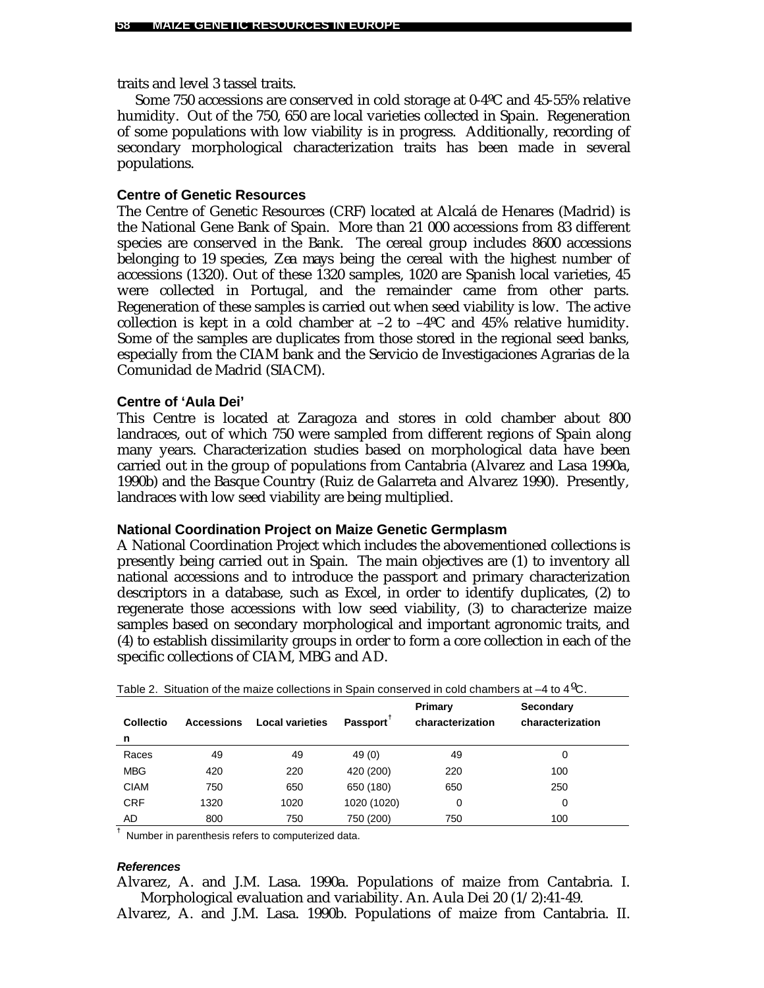traits and level 3 tassel traits.

Some 750 accessions are conserved in cold storage at 0-4ºC and 45-55% relative humidity. Out of the 750, 650 are local varieties collected in Spain. Regeneration of some populations with low viability is in progress. Additionally, recording of secondary morphological characterization traits has been made in several populations.

## **Centre of Genetic Resources**

The Centre of Genetic Resources (CRF) located at Alcalá de Henares (Madrid) is the National Gene Bank of Spain. More than 21 000 accessions from 83 different species are conserved in the Bank. The cereal group includes 8600 accessions belonging to 19 species, *Zea mays* being the cereal with the highest number of accessions (1320). Out of these 1320 samples, 1020 are Spanish local varieties, 45 were collected in Portugal, and the remainder came from other parts. Regeneration of these samples is carried out when seed viability is low. The active collection is kept in a cold chamber at  $-2$  to  $-4^{\circ}$ C and 45% relative humidity. Some of the samples are duplicates from those stored in the regional seed banks, especially from the CIAM bank and the Servicio de Investigaciones Agrarias de la Comunidad de Madrid (SIACM).

### **Centre of 'Aula Dei'**

This Centre is located at Zaragoza and stores in cold chamber about 800 landraces, out of which 750 were sampled from different regions of Spain along many years. Characterization studies based on morphological data have been carried out in the group of populations from Cantabria (Alvarez and Lasa 1990a, 1990b) and the Basque Country (Ruiz de Galarreta and Alvarez 1990). Presently, landraces with low seed viability are being multiplied.

### **National Coordination Project on Maize Genetic Germplasm**

A National Coordination Project which includes the abovementioned collections is presently being carried out in Spain. The main objectives are (1) to inventory all national accessions and to introduce the passport and primary characterization descriptors in a database, such as Excel, in order to identify duplicates, (2) to regenerate those accessions with low seed viability, (3) to characterize maize samples based on secondary morphological and important agronomic traits, and (4) to establish dissimilarity groups in order to form a core collection in each of the specific collections of CIAM, MBG and AD.

| <b>Collectio</b> | <b>Accessions</b> | <b>Local varieties</b> | Passport <sup>1</sup> | Primary<br>characterization | Secondary<br>characterization |  |
|------------------|-------------------|------------------------|-----------------------|-----------------------------|-------------------------------|--|
| n                |                   |                        |                       |                             |                               |  |
| Races            | 49                | 49                     | 49 (0)                | 49                          | 0                             |  |
| <b>MBG</b>       | 420               | 220                    | 420 (200)             | 220                         | 100                           |  |
| <b>CIAM</b>      | 750               | 650                    | 650 (180)             | 650                         | 250                           |  |
| <b>CRF</b>       | 1320              | 1020                   | 1020 (1020)           | 0                           | 0                             |  |
| AD               | 800               | 750                    | 750 (200)             | 750                         | 100                           |  |

Table 2. Situation of the maize collections in Spain conserved in cold chambers at  $-4$  to  $4^{\circ}$ C.

**†** Number in parenthesis refers to computerized data.

#### *References*

Alvarez, A. and J.M. Lasa. 1990a. Populations of maize from Cantabria. I. Morphological evaluation and variability. An. Aula Dei 20 (1/2):41-49.

Alvarez, A. and J.M. Lasa. 1990b. Populations of maize from Cantabria. II.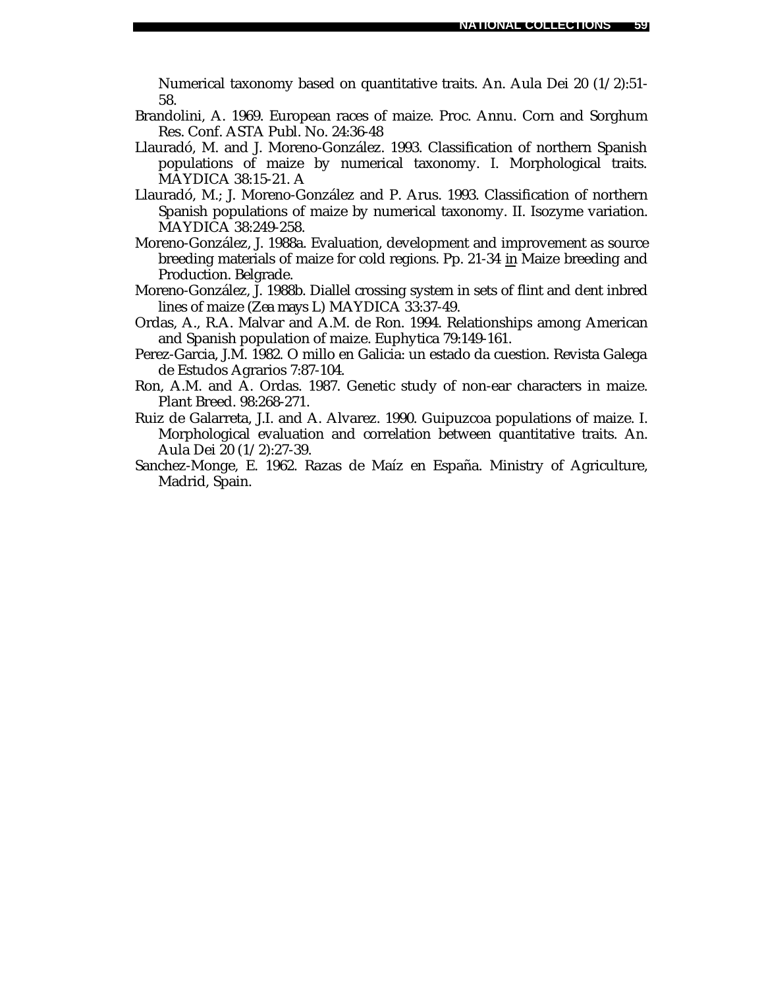Numerical taxonomy based on quantitative traits. An. Aula Dei 20 (1/2):51- 58.

- Brandolini, A. 1969. European races of maize. Proc. Annu. Corn and Sorghum Res. Conf. ASTA Publ. No. 24:36-48
- Llauradó, M. and J. Moreno-González. 1993. Classification of northern Spanish populations of maize by numerical taxonomy. I. Morphological traits. MAYDICA 38:15-21. A
- Llauradó, M.; J. Moreno-González and P. Arus. 1993. Classification of northern Spanish populations of maize by numerical taxonomy. II. Isozyme variation. MAYDICA 38:249-258.
- Moreno-González, J. 1988a. Evaluation, development and improvement as source breeding materials of maize for cold regions. Pp. 21-34 *in* Maize breeding and Production. Belgrade.
- Moreno-González, J. 1988b. Diallel crossing system in sets of flint and dent inbred lines of maize (*Zea mays* L) MAYDICA 33:37-49.
- Ordas, A., R.A. Malvar and A.M. de Ron. 1994. Relationships among American and Spanish population of maize. Euphytica 79:149-161.
- Perez-Garcia, J.M. 1982. O millo en Galicia: un estado da cuestion. Revista Galega de Estudos Agrarios 7:87-104.
- Ron, A.M. and A. Ordas. 1987. Genetic study of non-ear characters in maize. Plant Breed. 98:268-271.
- Ruiz de Galarreta, J.I. and A. Alvarez. 1990. Guipuzcoa populations of maize. I. Morphological evaluation and correlation between quantitative traits. An. Aula Dei 20 (1/2):27-39.
- Sanchez-Monge, E. 1962. Razas de Maíz en España. Ministry of Agriculture, Madrid, Spain.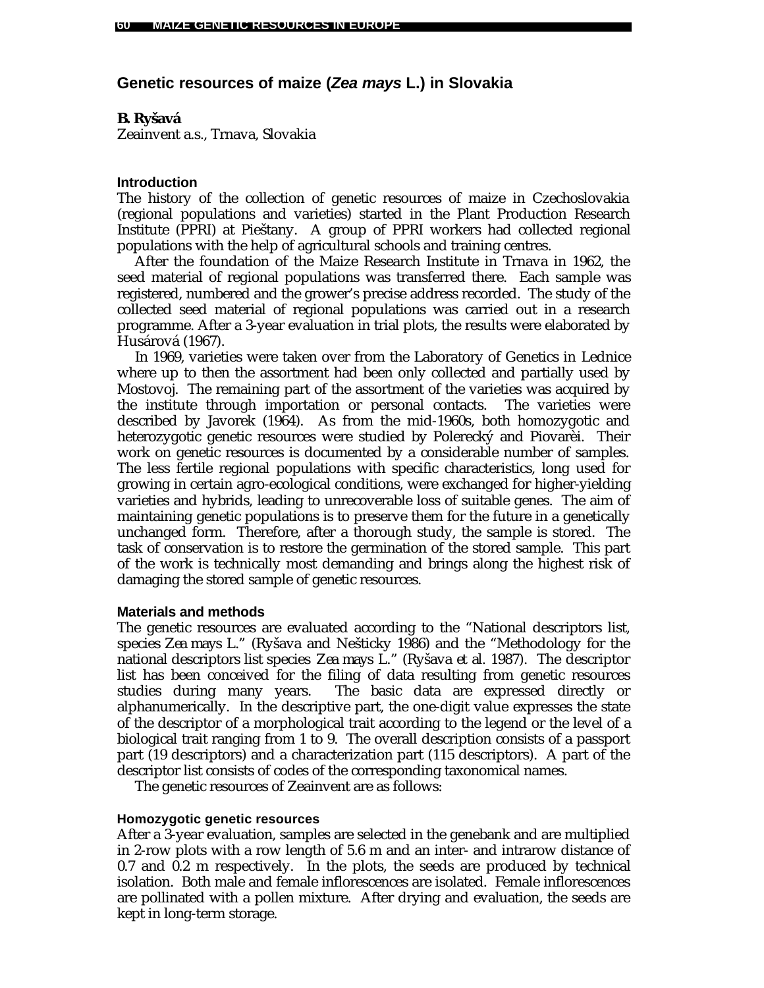# **Genetic resources of maize (***Zea mays* **L.) in Slovakia**

### *B. Ryšavá*

Zeainvent a.s., Trnava, Slovakia

### **Introduction**

The history of the collection of genetic resources of maize in Czechoslovakia (regional populations and varieties) started in the Plant Production Research Institute (PPRI) at Pieštany. A group of PPRI workers had collected regional populations with the help of agricultural schools and training centres.

After the foundation of the Maize Research Institute in Trnava in 1962, the seed material of regional populations was transferred there. Each sample was registered, numbered and the grower's precise address recorded. The study of the collected seed material of regional populations was carried out in a research programme. After a 3-year evaluation in trial plots, the results were elaborated by Husárová (1967).

In 1969, varieties were taken over from the Laboratory of Genetics in Lednice where up to then the assortment had been only collected and partially used by Mostovoj. The remaining part of the assortment of the varieties was acquired by the institute through importation or personal contacts. The varieties were described by Javorek (1964). As from the mid-1960s, both homozygotic and heterozygotic genetic resources were studied by Polerecký and Piovarèi. Their work on genetic resources is documented by a considerable number of samples. The less fertile regional populations with specific characteristics, long used for growing in certain agro-ecological conditions, were exchanged for higher-yielding varieties and hybrids, leading to unrecoverable loss of suitable genes. The aim of maintaining genetic populations is to preserve them for the future in a genetically unchanged form. Therefore, after a thorough study, the sample is stored. The task of conservation is to restore the germination of the stored sample. This part of the work is technically most demanding and brings along the highest risk of damaging the stored sample of genetic resources.

### **Materials and methods**

The genetic resources are evaluated according to the "National descriptors list, species *Zea mays* L." (Ryšava and Nešticky 1986) and the "Methodology for the national descriptors list species *Zea mays* L." (Ryšava *et al.* 1987). The descriptor list has been conceived for the filing of data resulting from genetic resources studies during many years. The basic data are expressed directly or alphanumerically. In the descriptive part, the one-digit value expresses the state of the descriptor of a morphological trait according to the legend or the level of a biological trait ranging from 1 to 9. The overall description consists of a passport part (19 descriptors) and a characterization part (115 descriptors). A part of the descriptor list consists of codes of the corresponding taxonomical names.

The genetic resources of Zeainvent are as follows:

### **Homozygotic genetic resources**

After a 3-year evaluation, samples are selected in the genebank and are multiplied in 2-row plots with a row length of 5.6 m and an inter- and intrarow distance of 0.7 and 0.2 m respectively. In the plots, the seeds are produced by technical isolation. Both male and female inflorescences are isolated. Female inflorescences are pollinated with a pollen mixture. After drying and evaluation, the seeds are kept in long-term storage.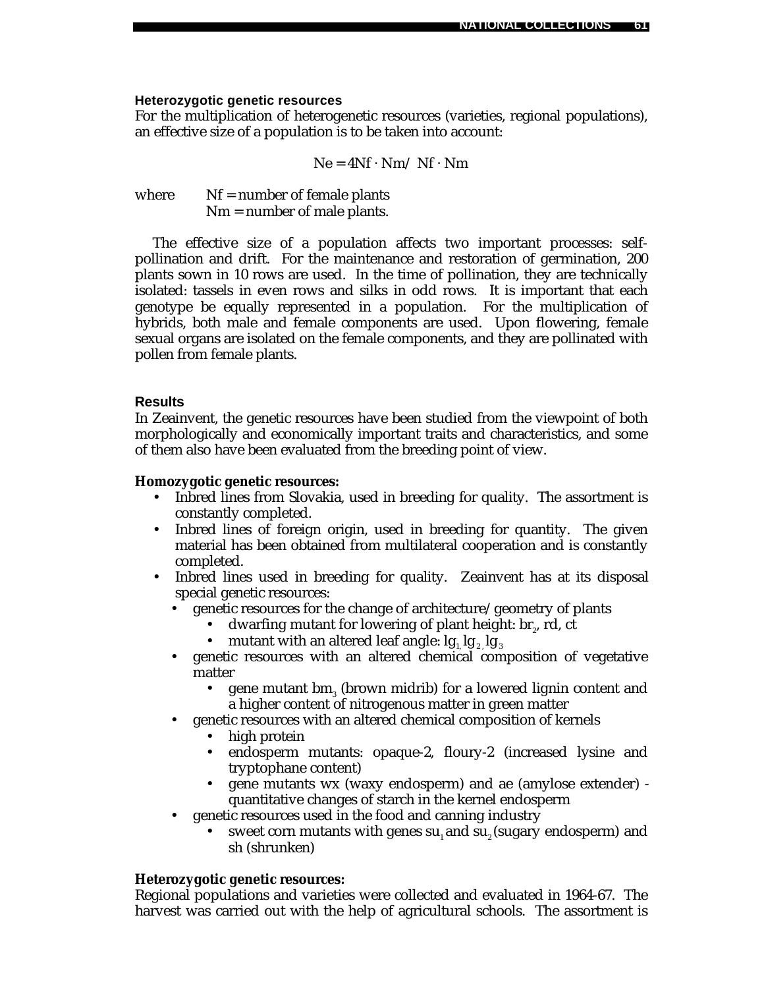### **Heterozygotic genetic resources**

For the multiplication of heterogenetic resources (varieties, regional populations), an effective size of a population is to be taken into account:

$$
Ne = 4Nf \cdot Nm / Nf \cdot Nm
$$

where  $Nf =$  number of female plants Nm = number of male plants.

The effective size of a population affects two important processes: selfpollination and drift. For the maintenance and restoration of germination, 200 plants sown in 10 rows are used. In the time of pollination, they are technically isolated: tassels in even rows and silks in odd rows. It is important that each genotype be equally represented in a population. For the multiplication of hybrids, both male and female components are used. Upon flowering, female sexual organs are isolated on the female components, and they are pollinated with pollen from female plants.

### **Results**

In Zeainvent, the genetic resources have been studied from the viewpoint of both morphologically and economically important traits and characteristics, and some of them also have been evaluated from the breeding point of view.

### **Homozygotic genetic resources:**

- Inbred lines from Slovakia, used in breeding for quality. The assortment is constantly completed.
- Inbred lines of foreign origin, used in breeding for quantity. The given material has been obtained from multilateral cooperation and is constantly completed.
- Inbred lines used in breeding for quality. Zeainvent has at its disposal special genetic resources:
	- genetic resources for the change of architecture/geometry of plants
		- dwarfing mutant for lowering of plant height:  $\text{br}_2$ , rd, ct
		- mutant with an altered leaf angle:  $\lg_1 \lg_2 \lg_3$
	- genetic resources with an altered chemical composition of vegetative matter
		- gene mutant  $bm_{3}$  (brown midrib) for a lowered lignin content and a higher content of nitrogenous matter in green matter
	- genetic resources with an altered chemical composition of kernels
		- high protein
		- endosperm mutants: opaque-2, floury-2 (increased lysine and tryptophane content)
		- gene mutants wx (waxy endosperm) and ae (amylose extender) quantitative changes of starch in the kernel endosperm
	- genetic resources used in the food and canning industry
		- sweet corn mutants with genes su, and su, (sugary endosperm) and sh (shrunken)

### **Heterozygotic genetic resources:**

Regional populations and varieties were collected and evaluated in 1964-67. The harvest was carried out with the help of agricultural schools. The assortment is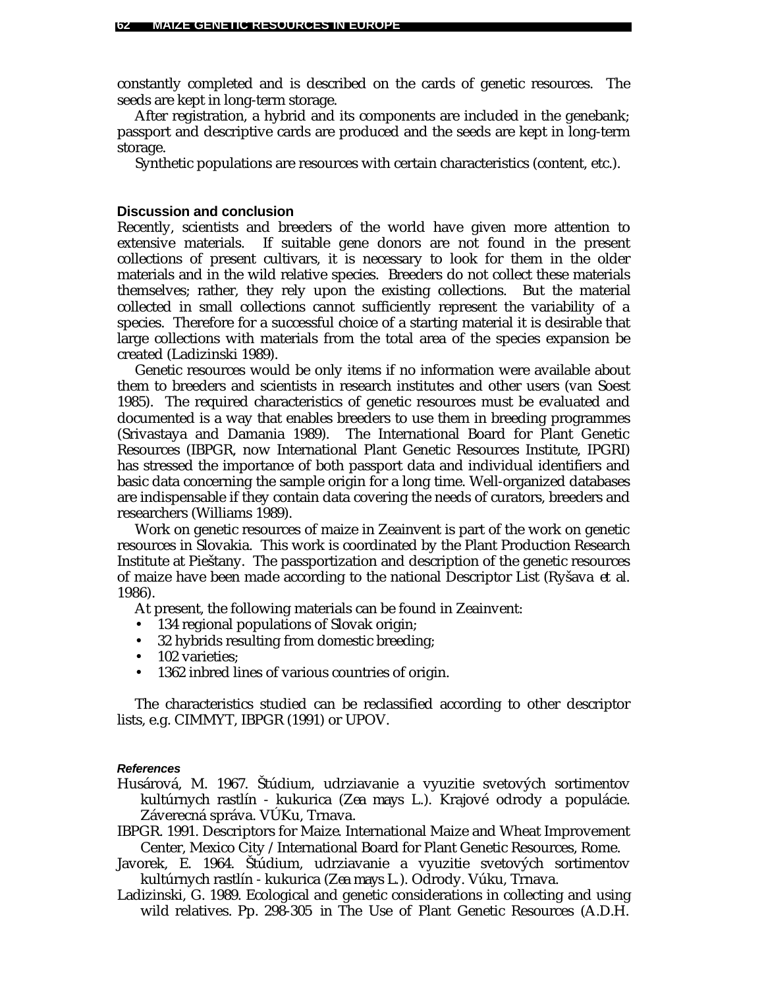constantly completed and is described on the cards of genetic resources. The seeds are kept in long-term storage.

After registration, a hybrid and its components are included in the genebank; passport and descriptive cards are produced and the seeds are kept in long-term storage.

Synthetic populations are resources with certain characteristics (content, etc.).

#### **Discussion and conclusion**

Recently, scientists and breeders of the world have given more attention to extensive materials. If suitable gene donors are not found in the present collections of present cultivars, it is necessary to look for them in the older materials and in the wild relative species. Breeders do not collect these materials themselves; rather, they rely upon the existing collections. But the material collected in small collections cannot sufficiently represent the variability of a species. Therefore for a successful choice of a starting material it is desirable that large collections with materials from the total area of the species expansion be created (Ladizinski 1989).

Genetic resources would be only items if no information were available about them to breeders and scientists in research institutes and other users (van Soest 1985). The required characteristics of genetic resources must be evaluated and documented is a way that enables breeders to use them in breeding programmes (Srivastaya and Damania 1989). The International Board for Plant Genetic Resources (IBPGR, now International Plant Genetic Resources Institute, IPGRI) has stressed the importance of both passport data and individual identifiers and basic data concerning the sample origin for a long time. Well-organized databases are indispensable if they contain data covering the needs of curators, breeders and researchers (Williams 1989).

Work on genetic resources of maize in Zeainvent is part of the work on genetic resources in Slovakia. This work is coordinated by the Plant Production Research Institute at Pieštany. The passportization and description of the genetic resources of maize have been made according to the national Descriptor List (Ryšava *et al.* 1986).

At present, the following materials can be found in Zeainvent:

- 134 regional populations of Slovak origin;
- 32 hybrids resulting from domestic breeding;
- 102 varieties;
- 1362 inbred lines of various countries of origin.

The characteristics studied can be reclassified according to other descriptor lists, e.g. CIMMYT, IBPGR (1991) or UPOV.

#### *References*

- Husárová, M. 1967. Štúdium, udrziavanie a vyuzitie svetových sortimentov kultúrnych rastlín - kukurica (*Zea mays* L.). Krajové odrody a populácie. Záverecná správa. VÚKu, Trnava.
- IBPGR. 1991. Descriptors for Maize*.* International Maize and Wheat Improvement Center, Mexico City /International Board for Plant Genetic Resources, Rome.
- Javorek, E. 1964. Štúdium, udrziavanie a vyuzitie svetových sortimentov kultúrnych rastlín - kukurica (*Zea mays L.*). Odrody. Vúku, Trnava.
- Ladizinski, G. 1989. Ecological and genetic considerations in collecting and using wild relatives. Pp. 298-305 *in* The Use of Plant Genetic Resources (A.D.H.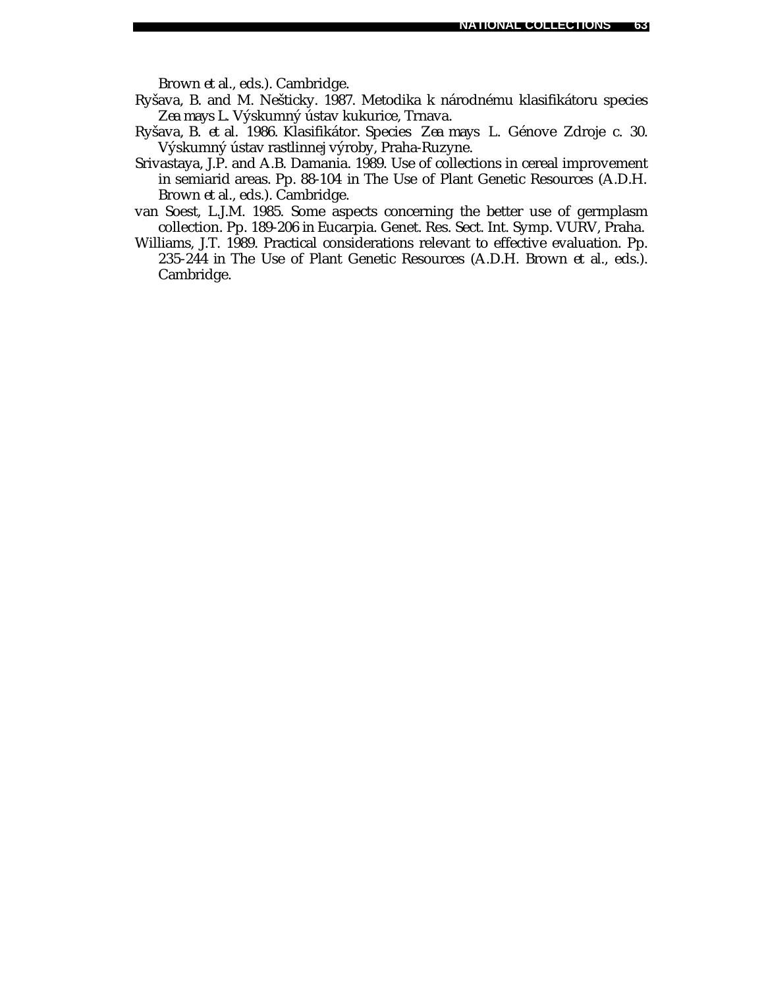Brown *et al.*, eds.). Cambridge.

- Ryšava, B. and M. Nešticky. 1987. Metodika k národnému klasifikátoru species *Zea mays L.* Výskumný ústav kukurice, Trnava.
- Ryšava, B. *et al.* 1986. Klasifikátor. Species *Zea mays* L*.* Génove Zdroje c. 30. Výskumný ústav rastlinnej výroby, Praha-Ruzyne.
- Srivastaya, J.P. and A.B. Damania. 1989. Use of collections in cereal improvement in semiarid areas. Pp. 88-104 *in* The Use of Plant Genetic Resources (A.D.H. Brown *et al.*, eds.). Cambridge.
- van Soest, L.J.M. 1985. Some aspects concerning the better use of germplasm collection. Pp. 189-206 *in* Eucarpia. Genet. Res. Sect. Int. Symp. VURV, Praha.
- Williams, J.T. 1989. Practical considerations relevant to effective evaluation. Pp. 235-244 *in* The Use of Plant Genetic Resources (A.D.H. Brown *et al.*, eds.). Cambridge.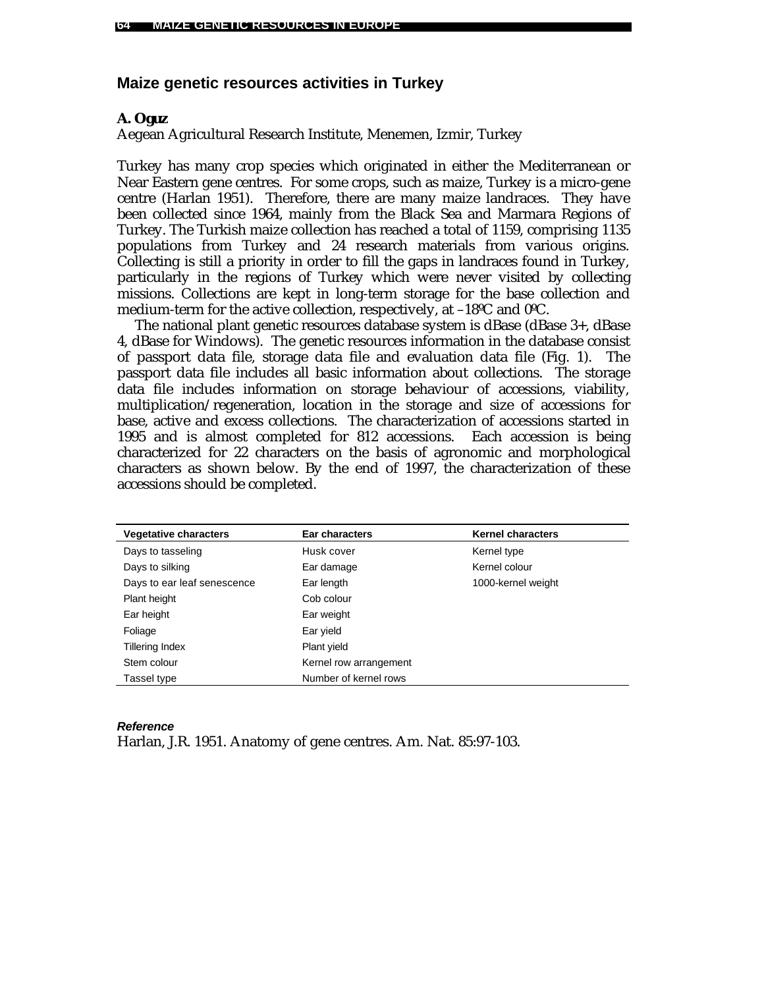### **Maize genetic resources activities in Turkey**

### *A. Oguz*

Aegean Agricultural Research Institute, Menemen, Izmir, Turkey

Turkey has many crop species which originated in either the Mediterranean or Near Eastern gene centres. For some crops, such as maize, Turkey is a micro-gene centre (Harlan 1951). Therefore, there are many maize landraces. They have been collected since 1964, mainly from the Black Sea and Marmara Regions of Turkey. The Turkish maize collection has reached a total of 1159, comprising 1135 populations from Turkey and 24 research materials from various origins. Collecting is still a priority in order to fill the gaps in landraces found in Turkey, particularly in the regions of Turkey which were never visited by collecting missions. Collections are kept in long-term storage for the base collection and medium-term for the active collection, respectively, at –18ºC and 0ºC.

The national plant genetic resources database system is dBase (dBase 3+, dBase 4, dBase for Windows). The genetic resources information in the database consist of passport data file, storage data file and evaluation data file (Fig. 1). The passport data file includes all basic information about collections. The storage data file includes information on storage behaviour of accessions, viability, multiplication/regeneration, location in the storage and size of accessions for base, active and excess collections. The characterization of accessions started in 1995 and is almost completed for 812 accessions. Each accession is being characterized for 22 characters on the basis of agronomic and morphological characters as shown below. By the end of 1997, the characterization of these accessions should be completed.

| <b>Vegetative characters</b> | Ear characters         | <b>Kernel characters</b> |
|------------------------------|------------------------|--------------------------|
| Days to tasseling            | Husk cover             | Kernel type              |
| Days to silking              | Ear damage             | Kernel colour            |
| Days to ear leaf senescence  | Ear length             | 1000-kernel weight       |
| Plant height                 | Cob colour             |                          |
| Ear height                   | Ear weight             |                          |
| Foliage                      | Ear yield              |                          |
| Tillering Index              | Plant yield            |                          |
| Stem colour                  | Kernel row arrangement |                          |
| Tassel type                  | Number of kernel rows  |                          |

#### *Reference*

Harlan, J.R. 1951. Anatomy of gene centres. Am. Nat. 85:97-103.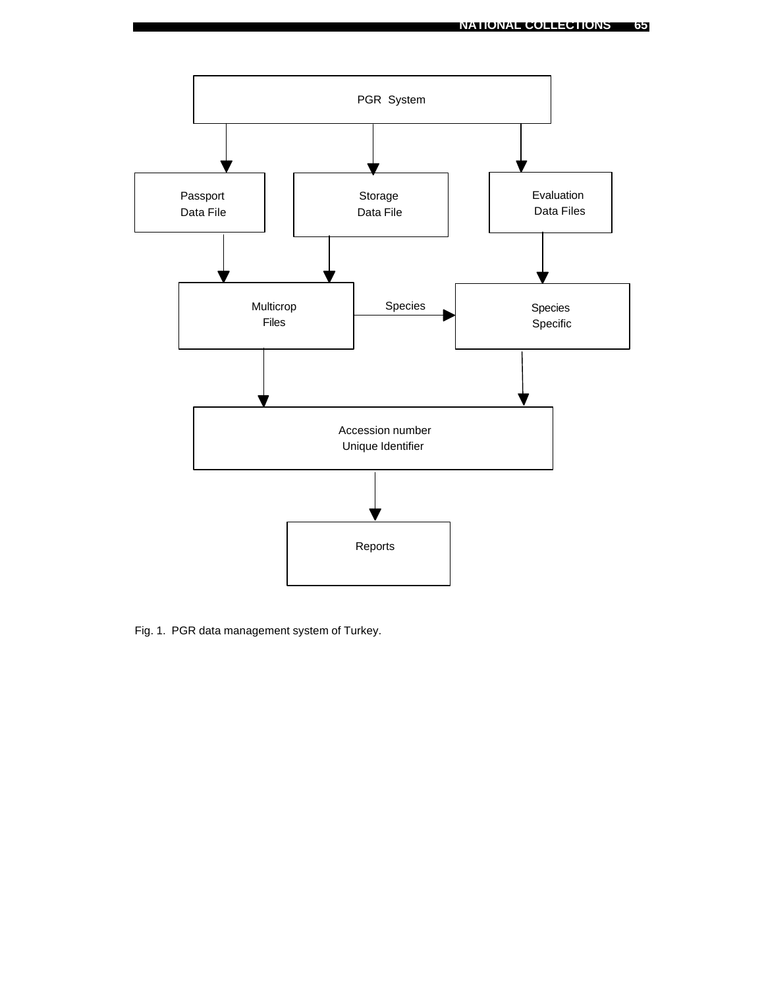

Fig. 1. PGR data management system of Turkey.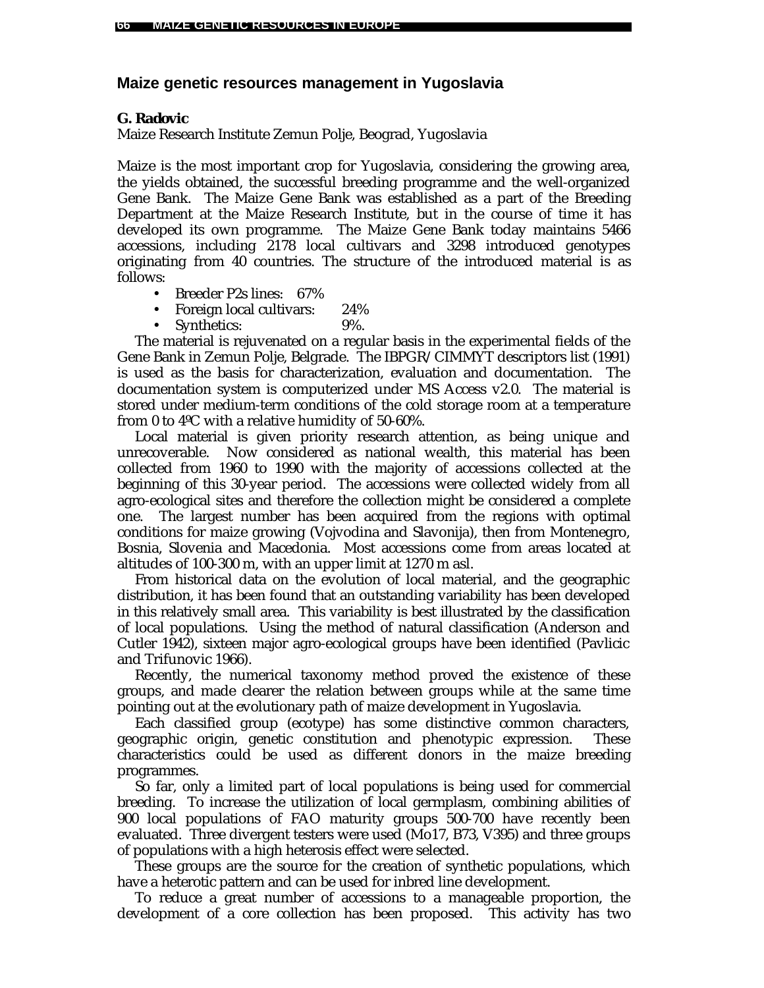# **Maize genetic resources management in Yugoslavia**

### *G. Radovic*

Maize Research Institute Zemun Polje, Beograd, Yugoslavia

Maize is the most important crop for Yugoslavia, considering the growing area, the yields obtained, the successful breeding programme and the well-organized Gene Bank. The Maize Gene Bank was established as a part of the Breeding Department at the Maize Research Institute, but in the course of time it has developed its own programme. The Maize Gene Bank today maintains 5466 accessions, including 2178 local cultivars and 3298 introduced genotypes originating from 40 countries. The structure of the introduced material is as follows:

- Breeder P2s lines: 67%
- Foreign local cultivars: 24%
- Synthetics: 9%.

The material is rejuvenated on a regular basis in the experimental fields of the Gene Bank in Zemun Polje, Belgrade. The IBPGR/CIMMYT descriptors list (1991) is used as the basis for characterization, evaluation and documentation. The documentation system is computerized under MS Access v2.0. The material is stored under medium-term conditions of the cold storage room at a temperature from 0 to 4ºC with a relative humidity of 50-60%.

Local material is given priority research attention, as being unique and unrecoverable. Now considered as national wealth, this material has been collected from 1960 to 1990 with the majority of accessions collected at the beginning of this 30-year period. The accessions were collected widely from all agro-ecological sites and therefore the collection might be considered a complete one. The largest number has been acquired from the regions with optimal conditions for maize growing (Vojvodina and Slavonija), then from Montenegro, Bosnia, Slovenia and Macedonia. Most accessions come from areas located at altitudes of 100-300 m, with an upper limit at 1270 m asl.

From historical data on the evolution of local material, and the geographic distribution, it has been found that an outstanding variability has been developed in this relatively small area. This variability is best illustrated by the classification of local populations. Using the method of natural classification (Anderson and Cutler 1942), sixteen major agro-ecological groups have been identified (Pavlicic and Trifunovic 1966).

Recently, the numerical taxonomy method proved the existence of these groups, and made clearer the relation between groups while at the same time pointing out at the evolutionary path of maize development in Yugoslavia.

Each classified group (ecotype) has some distinctive common characters, geographic origin, genetic constitution and phenotypic expression. These characteristics could be used as different donors in the maize breeding programmes.

So far, only a limited part of local populations is being used for commercial breeding. To increase the utilization of local germplasm, combining abilities of 900 local populations of FAO maturity groups 500-700 have recently been evaluated. Three divergent testers were used (Mo17, B73, V395) and three groups of populations with a high heterosis effect were selected.

These groups are the source for the creation of synthetic populations, which have a heterotic pattern and can be used for inbred line development.

To reduce a great number of accessions to a manageable proportion, the development of a core collection has been proposed. This activity has two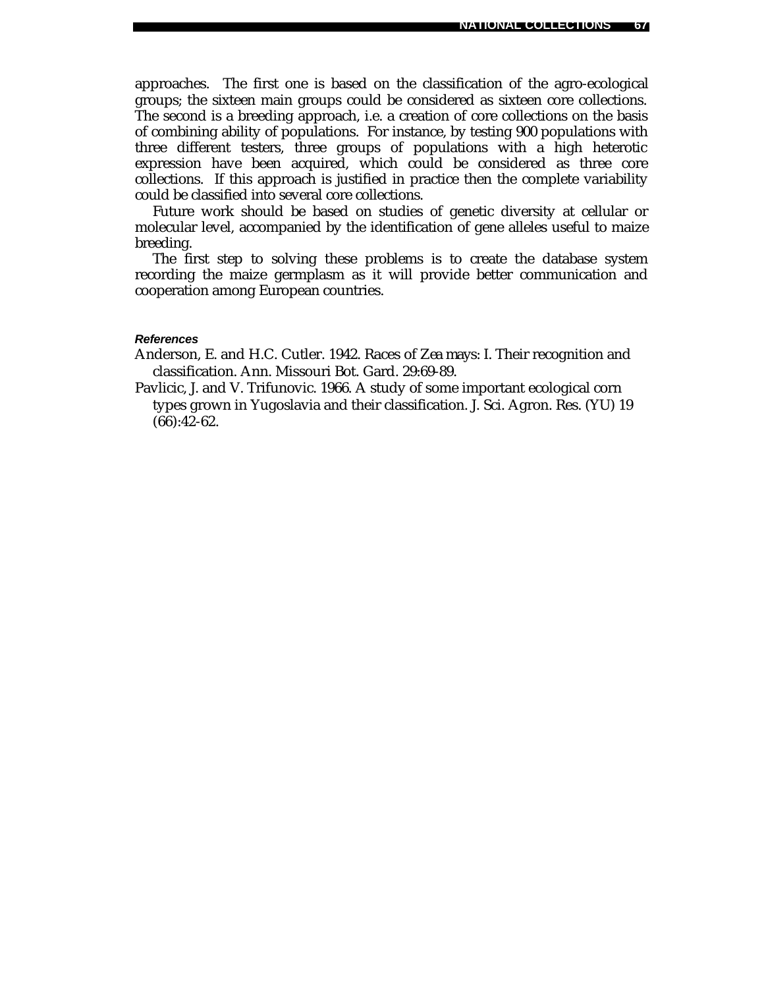approaches. The first one is based on the classification of the agro-ecological groups; the sixteen main groups could be considered as sixteen core collections. The second is a breeding approach, i.e. a creation of core collections on the basis of combining ability of populations. For instance, by testing 900 populations with three different testers, three groups of populations with a high heterotic expression have been acquired, which could be considered as three core collections. If this approach is justified in practice then the complete variability could be classified into several core collections.

Future work should be based on studies of genetic diversity at cellular or molecular level, accompanied by the identification of gene alleles useful to maize breeding.

The first step to solving these problems is to create the database system recording the maize germplasm as it will provide better communication and cooperation among European countries.

### *References*

Anderson, E. and H.C. Cutler. 1942. Races of *Zea mays*: I. Their recognition and classification. Ann. Missouri Bot. Gard. 29:69-89.

Pavlicic, J. and V. Trifunovic. 1966. A study of some important ecological corn types grown in Yugoslavia and their classification. J. Sci. Agron. Res. (YU) 19 (66):42-62.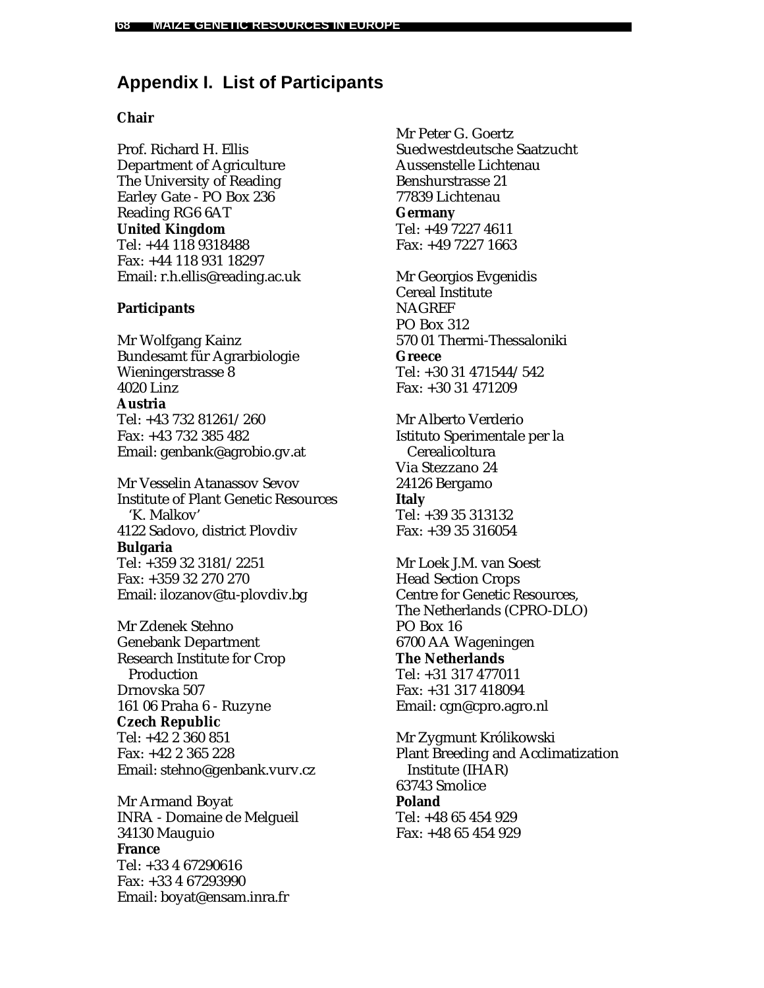# **Appendix I. List of Participants**

### **Chair**

Prof. Richard H. Ellis Department of Agriculture The University of Reading Earley Gate - PO Box 236 Reading RG6 6AT **United Kingdom** Tel: +44 118 9318488 Fax: +44 118 931 18297 Email: r.h.ellis@reading.ac.uk

### **Participants**

Mr Wolfgang Kainz Bundesamt für Agrarbiologie Wieningerstrasse 8 4020 Linz **Austria** Tel: +43 732 81261/260 Fax: +43 732 385 482 Email: genbank@agrobio.gv.at

Mr Vesselin Atanassov Sevov Institute of Plant Genetic Resources 'K. Malkov' 4122 Sadovo, district Plovdiv **Bulgaria** Tel: +359 32 3181/2251 Fax: +359 32 270 270 Email: ilozanov@tu-plovdiv.bg

Mr Zdenek Stehno Genebank Department Research Institute for Crop Production Drnovska 507 161 06 Praha 6 - Ruzyne **Czech Republic** Tel: +42 2 360 851 Fax: +42 2 365 228 Email: stehno@genbank.vurv.cz

Mr Armand Boyat INRA - Domaine de Melgueil 34130 Mauguio **France** Tel: +33 4 67290616 Fax: +33 4 67293990 Email: boyat@ensam.inra.fr

Mr Peter G. Goertz Suedwestdeutsche Saatzucht Aussenstelle Lichtenau Benshurstrasse 21 77839 Lichtenau **Germany** Tel: +49 7227 4611 Fax: +49 7227 1663

Mr Georgios Evgenidis Cereal Institute **NAGREF** PO Box 312 570 01 Thermi-Thessaloniki **Greece** Tel: +30 31 471544/542 Fax: +30 31 471209

Mr Alberto Verderio Istituto Sperimentale per la Cerealicoltura Via Stezzano 24 24126 Bergamo **Italy** Tel: +39 35 313132 Fax: +39 35 316054

Mr Loek J.M. van Soest Head Section Crops Centre for Genetic Resources, The Netherlands (CPRO-DLO) PO Box 16 6700 AA Wageningen **The Netherlands** Tel: +31 317 477011 Fax: +31 317 418094 Email: cgn@cpro.agro.nl

Mr Zygmunt Królikowski Plant Breeding and Acclimatization Institute (IHAR) 63743 Smolice **Poland** Tel: +48 65 454 929 Fax: +48 65 454 929